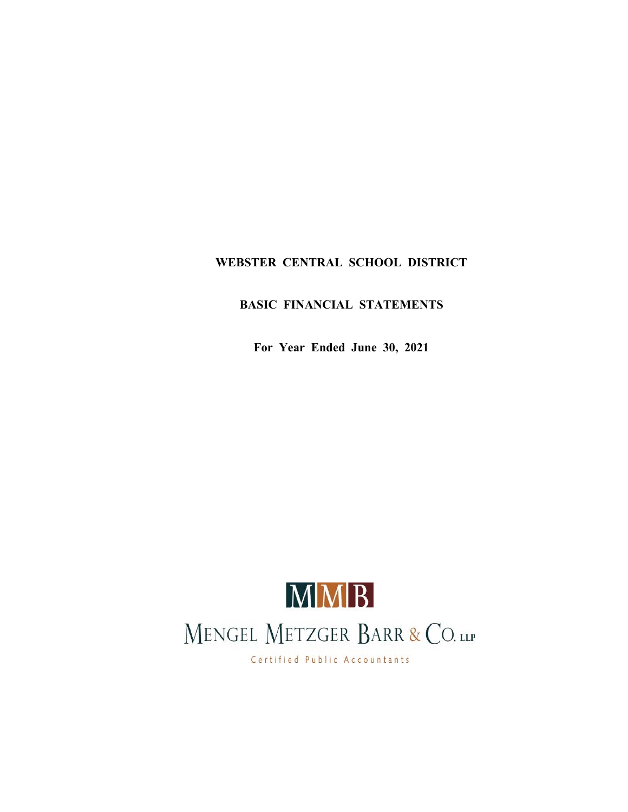## **WEBSTER CENTRAL SCHOOL DISTRICT**

## **BASIC FINANCIAL STATEMENTS**

**For Year Ended June 30, 2021**



Certified Public Accountants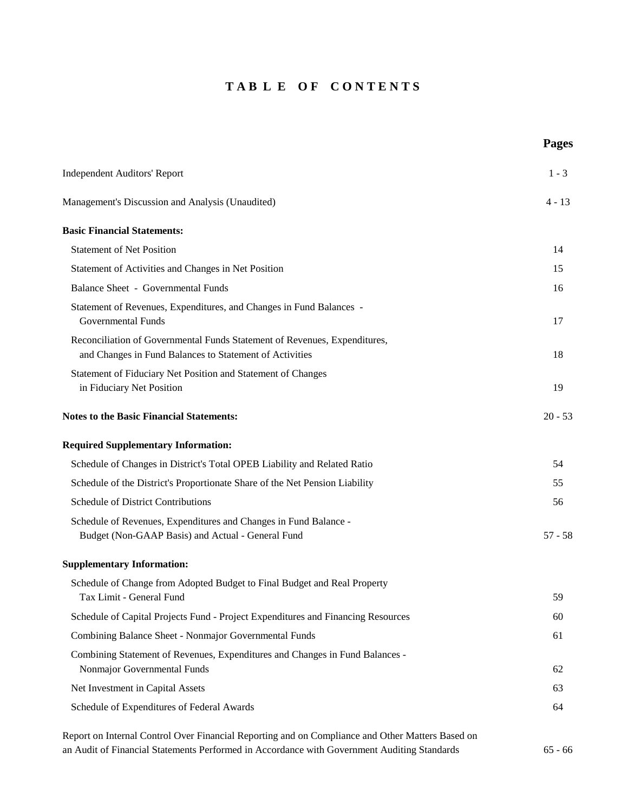## **T A B L E O F C O N T E N T S**

**Pages**

| <b>Independent Auditors' Report</b>                                                                                                  | $1 - 3$   |
|--------------------------------------------------------------------------------------------------------------------------------------|-----------|
| Management's Discussion and Analysis (Unaudited)                                                                                     | $4 - 13$  |
| <b>Basic Financial Statements:</b>                                                                                                   |           |
| <b>Statement of Net Position</b>                                                                                                     | 14        |
| Statement of Activities and Changes in Net Position                                                                                  | 15        |
| <b>Balance Sheet - Governmental Funds</b>                                                                                            | 16        |
| Statement of Revenues, Expenditures, and Changes in Fund Balances -<br>Governmental Funds                                            | 17        |
| Reconciliation of Governmental Funds Statement of Revenues, Expenditures,<br>and Changes in Fund Balances to Statement of Activities | 18        |
| Statement of Fiduciary Net Position and Statement of Changes<br>in Fiduciary Net Position                                            | 19        |
| <b>Notes to the Basic Financial Statements:</b>                                                                                      | $20 - 53$ |
| <b>Required Supplementary Information:</b>                                                                                           |           |
| Schedule of Changes in District's Total OPEB Liability and Related Ratio                                                             | 54        |
| Schedule of the District's Proportionate Share of the Net Pension Liability                                                          | 55        |
| <b>Schedule of District Contributions</b>                                                                                            | 56        |
| Schedule of Revenues, Expenditures and Changes in Fund Balance -<br>Budget (Non-GAAP Basis) and Actual - General Fund                | $57 - 58$ |
| <b>Supplementary Information:</b>                                                                                                    |           |
| Schedule of Change from Adopted Budget to Final Budget and Real Property<br>Tax Limit - General Fund                                 | 59        |
| Schedule of Capital Projects Fund - Project Expenditures and Financing Resources                                                     | 60        |
| Combining Balance Sheet - Nonmajor Governmental Funds                                                                                | 61        |
| Combining Statement of Revenues, Expenditures and Changes in Fund Balances -<br>Nonmajor Governmental Funds                          | 62        |
| Net Investment in Capital Assets                                                                                                     | 63        |
| Schedule of Expenditures of Federal Awards                                                                                           | 64        |
| Report on Internal Control Over Financial Reporting and on Compliance and Other Matters Based on                                     |           |

an Audit of Financial Statements Performed in Accordance with Government Auditing Standards 65 - 66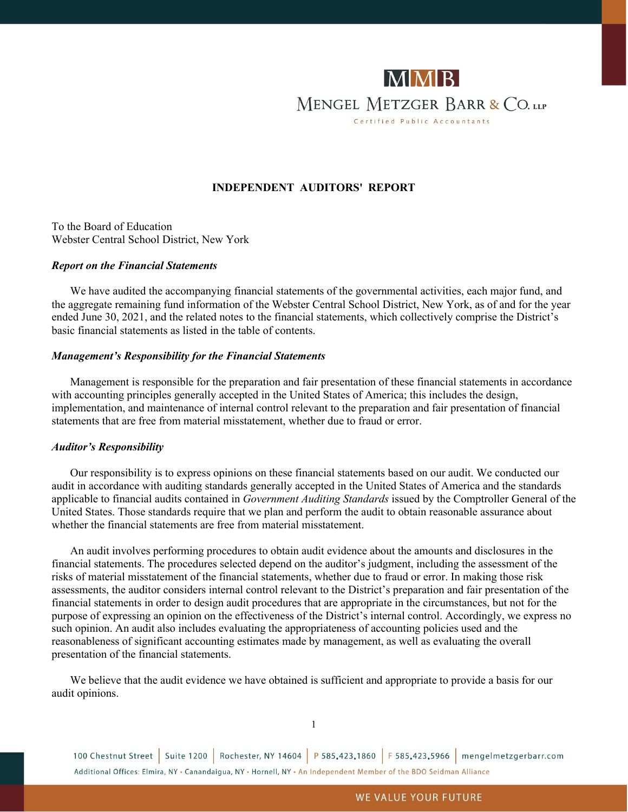

#### **INDEPENDENT AUDITORS' REPORT**

To the Board of Education Webster Central School District, New York

#### *Report on the Financial Statements*

We have audited the accompanying financial statements of the governmental activities, each major fund, and the aggregate remaining fund information of the Webster Central School District, New York, as of and for the year ended June 30, 2021, and the related notes to the financial statements, which collectively comprise the District's basic financial statements as listed in the table of contents.

#### *Management's Responsibility for the Financial Statements*

Management is responsible for the preparation and fair presentation of these financial statements in accordance with accounting principles generally accepted in the United States of America; this includes the design, implementation, and maintenance of internal control relevant to the preparation and fair presentation of financial statements that are free from material misstatement, whether due to fraud or error.

#### *Auditor's Responsibility*

Our responsibility is to express opinions on these financial statements based on our audit. We conducted our audit in accordance with auditing standards generally accepted in the United States of America and the standards applicable to financial audits contained in *Government Auditing Standards* issued by the Comptroller General of the United States. Those standards require that we plan and perform the audit to obtain reasonable assurance about whether the financial statements are free from material misstatement.

An audit involves performing procedures to obtain audit evidence about the amounts and disclosures in the financial statements. The procedures selected depend on the auditor's judgment, including the assessment of the risks of material misstatement of the financial statements, whether due to fraud or error. In making those risk assessments, the auditor considers internal control relevant to the District's preparation and fair presentation of the financial statements in order to design audit procedures that are appropriate in the circumstances, but not for the purpose of expressing an opinion on the effectiveness of the District's internal control. Accordingly, we express no such opinion. An audit also includes evaluating the appropriateness of accounting policies used and the reasonableness of significant accounting estimates made by management, as well as evaluating the overall presentation of the financial statements.

We believe that the audit evidence we have obtained is sufficient and appropriate to provide a basis for our audit opinions.

1

100 Chestnut Street | Suite 1200 | Rochester, NY 14604 | P 585.423.1860 | F 585.423.5966 | mengelmetzgerbarr.com Additional Offices: Elmira, NY . Canandaigua, NY . Hornell, NY . An Independent Member of the BDO Seidman Alliance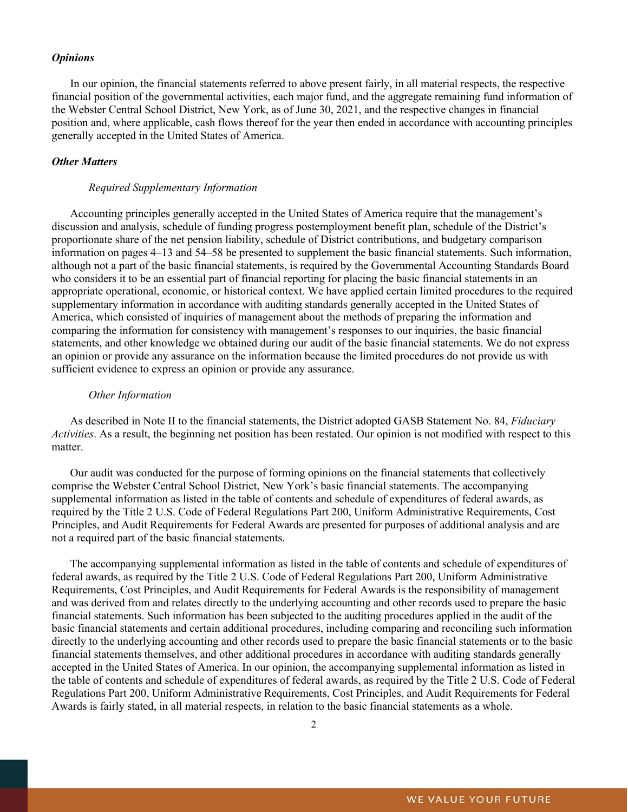#### *Opinions*

In our opinion, the financial statements referred to above present fairly, in all material respects, the respective financial position of the governmental activities, each major fund, and the aggregate remaining fund information of the Webster Central School District, New York, as of June 30, 2021, and the respective changes in financial position and, where applicable, cash flows thereof for the year then ended in accordance with accounting principles generally accepted in the United States of America.

#### *Other Matters*

#### *Required Supplementary Information*

Accounting principles generally accepted in the United States of America require that the management's discussion and analysis, schedule of funding progress postemployment benefit plan, schedule of the District's proportionate share of the net pension liability, schedule of District contributions, and budgetary comparison information on pages 4–13 and 54–58 be presented to supplement the basic financial statements. Such information, although not a part of the basic financial statements, is required by the Governmental Accounting Standards Board who considers it to be an essential part of financial reporting for placing the basic financial statements in an appropriate operational, economic, or historical context. We have applied certain limited procedures to the required supplementary information in accordance with auditing standards generally accepted in the United States of America, which consisted of inquiries of management about the methods of preparing the information and comparing the information for consistency with management's responses to our inquiries, the basic financial statements, and other knowledge we obtained during our audit of the basic financial statements. We do not express an opinion or provide any assurance on the information because the limited procedures do not provide us with sufficient evidence to express an opinion or provide any assurance.

#### *Other Information*

As described in Note II to the financial statements, the District adopted GASB Statement No. 84, *Fiduciary Activities*. As a result, the beginning net position has been restated. Our opinion is not modified with respect to this matter.

Our audit was conducted for the purpose of forming opinions on the financial statements that collectively comprise the Webster Central School District, New York's basic financial statements. The accompanying supplemental information as listed in the table of contents and schedule of expenditures of federal awards, as required by the Title 2 U.S. Code of Federal Regulations Part 200, Uniform Administrative Requirements, Cost Principles, and Audit Requirements for Federal Awards are presented for purposes of additional analysis and are not a required part of the basic financial statements.

The accompanying supplemental information as listed in the table of contents and schedule of expenditures of federal awards, as required by the Title 2 U.S. Code of Federal Regulations Part 200, Uniform Administrative Requirements, Cost Principles, and Audit Requirements for Federal Awards is the responsibility of management and was derived from and relates directly to the underlying accounting and other records used to prepare the basic financial statements. Such information has been subjected to the auditing procedures applied in the audit of the basic financial statements and certain additional procedures, including comparing and reconciling such information directly to the underlying accounting and other records used to prepare the basic financial statements or to the basic financial statements themselves, and other additional procedures in accordance with auditing standards generally accepted in the United States of America. In our opinion, the accompanying supplemental information as listed in the table of contents and schedule of expenditures of federal awards, as required by the Title 2 U.S. Code of Federal Regulations Part 200, Uniform Administrative Requirements, Cost Principles, and Audit Requirements for Federal Awards is fairly stated, in all material respects, in relation to the basic financial statements as a whole.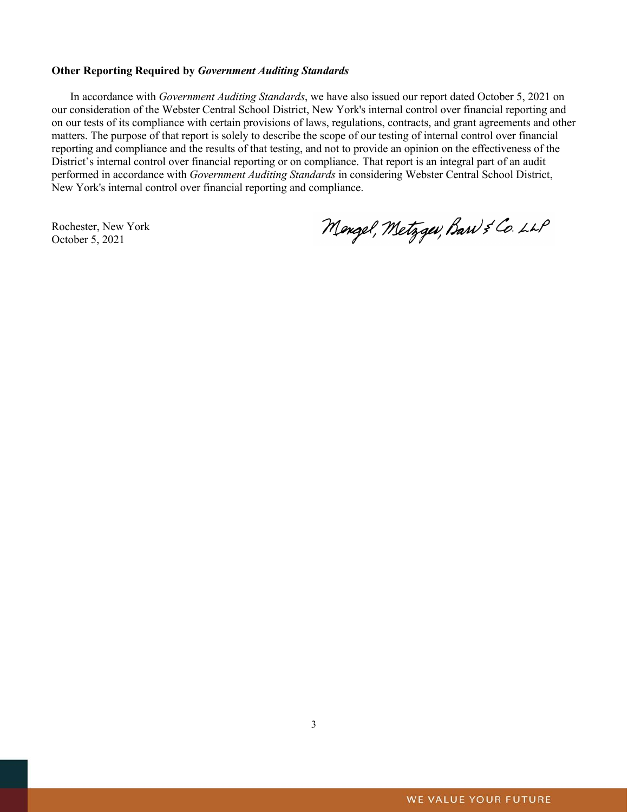#### **Other Reporting Required by** *Government Auditing Standards*

In accordance with *Government Auditing Standards*, we have also issued our report dated October 5, 2021 on our consideration of the Webster Central School District, New York's internal control over financial reporting and on our tests of its compliance with certain provisions of laws, regulations, contracts, and grant agreements and other matters. The purpose of that report is solely to describe the scope of our testing of internal control over financial reporting and compliance and the results of that testing, and not to provide an opinion on the effectiveness of the District's internal control over financial reporting or on compliance. That report is an integral part of an audit performed in accordance with *Government Auditing Standards* in considering Webster Central School District, New York's internal control over financial reporting and compliance.

Rochester, New York October 5, 2021

Mengel, Metzgev, Barn & Co. LLP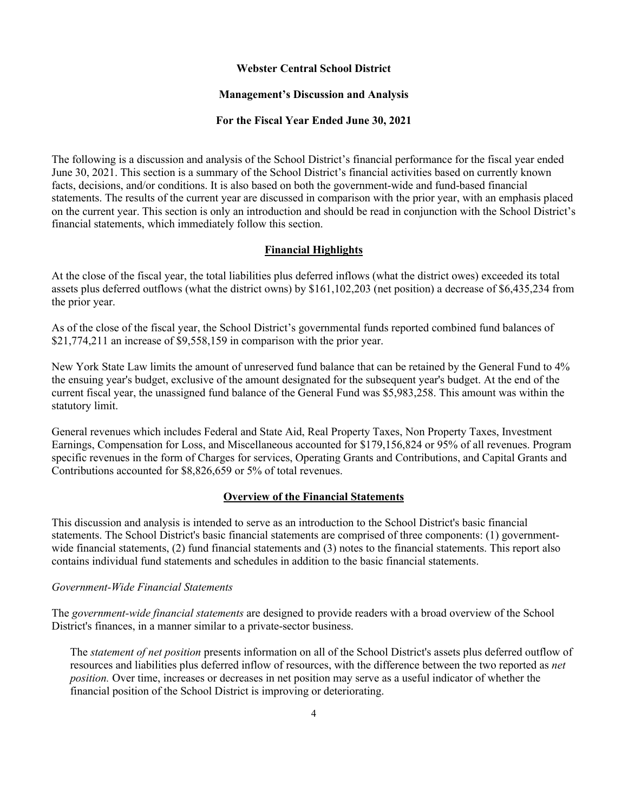#### **Webster Central School District**

#### **Management's Discussion and Analysis**

#### **For the Fiscal Year Ended June 30, 2021**

The following is a discussion and analysis of the School District's financial performance for the fiscal year ended June 30, 2021. This section is a summary of the School District's financial activities based on currently known facts, decisions, and/or conditions. It is also based on both the government-wide and fund-based financial statements. The results of the current year are discussed in comparison with the prior year, with an emphasis placed on the current year. This section is only an introduction and should be read in conjunction with the School District's financial statements, which immediately follow this section.

#### **Financial Highlights**

At the close of the fiscal year, the total liabilities plus deferred inflows (what the district owes) exceeded its total assets plus deferred outflows (what the district owns) by \$161,102,203 (net position) a decrease of \$6,435,234 from the prior year.

As of the close of the fiscal year, the School District's governmental funds reported combined fund balances of \$21,774,211 an increase of \$9,558,159 in comparison with the prior year.

New York State Law limits the amount of unreserved fund balance that can be retained by the General Fund to 4% the ensuing year's budget, exclusive of the amount designated for the subsequent year's budget. At the end of the current fiscal year, the unassigned fund balance of the General Fund was \$5,983,258. This amount was within the statutory limit.

General revenues which includes Federal and State Aid, Real Property Taxes, Non Property Taxes, Investment Earnings, Compensation for Loss, and Miscellaneous accounted for \$179,156,824 or 95% of all revenues. Program specific revenues in the form of Charges for services, Operating Grants and Contributions, and Capital Grants and Contributions accounted for \$8,826,659 or 5% of total revenues.

#### **Overview of the Financial Statements**

This discussion and analysis is intended to serve as an introduction to the School District's basic financial statements. The School District's basic financial statements are comprised of three components: (1) governmentwide financial statements, (2) fund financial statements and (3) notes to the financial statements. This report also contains individual fund statements and schedules in addition to the basic financial statements.

#### *Government-Wide Financial Statements*

The *government-wide financial statements* are designed to provide readers with a broad overview of the School District's finances, in a manner similar to a private-sector business.

The *statement of net position* presents information on all of the School District's assets plus deferred outflow of resources and liabilities plus deferred inflow of resources, with the difference between the two reported as *net position.* Over time, increases or decreases in net position may serve as a useful indicator of whether the financial position of the School District is improving or deteriorating.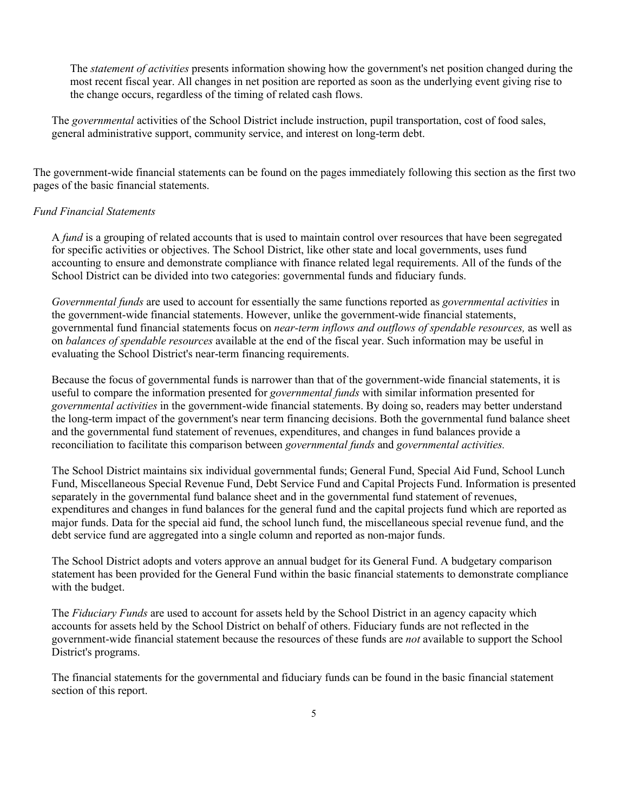The *statement of activities* presents information showing how the government's net position changed during the most recent fiscal year. All changes in net position are reported as soon as the underlying event giving rise to the change occurs, regardless of the timing of related cash flows.

The *governmental* activities of the School District include instruction, pupil transportation, cost of food sales, general administrative support, community service, and interest on long-term debt.

The government-wide financial statements can be found on the pages immediately following this section as the first two pages of the basic financial statements.

#### *Fund Financial Statements*

A *fund* is a grouping of related accounts that is used to maintain control over resources that have been segregated for specific activities or objectives. The School District, like other state and local governments, uses fund accounting to ensure and demonstrate compliance with finance related legal requirements. All of the funds of the School District can be divided into two categories: governmental funds and fiduciary funds.

*Governmental funds* are used to account for essentially the same functions reported as *governmental activities* in the government-wide financial statements. However, unlike the government-wide financial statements, governmental fund financial statements focus on *near-term inflows and outflows of spendable resources,* as well as on *balances of spendable resources* available at the end of the fiscal year. Such information may be useful in evaluating the School District's near-term financing requirements.

Because the focus of governmental funds is narrower than that of the government-wide financial statements, it is useful to compare the information presented for *governmental funds* with similar information presented for *governmental activities* in the government-wide financial statements. By doing so, readers may better understand the long-term impact of the government's near term financing decisions. Both the governmental fund balance sheet and the governmental fund statement of revenues, expenditures, and changes in fund balances provide a reconciliation to facilitate this comparison between *governmental funds* and *governmental activities.* 

The School District maintains six individual governmental funds; General Fund, Special Aid Fund, School Lunch Fund, Miscellaneous Special Revenue Fund, Debt Service Fund and Capital Projects Fund. Information is presented separately in the governmental fund balance sheet and in the governmental fund statement of revenues, expenditures and changes in fund balances for the general fund and the capital projects fund which are reported as major funds. Data for the special aid fund, the school lunch fund, the miscellaneous special revenue fund, and the debt service fund are aggregated into a single column and reported as non-major funds.

The School District adopts and voters approve an annual budget for its General Fund. A budgetary comparison statement has been provided for the General Fund within the basic financial statements to demonstrate compliance with the budget.

The *Fiduciary Funds* are used to account for assets held by the School District in an agency capacity which accounts for assets held by the School District on behalf of others. Fiduciary funds are not reflected in the government-wide financial statement because the resources of these funds are *not* available to support the School District's programs.

The financial statements for the governmental and fiduciary funds can be found in the basic financial statement section of this report.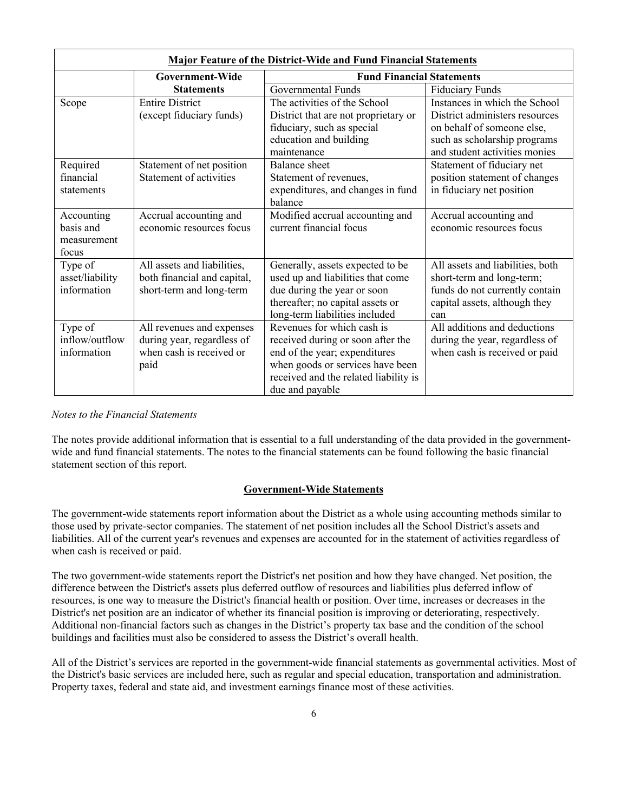| <b>Major Feature of the District-Wide and Fund Financial Statements</b> |                             |                                       |                                  |  |  |  |
|-------------------------------------------------------------------------|-----------------------------|---------------------------------------|----------------------------------|--|--|--|
|                                                                         | Government-Wide             | <b>Fund Financial Statements</b>      |                                  |  |  |  |
|                                                                         | <b>Statements</b>           | Governmental Funds                    | <b>Fiduciary Funds</b>           |  |  |  |
| Scope                                                                   | <b>Entire District</b>      | The activities of the School          | Instances in which the School    |  |  |  |
|                                                                         | (except fiduciary funds)    | District that are not proprietary or  | District administers resources   |  |  |  |
|                                                                         |                             | fiduciary, such as special            | on behalf of someone else,       |  |  |  |
|                                                                         |                             | education and building                | such as scholarship programs     |  |  |  |
|                                                                         |                             | maintenance                           | and student activities monies    |  |  |  |
| Required                                                                | Statement of net position   | <b>Balance</b> sheet                  | Statement of fiduciary net       |  |  |  |
| financial                                                               | Statement of activities     | Statement of revenues,                | position statement of changes    |  |  |  |
| statements                                                              |                             | expenditures, and changes in fund     | in fiduciary net position        |  |  |  |
|                                                                         |                             | balance                               |                                  |  |  |  |
| Accounting                                                              | Accrual accounting and      | Modified accrual accounting and       | Accrual accounting and           |  |  |  |
| basis and                                                               | economic resources focus    | current financial focus               | economic resources focus         |  |  |  |
| measurement                                                             |                             |                                       |                                  |  |  |  |
| focus                                                                   |                             |                                       |                                  |  |  |  |
| Type of                                                                 | All assets and liabilities, | Generally, assets expected to be      | All assets and liabilities, both |  |  |  |
| asset/liability                                                         | both financial and capital, | used up and liabilities that come     | short-term and long-term;        |  |  |  |
| information                                                             | short-term and long-term    | due during the year or soon           | funds do not currently contain   |  |  |  |
|                                                                         |                             | thereafter; no capital assets or      | capital assets, although they    |  |  |  |
|                                                                         |                             | long-term liabilities included        | can                              |  |  |  |
| Type of                                                                 | All revenues and expenses   | Revenues for which cash is            | All additions and deductions     |  |  |  |
| inflow/outflow                                                          | during year, regardless of  | received during or soon after the     | during the year, regardless of   |  |  |  |
| information                                                             | when cash is received or    | end of the year; expenditures         | when cash is received or paid    |  |  |  |
|                                                                         | paid                        | when goods or services have been      |                                  |  |  |  |
|                                                                         |                             | received and the related liability is |                                  |  |  |  |
|                                                                         |                             | due and payable                       |                                  |  |  |  |

*Notes to the Financial Statements*

The notes provide additional information that is essential to a full understanding of the data provided in the governmentwide and fund financial statements. The notes to the financial statements can be found following the basic financial statement section of this report.

#### **Government-Wide Statements**

The government-wide statements report information about the District as a whole using accounting methods similar to those used by private-sector companies. The statement of net position includes all the School District's assets and liabilities. All of the current year's revenues and expenses are accounted for in the statement of activities regardless of when cash is received or paid.

The two government-wide statements report the District's net position and how they have changed. Net position, the difference between the District's assets plus deferred outflow of resources and liabilities plus deferred inflow of resources, is one way to measure the District's financial health or position. Over time, increases or decreases in the District's net position are an indicator of whether its financial position is improving or deteriorating, respectively. Additional non-financial factors such as changes in the District's property tax base and the condition of the school buildings and facilities must also be considered to assess the District's overall health.

All of the District's services are reported in the government-wide financial statements as governmental activities. Most of the District's basic services are included here, such as regular and special education, transportation and administration. Property taxes, federal and state aid, and investment earnings finance most of these activities.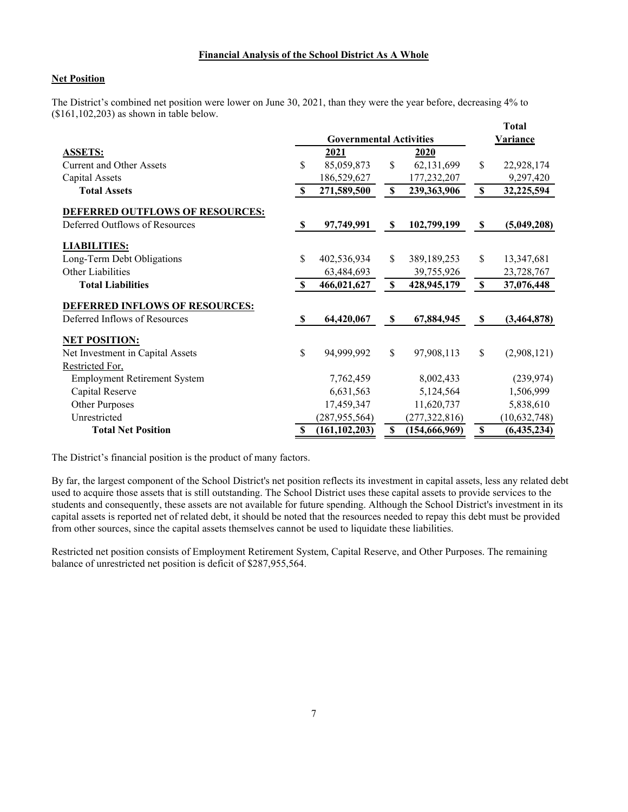#### **Financial Analysis of the School District As A Whole**

#### **Net Position**

The District's combined net position were lower on June 30, 2021, than they were the year before, decreasing 4% to (\$161,102,203) as shown in table below.

|                                        |                           |                                |                           |                 |                           | <b>Total</b>    |
|----------------------------------------|---------------------------|--------------------------------|---------------------------|-----------------|---------------------------|-----------------|
|                                        |                           | <b>Governmental Activities</b> |                           |                 |                           | <b>Variance</b> |
| <b>ASSETS:</b>                         |                           | 2021                           |                           | 2020            |                           |                 |
| <b>Current and Other Assets</b>        | S                         | 85,059,873                     | \$                        | 62,131,699      | \$                        | 22,928,174      |
| Capital Assets                         |                           | 186,529,627                    |                           | 177,232,207     |                           | 9,297,420       |
| <b>Total Assets</b>                    | \$                        | 271,589,500                    | $\mathbb S$               | 239,363,906     | $\mathbf S$               | 32,225,594      |
| <b>DEFERRED OUTFLOWS OF RESOURCES:</b> |                           |                                |                           |                 |                           |                 |
| Deferred Outflows of Resources         | \$                        | 97,749,991                     | $\boldsymbol{\mathsf{S}}$ | 102,799,199     | \$                        | (5,049,208)     |
| <b>LIABILITIES:</b>                    |                           |                                |                           |                 |                           |                 |
| Long-Term Debt Obligations             | \$                        | 402,536,934                    | \$                        | 389, 189, 253   | \$                        | 13,347,681      |
| Other Liabilities                      |                           | 63,484,693                     |                           | 39,755,926      |                           | 23,728,767      |
| <b>Total Liabilities</b>               | $\boldsymbol{\mathsf{S}}$ | 466,021,627                    | $\boldsymbol{\mathsf{S}}$ | 428,945,179     | $\boldsymbol{\mathsf{S}}$ | 37,076,448      |
| DEFERRED INFLOWS OF RESOURCES:         |                           |                                |                           |                 |                           |                 |
| Deferred Inflows of Resources          | -S                        | 64,420,067                     | \$                        | 67,884,945      | <b>S</b>                  | (3,464,878)     |
| <b>NET POSITION:</b>                   |                           |                                |                           |                 |                           |                 |
| Net Investment in Capital Assets       | \$                        | 94,999,992                     | \$                        | 97,908,113      | \$                        | (2,908,121)     |
| Restricted For.                        |                           |                                |                           |                 |                           |                 |
| <b>Employment Retirement System</b>    |                           | 7,762,459                      |                           | 8,002,433       |                           | (239, 974)      |
| Capital Reserve                        |                           | 6,631,563                      |                           | 5,124,564       |                           | 1,506,999       |
| Other Purposes                         |                           | 17,459,347                     |                           | 11,620,737      |                           | 5,838,610       |
| Unrestricted                           |                           | (287, 955, 564)                |                           | (277, 322, 816) |                           | (10, 632, 748)  |
| <b>Total Net Position</b>              | \$                        | (161, 102, 203)                | \$                        | (154, 666, 969) | $\boldsymbol{\mathsf{S}}$ | (6,435,234)     |

The District's financial position is the product of many factors.

By far, the largest component of the School District's net position reflects its investment in capital assets, less any related debt used to acquire those assets that is still outstanding. The School District uses these capital assets to provide services to the students and consequently, these assets are not available for future spending. Although the School District's investment in its capital assets is reported net of related debt, it should be noted that the resources needed to repay this debt must be provided from other sources, since the capital assets themselves cannot be used to liquidate these liabilities.

Restricted net position consists of Employment Retirement System, Capital Reserve, and Other Purposes. The remaining balance of unrestricted net position is deficit of \$287,955,564.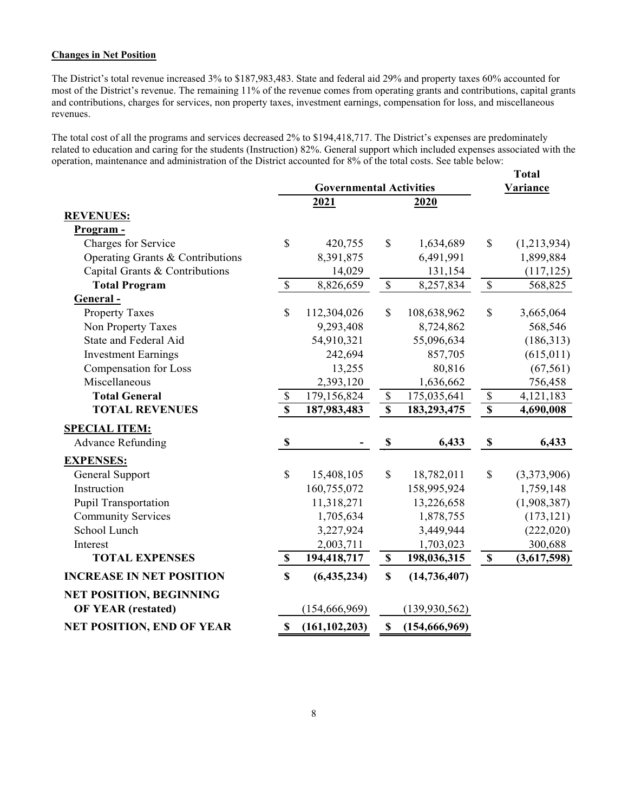#### **Changes in Net Position**

The District's total revenue increased 3% to \$187,983,483. State and federal aid 29% and property taxes 60% accounted for most of the District's revenue. The remaining 11% of the revenue comes from operating grants and contributions, capital grants and contributions, charges for services, non property taxes, investment earnings, compensation for loss, and miscellaneous revenues.

The total cost of all the programs and services decreased 2% to \$194,418,717. The District's expenses are predominately related to education and caring for the students (Instruction) 82%. General support which included expenses associated with the operation, maintenance and administration of the District accounted for 8% of the total costs. See table below:

|                                  |                                |                 |                           |                 |                           | <b>Total</b> |
|----------------------------------|--------------------------------|-----------------|---------------------------|-----------------|---------------------------|--------------|
|                                  | <b>Governmental Activities</b> |                 |                           |                 |                           | Variance     |
|                                  |                                | 2021            |                           | 2020            |                           |              |
| <b>REVENUES:</b>                 |                                |                 |                           |                 |                           |              |
| Program -                        |                                |                 |                           |                 |                           |              |
| Charges for Service              | \$                             | 420,755         | \$                        | 1,634,689       | \$                        | (1,213,934)  |
| Operating Grants & Contributions |                                | 8,391,875       |                           | 6,491,991       |                           | 1,899,884    |
| Capital Grants & Contributions   |                                | 14,029          |                           | 131,154         |                           | (117, 125)   |
| <b>Total Program</b>             | $\mathbb{S}$                   | 8,826,659       | $\overline{\mathcal{S}}$  | 8,257,834       | $\overline{\mathcal{S}}$  | 568,825      |
| General-                         |                                |                 |                           |                 |                           |              |
| <b>Property Taxes</b>            | \$                             | 112,304,026     | \$                        | 108,638,962     | \$                        | 3,665,064    |
| Non Property Taxes               |                                | 9,293,408       |                           | 8,724,862       |                           | 568,546      |
| State and Federal Aid            |                                | 54,910,321      |                           | 55,096,634      |                           | (186,313)    |
| <b>Investment Earnings</b>       |                                | 242,694         |                           | 857,705         |                           | (615, 011)   |
| Compensation for Loss            |                                | 13,255          |                           | 80,816          |                           | (67, 561)    |
| Miscellaneous                    |                                | 2,393,120       |                           | 1,636,662       |                           | 756,458      |
| <b>Total General</b>             | $\mathbb{S}$                   | 179,156,824     | $\mathbb S$               | 175,035,641     | $\boldsymbol{\mathsf{S}}$ | 4,121,183    |
| <b>TOTAL REVENUES</b>            | $\mathbf{s}$                   | 187,983,483     | $\mathbf S$               | 183,293,475     | $\boldsymbol{\mathsf{S}}$ | 4,690,008    |
| <b>SPECIAL ITEM:</b>             |                                |                 |                           |                 |                           |              |
| <b>Advance Refunding</b>         | $\boldsymbol{\mathsf{S}}$      |                 | $\mathbb S$               | 6,433           | $\boldsymbol{\mathsf{S}}$ | 6,433        |
| <b>EXPENSES:</b>                 |                                |                 |                           |                 |                           |              |
| General Support                  | $\mathbb{S}$                   | 15,408,105      | \$                        | 18,782,011      | \$                        | (3,373,906)  |
| Instruction                      |                                | 160,755,072     |                           | 158,995,924     |                           | 1,759,148    |
| Pupil Transportation             |                                | 11,318,271      |                           | 13,226,658      |                           | (1,908,387)  |
| <b>Community Services</b>        |                                | 1,705,634       |                           | 1,878,755       |                           | (173, 121)   |
| School Lunch                     |                                | 3,227,924       |                           | 3,449,944       |                           | (222, 020)   |
| Interest                         |                                | 2,003,711       |                           | 1,703,023       |                           | 300,688      |
| <b>TOTAL EXPENSES</b>            | $\mathbb S$                    | 194,418,717     | $\mathbb S$               | 198,036,315     | $\mathbf S$               | (3,617,598)  |
| <b>INCREASE IN NET POSITION</b>  | $\mathbf S$                    | (6,435,234)     | $\mathbf S$               | (14, 736, 407)  |                           |              |
| <b>NET POSITION, BEGINNING</b>   |                                |                 |                           |                 |                           |              |
| <b>OF YEAR (restated)</b>        |                                | (154, 666, 969) |                           | (139, 930, 562) |                           |              |
| <b>NET POSITION, END OF YEAR</b> | $\boldsymbol{\mathsf{S}}$      | (161, 102, 203) | $\boldsymbol{\mathsf{S}}$ | (154, 666, 969) |                           |              |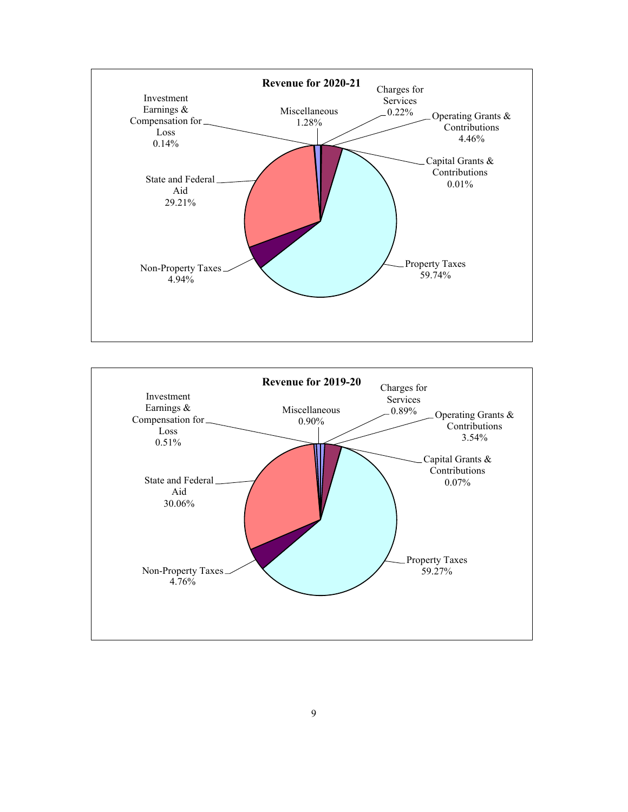

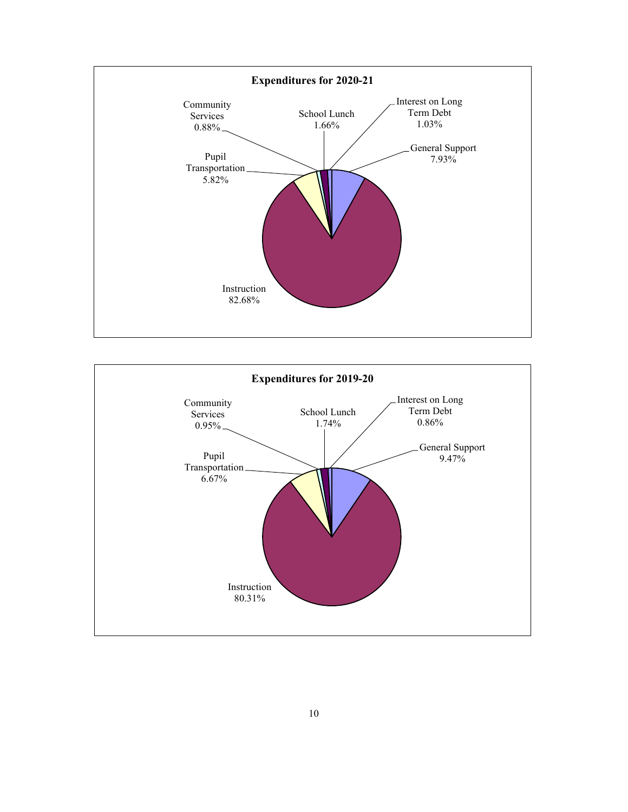

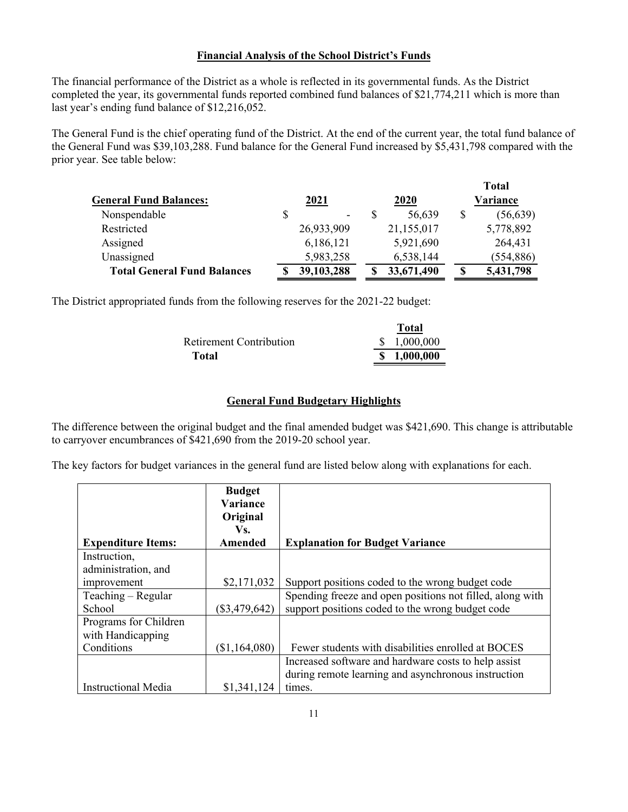#### **Financial Analysis of the School District's Funds**

The financial performance of the District as a whole is reflected in its governmental funds. As the District completed the year, its governmental funds reported combined fund balances of \$21,774,211 which is more than last year's ending fund balance of \$12,216,052.

The General Fund is the chief operating fund of the District. At the end of the current year, the total fund balance of the General Fund was \$39,103,288. Fund balance for the General Fund increased by \$5,431,798 compared with the prior year. See table below:

|                                    |            |             | <b>Total</b>    |
|------------------------------------|------------|-------------|-----------------|
| <b>General Fund Balances:</b>      | 2021       | <b>2020</b> | Variance        |
| Nonspendable                       | \$<br>۰    | 56,639      | \$<br>(56, 639) |
| Restricted                         | 26,933,909 | 21,155,017  | 5,778,892       |
| Assigned                           | 6,186,121  | 5,921,690   | 264,431         |
| Unassigned                         | 5,983,258  | 6,538,144   | (554, 886)      |
| <b>Total General Fund Balances</b> | 39,103,288 | 33,671,490  | \$<br>5,431,798 |

The District appropriated funds from the following reserves for the 2021-22 budget:

| 1 otal      |
|-------------|
| \$1,000,000 |
| \$1,000,000 |
|             |

**Total**

#### **General Fund Budgetary Highlights**

The difference between the original budget and the final amended budget was \$421,690. This change is attributable to carryover encumbrances of \$421,690 from the 2019-20 school year.

The key factors for budget variances in the general fund are listed below along with explanations for each.

|                            | <b>Budget</b><br>Variance<br>Original |                                                           |
|----------------------------|---------------------------------------|-----------------------------------------------------------|
| <b>Expenditure Items:</b>  | Vs.<br>Amended                        | <b>Explanation for Budget Variance</b>                    |
| Instruction,               |                                       |                                                           |
| administration, and        |                                       |                                                           |
| improvement                | \$2,171,032                           | Support positions coded to the wrong budget code          |
| Teaching – Regular         |                                       | Spending freeze and open positions not filled, along with |
| School                     | $(\$3,479,642)$                       | support positions coded to the wrong budget code          |
| Programs for Children      |                                       |                                                           |
| with Handicapping          |                                       |                                                           |
| Conditions                 | (\$1,164,080)                         | Fewer students with disabilities enrolled at BOCES        |
|                            |                                       | Increased software and hardware costs to help assist      |
|                            |                                       | during remote learning and asynchronous instruction       |
| <b>Instructional Media</b> | \$1,341,124                           | times.                                                    |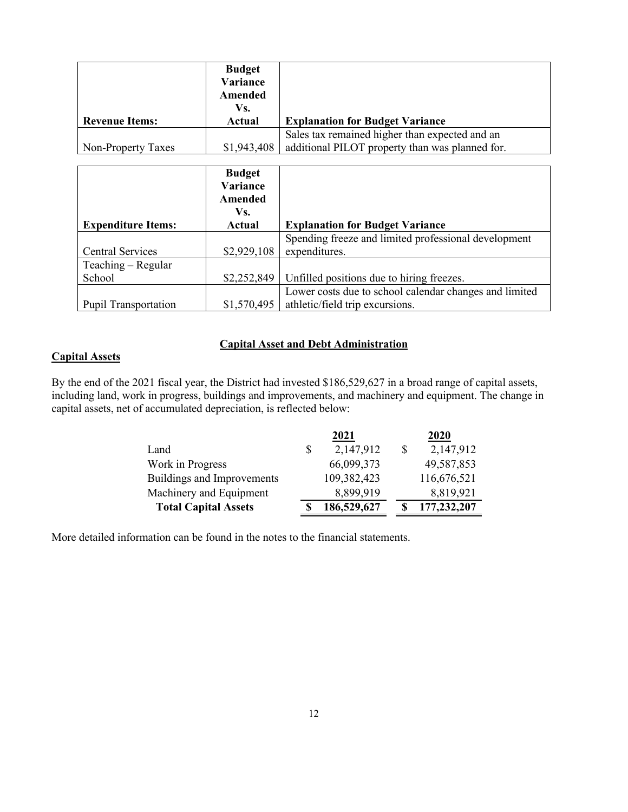|                       | <b>Budget</b> |                                                 |
|-----------------------|---------------|-------------------------------------------------|
|                       | Variance      |                                                 |
|                       | Amended       |                                                 |
|                       | Vs.           |                                                 |
| <b>Revenue Items:</b> | Actual        | <b>Explanation for Budget Variance</b>          |
|                       |               | Sales tax remained higher than expected and an  |
| Non-Property Taxes    | \$1,943,408   | additional PILOT property than was planned for. |

| <b>Expenditure Items:</b>   | <b>Budget</b><br>Variance<br>Amended<br>Vs.<br>Actual | <b>Explanation for Budget Variance</b>                                |
|-----------------------------|-------------------------------------------------------|-----------------------------------------------------------------------|
| <b>Central Services</b>     | \$2,929,108                                           | Spending freeze and limited professional development<br>expenditures. |
| Teaching – Regular          |                                                       |                                                                       |
| School                      | \$2,252,849                                           | Unfilled positions due to hiring freezes.                             |
|                             |                                                       | Lower costs due to school calendar changes and limited                |
| <b>Pupil Transportation</b> | \$1,570,495                                           | athletic/field trip excursions.                                       |

### **Capital Asset and Debt Administration**

## **Capital Assets**

By the end of the 2021 fiscal year, the District had invested \$186,529,627 in a broad range of capital assets, including land, work in progress, buildings and improvements, and machinery and equipment. The change in capital assets, net of accumulated depreciation, is reflected below:

|                             | 2021            | 2020        |
|-----------------------------|-----------------|-------------|
| Land                        | \$<br>2,147,912 | 2,147,912   |
| Work in Progress            | 66,099,373      | 49,587,853  |
| Buildings and Improvements  | 109,382,423     | 116,676,521 |
| Machinery and Equipment     | 8,899,919       | 8,819,921   |
| <b>Total Capital Assets</b> | 186,529,627     | 177,232,207 |

More detailed information can be found in the notes to the financial statements.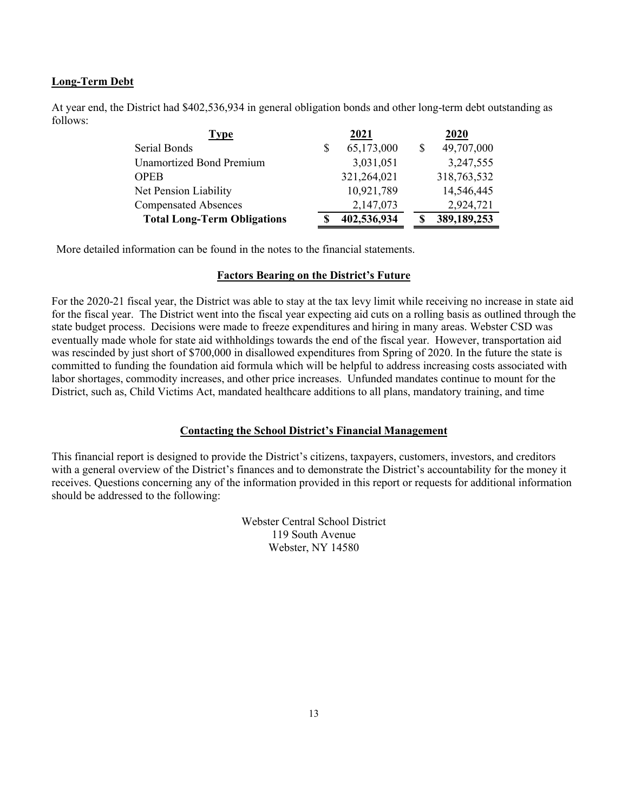### **Long-Term Debt**

At year end, the District had \$402,536,934 in general obligation bonds and other long-term debt outstanding as follows:

| Type                               | 2021        | 2020        |
|------------------------------------|-------------|-------------|
| Serial Bonds                       | 65,173,000  | 49,707,000  |
| <b>Unamortized Bond Premium</b>    | 3,031,051   | 3,247,555   |
| <b>OPEB</b>                        | 321,264,021 | 318,763,532 |
| Net Pension Liability              | 10,921,789  | 14,546,445  |
| <b>Compensated Absences</b>        | 2,147,073   | 2,924,721   |
| <b>Total Long-Term Obligations</b> | 402,536,934 | 389,189,253 |

More detailed information can be found in the notes to the financial statements.

#### **Factors Bearing on the District's Future**

For the 2020-21 fiscal year, the District was able to stay at the tax levy limit while receiving no increase in state aid for the fiscal year. The District went into the fiscal year expecting aid cuts on a rolling basis as outlined through the state budget process. Decisions were made to freeze expenditures and hiring in many areas. Webster CSD was eventually made whole for state aid withholdings towards the end of the fiscal year. However, transportation aid was rescinded by just short of \$700,000 in disallowed expenditures from Spring of 2020. In the future the state is committed to funding the foundation aid formula which will be helpful to address increasing costs associated with labor shortages, commodity increases, and other price increases. Unfunded mandates continue to mount for the District, such as, Child Victims Act, mandated healthcare additions to all plans, mandatory training, and time

#### **Contacting the School District's Financial Management**

This financial report is designed to provide the District's citizens, taxpayers, customers, investors, and creditors with a general overview of the District's finances and to demonstrate the District's accountability for the money it receives. Questions concerning any of the information provided in this report or requests for additional information should be addressed to the following:

> Webster Central School District 119 South Avenue Webster, NY 14580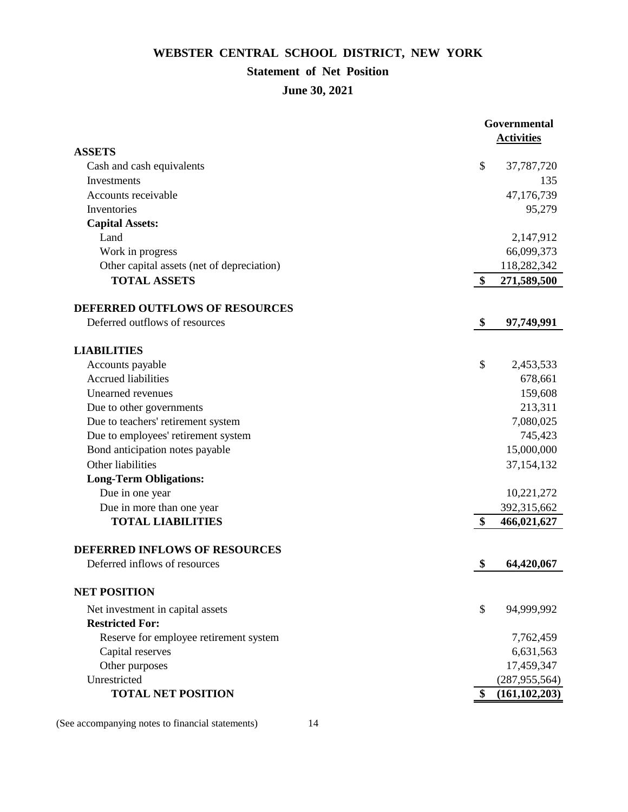## **Statement of Net Position**

**June 30, 2021**

| <b>ASSETS</b><br>\$<br>Cash and cash equivalents<br>37,787,720<br>135<br>Investments<br>Accounts receivable<br>47,176,739<br>Inventories<br>95,279<br><b>Capital Assets:</b><br>Land<br>2,147,912<br>66,099,373<br>Work in progress<br>Other capital assets (net of depreciation)<br>118,282,342<br><b>TOTAL ASSETS</b><br>\$<br>271,589,500<br>DEFERRED OUTFLOWS OF RESOURCES<br>Deferred outflows of resources<br>\$<br>97,749,991<br><b>LIABILITIES</b><br>\$<br>2,453,533<br>Accounts payable<br><b>Accrued liabilities</b><br>678,661<br><b>Unearned revenues</b><br>159,608<br>213,311<br>Due to other governments<br>Due to teachers' retirement system<br>7,080,025<br>Due to employees' retirement system<br>745,423<br>Bond anticipation notes payable<br>15,000,000<br>Other liabilities<br>37,154,132<br><b>Long-Term Obligations:</b><br>Due in one year<br>10,221,272<br>Due in more than one year<br>392,315,662<br><b>TOTAL LIABILITIES</b><br>$\boldsymbol{\$}$<br>466,021,627<br>DEFERRED INFLOWS OF RESOURCES<br>Deferred inflows of resources<br>\$<br>64,420,067<br><b>NET POSITION</b><br>\$<br>Net investment in capital assets<br>94,999,992<br><b>Restricted For:</b><br>Reserve for employee retirement system<br>7,762,459<br>Capital reserves<br>6,631,563<br>17,459,347<br>Other purposes<br>Unrestricted<br>(287, 955, 564)<br><b>TOTAL NET POSITION</b><br>(161, 102, 203)<br>S. |  | Governmental      |  |
|-----------------------------------------------------------------------------------------------------------------------------------------------------------------------------------------------------------------------------------------------------------------------------------------------------------------------------------------------------------------------------------------------------------------------------------------------------------------------------------------------------------------------------------------------------------------------------------------------------------------------------------------------------------------------------------------------------------------------------------------------------------------------------------------------------------------------------------------------------------------------------------------------------------------------------------------------------------------------------------------------------------------------------------------------------------------------------------------------------------------------------------------------------------------------------------------------------------------------------------------------------------------------------------------------------------------------------------------------------------------------------------------------------------------|--|-------------------|--|
|                                                                                                                                                                                                                                                                                                                                                                                                                                                                                                                                                                                                                                                                                                                                                                                                                                                                                                                                                                                                                                                                                                                                                                                                                                                                                                                                                                                                                 |  | <b>Activities</b> |  |
|                                                                                                                                                                                                                                                                                                                                                                                                                                                                                                                                                                                                                                                                                                                                                                                                                                                                                                                                                                                                                                                                                                                                                                                                                                                                                                                                                                                                                 |  |                   |  |
|                                                                                                                                                                                                                                                                                                                                                                                                                                                                                                                                                                                                                                                                                                                                                                                                                                                                                                                                                                                                                                                                                                                                                                                                                                                                                                                                                                                                                 |  |                   |  |
|                                                                                                                                                                                                                                                                                                                                                                                                                                                                                                                                                                                                                                                                                                                                                                                                                                                                                                                                                                                                                                                                                                                                                                                                                                                                                                                                                                                                                 |  |                   |  |
|                                                                                                                                                                                                                                                                                                                                                                                                                                                                                                                                                                                                                                                                                                                                                                                                                                                                                                                                                                                                                                                                                                                                                                                                                                                                                                                                                                                                                 |  |                   |  |
|                                                                                                                                                                                                                                                                                                                                                                                                                                                                                                                                                                                                                                                                                                                                                                                                                                                                                                                                                                                                                                                                                                                                                                                                                                                                                                                                                                                                                 |  |                   |  |
|                                                                                                                                                                                                                                                                                                                                                                                                                                                                                                                                                                                                                                                                                                                                                                                                                                                                                                                                                                                                                                                                                                                                                                                                                                                                                                                                                                                                                 |  |                   |  |
|                                                                                                                                                                                                                                                                                                                                                                                                                                                                                                                                                                                                                                                                                                                                                                                                                                                                                                                                                                                                                                                                                                                                                                                                                                                                                                                                                                                                                 |  |                   |  |
|                                                                                                                                                                                                                                                                                                                                                                                                                                                                                                                                                                                                                                                                                                                                                                                                                                                                                                                                                                                                                                                                                                                                                                                                                                                                                                                                                                                                                 |  |                   |  |
|                                                                                                                                                                                                                                                                                                                                                                                                                                                                                                                                                                                                                                                                                                                                                                                                                                                                                                                                                                                                                                                                                                                                                                                                                                                                                                                                                                                                                 |  |                   |  |
|                                                                                                                                                                                                                                                                                                                                                                                                                                                                                                                                                                                                                                                                                                                                                                                                                                                                                                                                                                                                                                                                                                                                                                                                                                                                                                                                                                                                                 |  |                   |  |
|                                                                                                                                                                                                                                                                                                                                                                                                                                                                                                                                                                                                                                                                                                                                                                                                                                                                                                                                                                                                                                                                                                                                                                                                                                                                                                                                                                                                                 |  |                   |  |
|                                                                                                                                                                                                                                                                                                                                                                                                                                                                                                                                                                                                                                                                                                                                                                                                                                                                                                                                                                                                                                                                                                                                                                                                                                                                                                                                                                                                                 |  |                   |  |
|                                                                                                                                                                                                                                                                                                                                                                                                                                                                                                                                                                                                                                                                                                                                                                                                                                                                                                                                                                                                                                                                                                                                                                                                                                                                                                                                                                                                                 |  |                   |  |
|                                                                                                                                                                                                                                                                                                                                                                                                                                                                                                                                                                                                                                                                                                                                                                                                                                                                                                                                                                                                                                                                                                                                                                                                                                                                                                                                                                                                                 |  |                   |  |
|                                                                                                                                                                                                                                                                                                                                                                                                                                                                                                                                                                                                                                                                                                                                                                                                                                                                                                                                                                                                                                                                                                                                                                                                                                                                                                                                                                                                                 |  |                   |  |
|                                                                                                                                                                                                                                                                                                                                                                                                                                                                                                                                                                                                                                                                                                                                                                                                                                                                                                                                                                                                                                                                                                                                                                                                                                                                                                                                                                                                                 |  |                   |  |
|                                                                                                                                                                                                                                                                                                                                                                                                                                                                                                                                                                                                                                                                                                                                                                                                                                                                                                                                                                                                                                                                                                                                                                                                                                                                                                                                                                                                                 |  |                   |  |
|                                                                                                                                                                                                                                                                                                                                                                                                                                                                                                                                                                                                                                                                                                                                                                                                                                                                                                                                                                                                                                                                                                                                                                                                                                                                                                                                                                                                                 |  |                   |  |
|                                                                                                                                                                                                                                                                                                                                                                                                                                                                                                                                                                                                                                                                                                                                                                                                                                                                                                                                                                                                                                                                                                                                                                                                                                                                                                                                                                                                                 |  |                   |  |
|                                                                                                                                                                                                                                                                                                                                                                                                                                                                                                                                                                                                                                                                                                                                                                                                                                                                                                                                                                                                                                                                                                                                                                                                                                                                                                                                                                                                                 |  |                   |  |
|                                                                                                                                                                                                                                                                                                                                                                                                                                                                                                                                                                                                                                                                                                                                                                                                                                                                                                                                                                                                                                                                                                                                                                                                                                                                                                                                                                                                                 |  |                   |  |
|                                                                                                                                                                                                                                                                                                                                                                                                                                                                                                                                                                                                                                                                                                                                                                                                                                                                                                                                                                                                                                                                                                                                                                                                                                                                                                                                                                                                                 |  |                   |  |
|                                                                                                                                                                                                                                                                                                                                                                                                                                                                                                                                                                                                                                                                                                                                                                                                                                                                                                                                                                                                                                                                                                                                                                                                                                                                                                                                                                                                                 |  |                   |  |
|                                                                                                                                                                                                                                                                                                                                                                                                                                                                                                                                                                                                                                                                                                                                                                                                                                                                                                                                                                                                                                                                                                                                                                                                                                                                                                                                                                                                                 |  |                   |  |
|                                                                                                                                                                                                                                                                                                                                                                                                                                                                                                                                                                                                                                                                                                                                                                                                                                                                                                                                                                                                                                                                                                                                                                                                                                                                                                                                                                                                                 |  |                   |  |
|                                                                                                                                                                                                                                                                                                                                                                                                                                                                                                                                                                                                                                                                                                                                                                                                                                                                                                                                                                                                                                                                                                                                                                                                                                                                                                                                                                                                                 |  |                   |  |
|                                                                                                                                                                                                                                                                                                                                                                                                                                                                                                                                                                                                                                                                                                                                                                                                                                                                                                                                                                                                                                                                                                                                                                                                                                                                                                                                                                                                                 |  |                   |  |
|                                                                                                                                                                                                                                                                                                                                                                                                                                                                                                                                                                                                                                                                                                                                                                                                                                                                                                                                                                                                                                                                                                                                                                                                                                                                                                                                                                                                                 |  |                   |  |
|                                                                                                                                                                                                                                                                                                                                                                                                                                                                                                                                                                                                                                                                                                                                                                                                                                                                                                                                                                                                                                                                                                                                                                                                                                                                                                                                                                                                                 |  |                   |  |
|                                                                                                                                                                                                                                                                                                                                                                                                                                                                                                                                                                                                                                                                                                                                                                                                                                                                                                                                                                                                                                                                                                                                                                                                                                                                                                                                                                                                                 |  |                   |  |
|                                                                                                                                                                                                                                                                                                                                                                                                                                                                                                                                                                                                                                                                                                                                                                                                                                                                                                                                                                                                                                                                                                                                                                                                                                                                                                                                                                                                                 |  |                   |  |
|                                                                                                                                                                                                                                                                                                                                                                                                                                                                                                                                                                                                                                                                                                                                                                                                                                                                                                                                                                                                                                                                                                                                                                                                                                                                                                                                                                                                                 |  |                   |  |
|                                                                                                                                                                                                                                                                                                                                                                                                                                                                                                                                                                                                                                                                                                                                                                                                                                                                                                                                                                                                                                                                                                                                                                                                                                                                                                                                                                                                                 |  |                   |  |
|                                                                                                                                                                                                                                                                                                                                                                                                                                                                                                                                                                                                                                                                                                                                                                                                                                                                                                                                                                                                                                                                                                                                                                                                                                                                                                                                                                                                                 |  |                   |  |
|                                                                                                                                                                                                                                                                                                                                                                                                                                                                                                                                                                                                                                                                                                                                                                                                                                                                                                                                                                                                                                                                                                                                                                                                                                                                                                                                                                                                                 |  |                   |  |
|                                                                                                                                                                                                                                                                                                                                                                                                                                                                                                                                                                                                                                                                                                                                                                                                                                                                                                                                                                                                                                                                                                                                                                                                                                                                                                                                                                                                                 |  |                   |  |
|                                                                                                                                                                                                                                                                                                                                                                                                                                                                                                                                                                                                                                                                                                                                                                                                                                                                                                                                                                                                                                                                                                                                                                                                                                                                                                                                                                                                                 |  |                   |  |

(See accompanying notes to financial statements) 14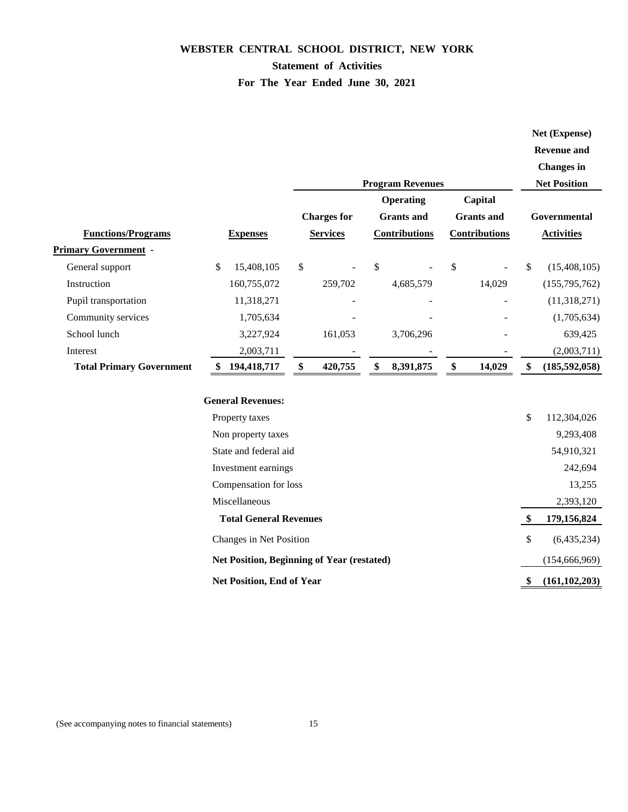## **Statement of Activities**

## **For The Year Ended June 30, 2021**

|                                 |                                  |                                            |                         |                      | Net (Expense)         |
|---------------------------------|----------------------------------|--------------------------------------------|-------------------------|----------------------|-----------------------|
|                                 |                                  |                                            |                         |                      | <b>Revenue and</b>    |
|                                 |                                  |                                            |                         |                      | <b>Changes</b> in     |
|                                 |                                  |                                            | <b>Program Revenues</b> |                      | <b>Net Position</b>   |
|                                 |                                  |                                            | <b>Operating</b>        | Capital              |                       |
|                                 |                                  | <b>Charges for</b>                         | <b>Grants</b> and       | <b>Grants</b> and    | Governmental          |
| <b>Functions/Programs</b>       | <b>Expenses</b>                  | <b>Services</b>                            | <b>Contributions</b>    | <b>Contributions</b> | <b>Activities</b>     |
| <b>Primary Government -</b>     |                                  |                                            |                         |                      |                       |
| General support                 | \$<br>15,408,105                 | \$                                         | \$                      | \$                   | \$<br>(15, 408, 105)  |
| Instruction                     | 160,755,072                      | 259,702                                    | 4,685,579               | 14,029               | (155,795,762)         |
| Pupil transportation            | 11,318,271                       |                                            |                         |                      | (11,318,271)          |
| Community services              | 1,705,634                        |                                            |                         |                      | (1,705,634)           |
| School lunch                    | 3,227,924                        | 161,053                                    | 3,706,296               |                      | 639,425               |
| Interest                        | 2,003,711                        |                                            |                         |                      | (2,003,711)           |
| <b>Total Primary Government</b> | 194,418,717                      | \$<br>420,755                              | \$<br>8,391,875         | \$<br>14,029         | \$<br>(185, 592, 058) |
|                                 |                                  |                                            |                         |                      |                       |
|                                 | <b>General Revenues:</b>         |                                            |                         |                      |                       |
|                                 | Property taxes                   |                                            |                         |                      | \$<br>112,304,026     |
|                                 | Non property taxes               |                                            |                         |                      | 9,293,408             |
|                                 | State and federal aid            |                                            |                         |                      | 54,910,321            |
|                                 | Investment earnings              |                                            |                         |                      | 242,694               |
|                                 | Compensation for loss            |                                            |                         |                      | 13,255                |
|                                 | Miscellaneous                    |                                            |                         |                      | 2,393,120             |
|                                 | <b>Total General Revenues</b>    |                                            |                         |                      | \$<br>179,156,824     |
|                                 | Changes in Net Position          |                                            |                         |                      | \$<br>(6,435,234)     |
|                                 |                                  | Net Position, Beginning of Year (restated) |                         |                      | (154, 666, 969)       |
|                                 | <b>Net Position, End of Year</b> |                                            |                         |                      | \$<br>(161, 102, 203) |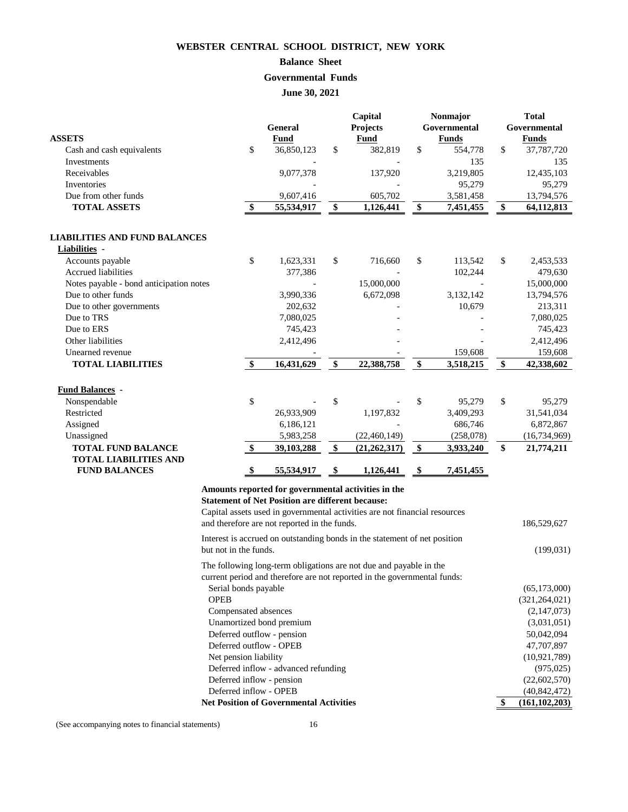## **Balance Sheet**

## **Governmental Funds**

**June 30, 2021**

| <b>ASSETS</b>                           |                         | <b>General</b><br><b>Fund</b>                           |                   | Capital<br>Projects<br><b>Fund</b>                                         |                   | Nonmajor<br>Governmental<br><b>Funds</b> |               | <b>Total</b><br>Governmental<br><b>Funds</b> |
|-----------------------------------------|-------------------------|---------------------------------------------------------|-------------------|----------------------------------------------------------------------------|-------------------|------------------------------------------|---------------|----------------------------------------------|
| Cash and cash equivalents               | \$                      | 36,850,123                                              | \$                | 382,819                                                                    | \$                | 554,778                                  | $\mathcal{S}$ | 37,787,720                                   |
| Investments                             |                         |                                                         |                   |                                                                            |                   | 135                                      |               | 135                                          |
| Receivables                             |                         | 9,077,378                                               |                   | 137,920                                                                    |                   | 3,219,805                                |               | 12,435,103                                   |
| Inventories                             |                         |                                                         |                   |                                                                            |                   | 95,279                                   |               | 95,279                                       |
| Due from other funds                    |                         | 9,607,416                                               |                   | 605,702                                                                    |                   | 3,581,458                                |               | 13,794,576                                   |
| <b>TOTAL ASSETS</b>                     | \$                      | 55,534,917                                              | \$                | 1,126,441                                                                  | \$                | 7,451,455                                | \$            | 64,112,813                                   |
| <b>LIABILITIES AND FUND BALANCES</b>    |                         |                                                         |                   |                                                                            |                   |                                          |               |                                              |
| <b>Liabilities</b> -                    |                         |                                                         |                   |                                                                            |                   |                                          |               |                                              |
| Accounts payable                        | \$                      | 1,623,331                                               | \$                | 716,660                                                                    | \$                | 113,542                                  | $\mathbb{S}$  | 2,453,533                                    |
| <b>Accrued liabilities</b>              |                         | 377,386                                                 |                   |                                                                            |                   | 102,244                                  |               | 479,630                                      |
| Notes payable - bond anticipation notes |                         |                                                         |                   | 15,000,000                                                                 |                   |                                          |               | 15,000,000                                   |
| Due to other funds                      |                         | 3,990,336                                               |                   | 6,672,098                                                                  |                   | 3,132,142                                |               | 13,794,576                                   |
| Due to other governments                |                         | 202,632                                                 |                   |                                                                            |                   | 10,679                                   |               | 213,311                                      |
| Due to TRS                              |                         | 7,080,025                                               |                   |                                                                            |                   |                                          |               | 7,080,025                                    |
| Due to ERS                              |                         | 745,423                                                 |                   |                                                                            |                   |                                          |               | 745,423                                      |
| Other liabilities                       |                         | 2,412,496                                               |                   |                                                                            |                   |                                          |               | 2,412,496                                    |
| Unearned revenue                        |                         |                                                         |                   |                                                                            |                   | 159,608                                  |               | 159,608                                      |
| <b>TOTAL LIABILITIES</b>                | $\sqrt[6]{\frac{1}{2}}$ | 16,431,629                                              | $\boldsymbol{\$}$ | 22,388,758                                                                 | $\boldsymbol{\$}$ | 3,518,215                                | \$            | 42,338,602                                   |
|                                         |                         |                                                         |                   |                                                                            |                   |                                          |               |                                              |
| <b>Fund Balances -</b>                  |                         |                                                         |                   |                                                                            |                   |                                          |               |                                              |
| Nonspendable                            | \$                      |                                                         | \$                |                                                                            | \$                | 95,279                                   | \$            | 95,279                                       |
| Restricted                              |                         | 26,933,909                                              |                   | 1,197,832                                                                  |                   | 3,409,293                                |               | 31,541,034                                   |
| Assigned                                |                         | 6,186,121                                               |                   |                                                                            |                   | 686,746                                  |               | 6,872,867                                    |
| Unassigned                              |                         | 5,983,258                                               |                   | (22, 460, 149)                                                             |                   | (258,078)                                |               | (16, 734, 969)                               |
| <b>TOTAL FUND BALANCE</b>               | $\frac{1}{2}$           | 39,103,288                                              | $\boldsymbol{\$}$ | (21, 262, 317)                                                             | $\boldsymbol{\$}$ | 3,933,240                                | \$            | 21,774,211                                   |
| <b>TOTAL LIABILITIES AND</b>            |                         |                                                         |                   |                                                                            |                   |                                          |               |                                              |
| <b>FUND BALANCES</b>                    | \$                      | 55,534,917                                              | \$                | 1,126,441                                                                  | \$                | 7,451,455                                |               |                                              |
|                                         |                         | Amounts reported for governmental activities in the     |                   |                                                                            |                   |                                          |               |                                              |
|                                         |                         | <b>Statement of Net Position are different because:</b> |                   |                                                                            |                   |                                          |               |                                              |
|                                         |                         |                                                         |                   | Capital assets used in governmental activities are not financial resources |                   |                                          |               |                                              |
|                                         |                         | and therefore are not reported in the funds.            |                   |                                                                            |                   |                                          |               | 186,529,627                                  |
| but not in the funds.                   |                         |                                                         |                   | Interest is accrued on outstanding bonds in the statement of net position  |                   |                                          |               | (199, 031)                                   |
|                                         |                         |                                                         |                   | The following long-term obligations are not due and payable in the         |                   |                                          |               |                                              |
|                                         |                         |                                                         |                   | current period and therefore are not reported in the governmental funds:   |                   |                                          |               |                                              |
|                                         | Serial bonds payable    |                                                         |                   |                                                                            |                   |                                          |               | (65, 173, 000)                               |
| <b>OPEB</b>                             |                         |                                                         |                   |                                                                            |                   |                                          |               | (321, 264, 021)                              |
|                                         |                         | Compensated absences                                    |                   |                                                                            |                   |                                          |               | (2,147,073)                                  |
|                                         |                         | Unamortized bond premium                                |                   |                                                                            |                   |                                          |               | (3,031,051)                                  |
|                                         |                         | Deferred outflow - pension                              |                   |                                                                            |                   |                                          |               | 50,042,094                                   |
|                                         |                         | Deferred outflow - OPEB                                 |                   |                                                                            |                   |                                          |               | 47,707,897                                   |
|                                         | Net pension liability   |                                                         |                   |                                                                            |                   |                                          |               | (10, 921, 789)                               |
|                                         |                         | Deferred inflow - advanced refunding                    |                   |                                                                            |                   |                                          |               | (975, 025)                                   |
|                                         |                         | Deferred inflow - pension                               |                   |                                                                            |                   |                                          |               | (22,602,570)                                 |
|                                         |                         | Deferred inflow - OPEB                                  |                   |                                                                            |                   |                                          |               | (40, 842, 472)                               |
|                                         |                         | <b>Net Position of Governmental Activities</b>          |                   |                                                                            |                   |                                          | $\mathbf{\$}$ | (161, 102, 203)                              |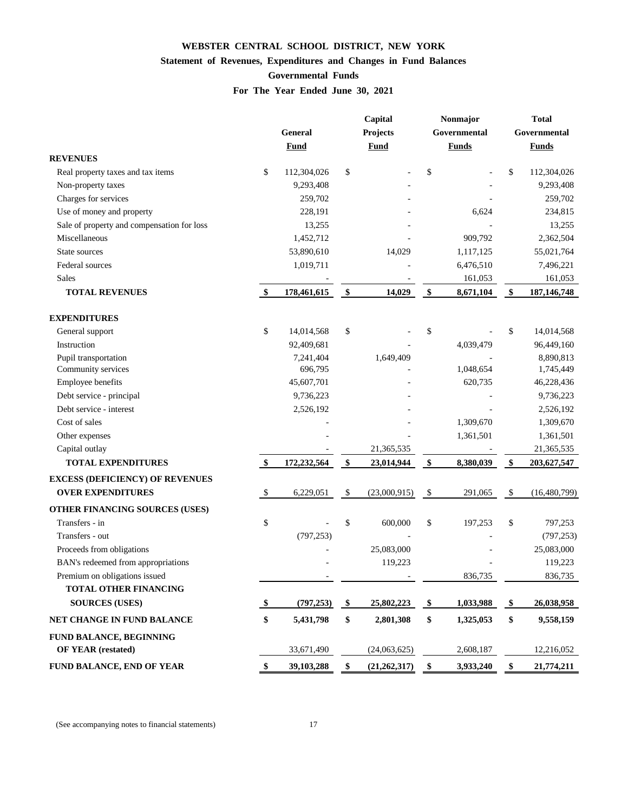## **Statement of Revenues, Expenditures and Changes in Fund Balances**

## **Governmental Funds**

**For The Year Ended June 30, 2021**

|                                            | Capital                 |                |                      | Nonmajor                    |                   | <b>Total</b> |                   |               |  |
|--------------------------------------------|-------------------------|----------------|----------------------|-----------------------------|-------------------|--------------|-------------------|---------------|--|
|                                            |                         | <b>General</b> |                      | <b>Projects</b>             |                   | Governmental | Governmental      |               |  |
|                                            |                         | <b>Fund</b>    |                      | <b>Fund</b><br><b>Funds</b> |                   |              |                   | <b>Funds</b>  |  |
| <b>REVENUES</b>                            |                         |                |                      |                             |                   |              |                   |               |  |
| Real property taxes and tax items          | \$                      | 112,304,026    | \$                   |                             | \$                |              | \$                | 112,304,026   |  |
| Non-property taxes                         |                         | 9,293,408      |                      |                             |                   |              |                   | 9,293,408     |  |
| Charges for services                       |                         | 259,702        |                      |                             |                   |              |                   | 259,702       |  |
| Use of money and property                  |                         | 228,191        |                      |                             |                   | 6,624        |                   | 234,815       |  |
| Sale of property and compensation for loss |                         | 13,255         |                      |                             |                   |              |                   | 13,255        |  |
| Miscellaneous                              |                         | 1,452,712      |                      |                             |                   | 909,792      |                   | 2,362,504     |  |
| State sources                              |                         | 53,890,610     |                      | 14,029                      |                   | 1,117,125    |                   | 55,021,764    |  |
| Federal sources                            |                         | 1,019,711      |                      |                             |                   | 6,476,510    |                   | 7,496,221     |  |
| Sales                                      |                         |                |                      |                             |                   | 161,053      |                   | 161,053       |  |
| <b>TOTAL REVENUES</b>                      | $\sqrt[6]{\frac{1}{2}}$ | 178,461,615    | $\sqrt{\ }$          | 14,029                      | $\frac{1}{2}$     | 8,671,104    | $\boldsymbol{\$}$ | 187, 146, 748 |  |
| <b>EXPENDITURES</b>                        |                         |                |                      |                             |                   |              |                   |               |  |
| General support                            | \$                      | 14,014,568     | \$                   |                             | \$                |              | \$                | 14,014,568    |  |
| Instruction                                |                         | 92,409,681     |                      |                             |                   | 4,039,479    |                   | 96,449,160    |  |
| Pupil transportation                       |                         | 7,241,404      |                      | 1,649,409                   |                   |              |                   | 8,890,813     |  |
| Community services                         |                         | 696,795        |                      |                             |                   | 1,048,654    |                   | 1,745,449     |  |
| Employee benefits                          |                         | 45,607,701     |                      |                             |                   | 620,735      |                   | 46,228,436    |  |
| Debt service - principal                   |                         | 9,736,223      |                      |                             |                   |              |                   | 9,736,223     |  |
| Debt service - interest                    |                         | 2,526,192      |                      |                             |                   |              |                   | 2,526,192     |  |
| Cost of sales                              |                         |                |                      |                             |                   | 1,309,670    |                   | 1,309,670     |  |
| Other expenses                             |                         |                |                      |                             |                   | 1,361,501    |                   | 1,361,501     |  |
| Capital outlay                             |                         |                |                      | 21,365,535                  |                   |              |                   | 21,365,535    |  |
| <b>TOTAL EXPENDITURES</b>                  | $\mathbf{\$}$           | 172,232,564    | \$                   | 23,014,944                  | \$                | 8,380,039    | \$                | 203, 627, 547 |  |
| <b>EXCESS (DEFICIENCY) OF REVENUES</b>     |                         |                |                      |                             |                   |              |                   |               |  |
| <b>OVER EXPENDITURES</b>                   | \$                      | 6,229,051      | \$                   | (23,000,915)                | \$                | 291,065      | <sup>S</sup>      | (16,480,799)  |  |
| OTHER FINANCING SOURCES (USES)             |                         |                |                      |                             |                   |              |                   |               |  |
| Transfers - in                             | \$                      |                | \$                   | 600,000                     | \$                | 197,253      | \$                | 797,253       |  |
| Transfers - out                            |                         | (797, 253)     |                      |                             |                   |              |                   | (797, 253)    |  |
| Proceeds from obligations                  |                         |                |                      | 25,083,000                  |                   |              |                   | 25,083,000    |  |
| BAN's redeemed from appropriations         |                         |                |                      | 119,223                     |                   |              |                   | 119,223       |  |
| Premium on obligations issued              |                         |                |                      |                             |                   | 836,735      |                   | 836,735       |  |
| <b>TOTAL OTHER FINANCING</b>               |                         |                |                      |                             |                   |              |                   |               |  |
| <b>SOURCES (USES)</b>                      | -\$                     | (797, 253)     | $\sqrt{\frac{2}{5}}$ | 25,802,223                  | $\clubsuit$       | 1,033,988    | \$                | 26,038,958    |  |
| NET CHANGE IN FUND BALANCE                 | \$                      | 5,431,798      | \$                   | 2,801,308                   | \$                | 1,325,053    | \$                | 9,558,159     |  |
| FUND BALANCE, BEGINNING                    |                         |                |                      |                             |                   |              |                   |               |  |
| <b>OF YEAR (restated)</b>                  |                         | 33,671,490     |                      | (24,063,625)                |                   | 2,608,187    |                   | 12,216,052    |  |
| FUND BALANCE, END OF YEAR                  |                         | 39,103,288     | $\frac{1}{2}$        | (21, 262, 317)              | $\boldsymbol{\$}$ | 3,933,240    | \$                | 21,774,211    |  |

(See accompanying notes to financial statements) 17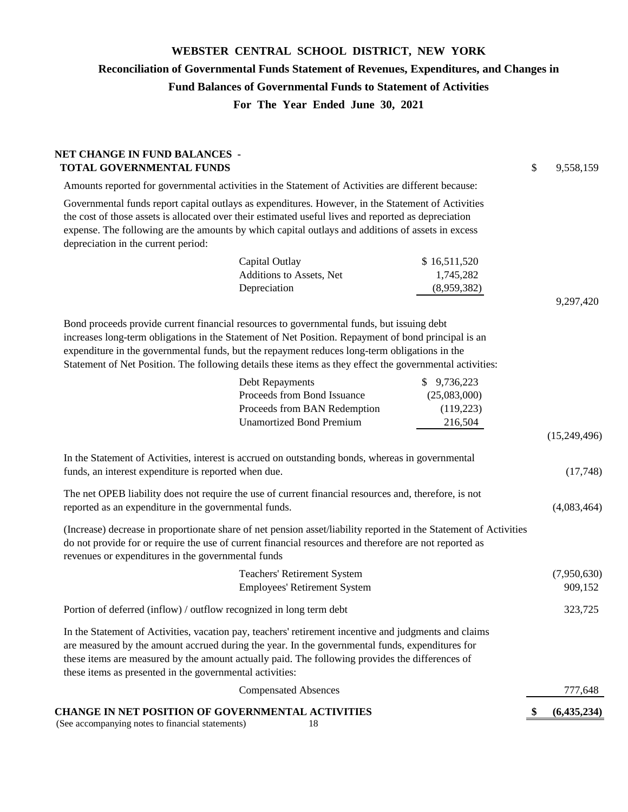# **WEBSTER CENTRAL SCHOOL DISTRICT, NEW YORK Reconciliation of Governmental Funds Statement of Revenues, Expenditures, and Changes in Fund Balances of Governmental Funds to Statement of Activities For The Year Ended June 30, 2021**

| <b>NET CHANGE IN FUND BALANCES -</b><br><b>TOTAL GOVERNMENTAL FUNDS</b>                                                                                                                                                                                                                                                                                                                                       |                                                                                                                   |                                                      | \$  | 9,558,159              |
|---------------------------------------------------------------------------------------------------------------------------------------------------------------------------------------------------------------------------------------------------------------------------------------------------------------------------------------------------------------------------------------------------------------|-------------------------------------------------------------------------------------------------------------------|------------------------------------------------------|-----|------------------------|
| Amounts reported for governmental activities in the Statement of Activities are different because:                                                                                                                                                                                                                                                                                                            |                                                                                                                   |                                                      |     |                        |
| Governmental funds report capital outlays as expenditures. However, in the Statement of Activities<br>the cost of those assets is allocated over their estimated useful lives and reported as depreciation<br>expense. The following are the amounts by which capital outlays and additions of assets in excess<br>depreciation in the current period:                                                        |                                                                                                                   |                                                      |     |                        |
|                                                                                                                                                                                                                                                                                                                                                                                                               | Capital Outlay<br>Additions to Assets, Net<br>Depreciation                                                        | \$16,511,520<br>1,745,282<br>(8,959,382)             |     | 9,297,420              |
| Bond proceeds provide current financial resources to governmental funds, but issuing debt<br>increases long-term obligations in the Statement of Net Position. Repayment of bond principal is an<br>expenditure in the governmental funds, but the repayment reduces long-term obligations in the<br>Statement of Net Position. The following details these items as they effect the governmental activities: |                                                                                                                   |                                                      |     |                        |
|                                                                                                                                                                                                                                                                                                                                                                                                               | Debt Repayments<br>Proceeds from Bond Issuance<br>Proceeds from BAN Redemption<br><b>Unamortized Bond Premium</b> | \$9,736,223<br>(25,083,000)<br>(119, 223)<br>216,504 |     | (15,249,496)           |
| In the Statement of Activities, interest is accrued on outstanding bonds, whereas in governmental<br>funds, an interest expenditure is reported when due.                                                                                                                                                                                                                                                     |                                                                                                                   |                                                      |     | (17,748)               |
| The net OPEB liability does not require the use of current financial resources and, therefore, is not<br>reported as an expenditure in the governmental funds.                                                                                                                                                                                                                                                |                                                                                                                   |                                                      |     | (4,083,464)            |
| (Increase) decrease in proportionate share of net pension asset/liability reported in the Statement of Activities<br>do not provide for or require the use of current financial resources and therefore are not reported as<br>revenues or expenditures in the governmental funds                                                                                                                             |                                                                                                                   |                                                      |     |                        |
|                                                                                                                                                                                                                                                                                                                                                                                                               | <b>Teachers' Retirement System</b><br><b>Employees' Retirement System</b>                                         |                                                      |     | (7,950,630)<br>909,152 |
| Portion of deferred (inflow) / outflow recognized in long term debt                                                                                                                                                                                                                                                                                                                                           |                                                                                                                   |                                                      |     | 323,725                |
| In the Statement of Activities, vacation pay, teachers' retirement incentive and judgments and claims<br>are measured by the amount accrued during the year. In the governmental funds, expenditures for<br>these items are measured by the amount actually paid. The following provides the differences of<br>these items as presented in the governmental activities:                                       |                                                                                                                   |                                                      |     |                        |
|                                                                                                                                                                                                                                                                                                                                                                                                               | <b>Compensated Absences</b>                                                                                       |                                                      |     | 777,648                |
| CHANGE IN NET POSITION OF GOVERNMENTAL ACTIVITIES                                                                                                                                                                                                                                                                                                                                                             |                                                                                                                   |                                                      | \$, | (6,435,234)            |

(See accompanying notes to financial statements) 18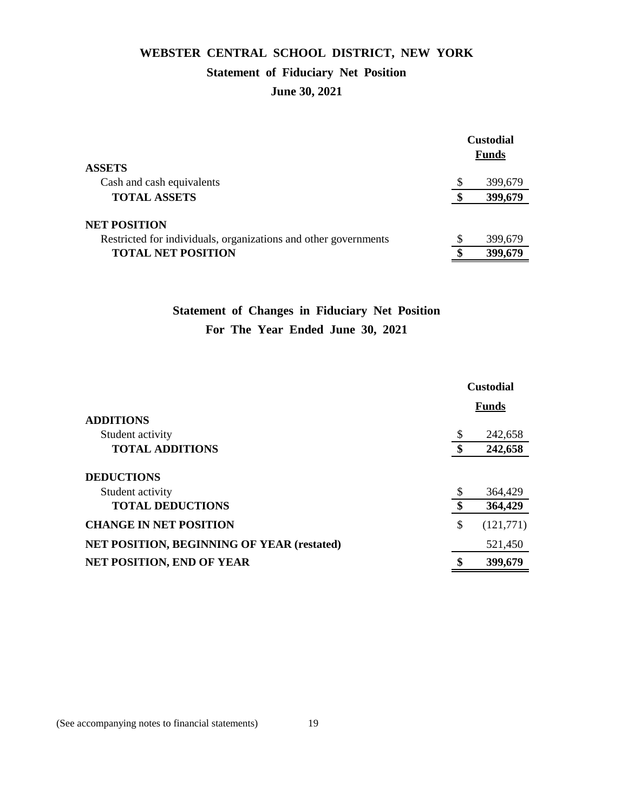## **WEBSTER CENTRAL SCHOOL DISTRICT, NEW YORK Statement of Fiduciary Net Position**

## **June 30, 2021**

| <b>ASSETS</b>                                                   |   | <b>Custodial</b><br>Funds |
|-----------------------------------------------------------------|---|---------------------------|
| Cash and cash equivalents                                       | S | 399,679                   |
| <b>TOTAL ASSETS</b>                                             |   | 399,679                   |
| <b>NET POSITION</b>                                             |   |                           |
| Restricted for individuals, organizations and other governments |   | 399,679                   |
| <b>TOTAL NET POSITION</b>                                       |   | 399,679                   |
|                                                                 |   |                           |

## **Statement of Changes in Fiduciary Net Position For The Year Ended June 30, 2021**

|                                                   | <b>Custodial</b> |              |  |
|---------------------------------------------------|------------------|--------------|--|
|                                                   |                  | <b>Funds</b> |  |
| <b>ADDITIONS</b>                                  |                  |              |  |
| Student activity                                  | S                | 242,658      |  |
| <b>TOTAL ADDITIONS</b>                            |                  | 242,658      |  |
| <b>DEDUCTIONS</b>                                 |                  |              |  |
| Student activity                                  |                  | 364,429      |  |
| <b>TOTAL DEDUCTIONS</b>                           |                  | 364,429      |  |
| <b>CHANGE IN NET POSITION</b>                     | \$               | (121,771)    |  |
| <b>NET POSITION, BEGINNING OF YEAR (restated)</b> |                  | 521,450      |  |
| <b>NET POSITION, END OF YEAR</b>                  |                  | 399,679      |  |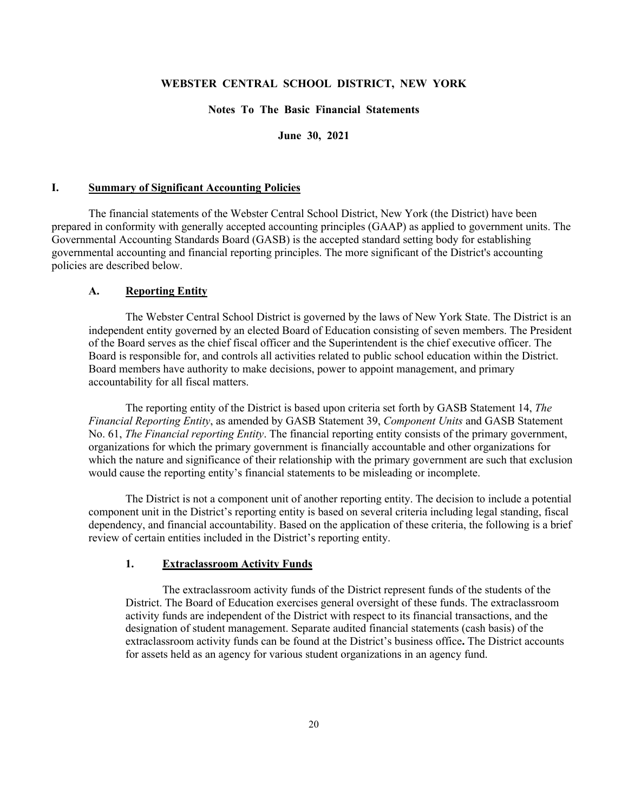#### **Notes To The Basic Financial Statements**

**June 30, 2021**

#### **I. Summary of Significant Accounting Policies**

The financial statements of the Webster Central School District, New York (the District) have been prepared in conformity with generally accepted accounting principles (GAAP) as applied to government units. The Governmental Accounting Standards Board (GASB) is the accepted standard setting body for establishing governmental accounting and financial reporting principles. The more significant of the District's accounting policies are described below.

#### **A. Reporting Entity**

The Webster Central School District is governed by the laws of New York State. The District is an independent entity governed by an elected Board of Education consisting of seven members. The President of the Board serves as the chief fiscal officer and the Superintendent is the chief executive officer. The Board is responsible for, and controls all activities related to public school education within the District. Board members have authority to make decisions, power to appoint management, and primary accountability for all fiscal matters.

The reporting entity of the District is based upon criteria set forth by GASB Statement 14, *The Financial Reporting Entity*, as amended by GASB Statement 39, *Component Units* and GASB Statement No. 61, *The Financial reporting Entity*. The financial reporting entity consists of the primary government, organizations for which the primary government is financially accountable and other organizations for which the nature and significance of their relationship with the primary government are such that exclusion would cause the reporting entity's financial statements to be misleading or incomplete.

The District is not a component unit of another reporting entity. The decision to include a potential component unit in the District's reporting entity is based on several criteria including legal standing, fiscal dependency, and financial accountability. Based on the application of these criteria, the following is a brief review of certain entities included in the District's reporting entity.

#### **1. Extraclassroom Activity Funds**

The extraclassroom activity funds of the District represent funds of the students of the District. The Board of Education exercises general oversight of these funds. The extraclassroom activity funds are independent of the District with respect to its financial transactions, and the designation of student management. Separate audited financial statements (cash basis) of the extraclassroom activity funds can be found at the District's business office**.** The District accounts for assets held as an agency for various student organizations in an agency fund.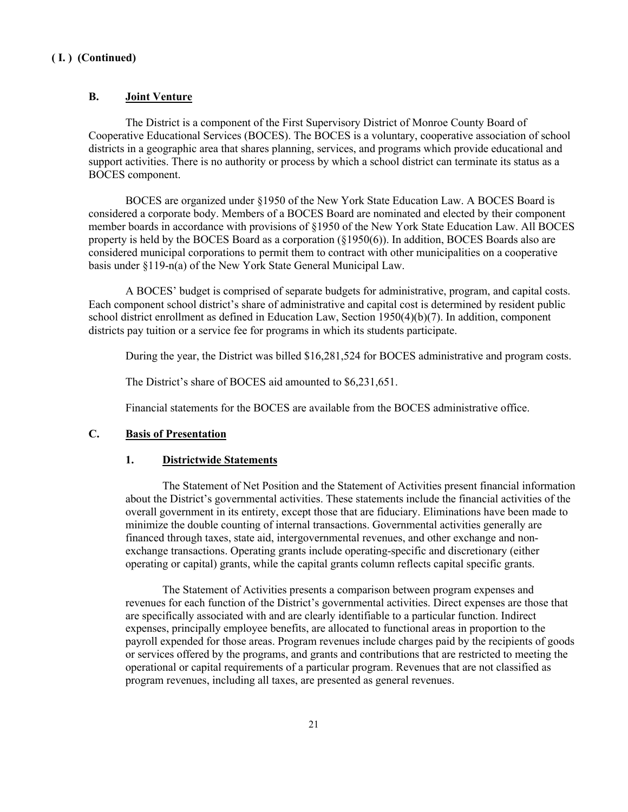#### **B. Joint Venture**

The District is a component of the First Supervisory District of Monroe County Board of Cooperative Educational Services (BOCES). The BOCES is a voluntary, cooperative association of school districts in a geographic area that shares planning, services, and programs which provide educational and support activities. There is no authority or process by which a school district can terminate its status as a BOCES component.

BOCES are organized under §1950 of the New York State Education Law. A BOCES Board is considered a corporate body. Members of a BOCES Board are nominated and elected by their component member boards in accordance with provisions of §1950 of the New York State Education Law. All BOCES property is held by the BOCES Board as a corporation (§1950(6)). In addition, BOCES Boards also are considered municipal corporations to permit them to contract with other municipalities on a cooperative basis under §119-n(a) of the New York State General Municipal Law.

A BOCES' budget is comprised of separate budgets for administrative, program, and capital costs. Each component school district's share of administrative and capital cost is determined by resident public school district enrollment as defined in Education Law, Section 1950(4)(b)(7). In addition, component districts pay tuition or a service fee for programs in which its students participate.

During the year, the District was billed \$16,281,524 for BOCES administrative and program costs.

The District's share of BOCES aid amounted to \$6,231,651.

Financial statements for the BOCES are available from the BOCES administrative office.

### **C. Basis of Presentation**

#### **1. Districtwide Statements**

The Statement of Net Position and the Statement of Activities present financial information about the District's governmental activities. These statements include the financial activities of the overall government in its entirety, except those that are fiduciary. Eliminations have been made to minimize the double counting of internal transactions. Governmental activities generally are financed through taxes, state aid, intergovernmental revenues, and other exchange and nonexchange transactions. Operating grants include operating-specific and discretionary (either operating or capital) grants, while the capital grants column reflects capital specific grants.

The Statement of Activities presents a comparison between program expenses and revenues for each function of the District's governmental activities. Direct expenses are those that are specifically associated with and are clearly identifiable to a particular function. Indirect expenses, principally employee benefits, are allocated to functional areas in proportion to the payroll expended for those areas. Program revenues include charges paid by the recipients of goods or services offered by the programs, and grants and contributions that are restricted to meeting the operational or capital requirements of a particular program. Revenues that are not classified as program revenues, including all taxes, are presented as general revenues.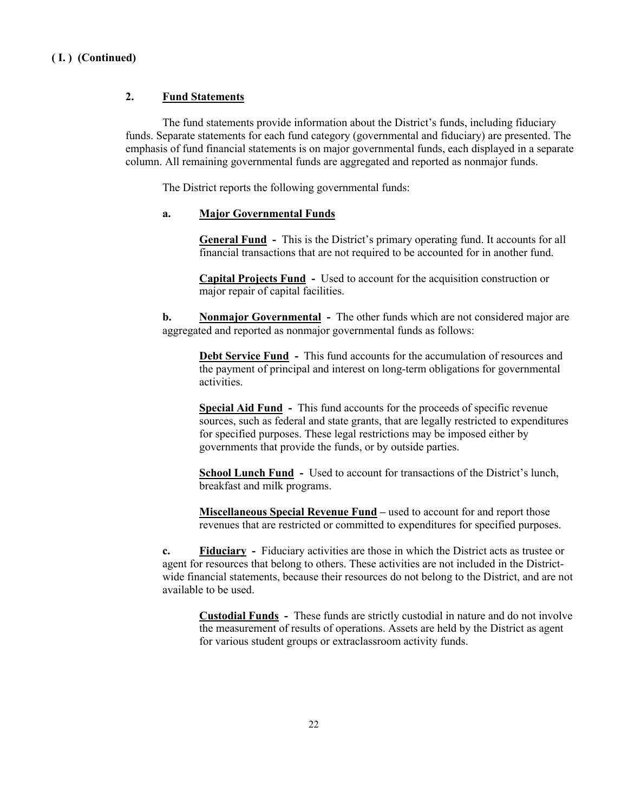#### **2. Fund Statements**

The fund statements provide information about the District's funds, including fiduciary funds. Separate statements for each fund category (governmental and fiduciary) are presented. The emphasis of fund financial statements is on major governmental funds, each displayed in a separate column. All remaining governmental funds are aggregated and reported as nonmajor funds.

The District reports the following governmental funds:

#### **a. Major Governmental Funds**

**General Fund -** This is the District's primary operating fund. It accounts for all financial transactions that are not required to be accounted for in another fund.

**Capital Projects Fund -** Used to account for the acquisition construction or major repair of capital facilities.

**b. Nonmajor Governmental -** The other funds which are not considered major are aggregated and reported as nonmajor governmental funds as follows:

**Debt Service Fund -** This fund accounts for the accumulation of resources and the payment of principal and interest on long-term obligations for governmental activities.

**Special Aid Fund -** This fund accounts for the proceeds of specific revenue sources, such as federal and state grants, that are legally restricted to expenditures for specified purposes. These legal restrictions may be imposed either by governments that provide the funds, or by outside parties.

**School Lunch Fund -** Used to account for transactions of the District's lunch, breakfast and milk programs.

**Miscellaneous Special Revenue Fund –** used to account for and report those revenues that are restricted or committed to expenditures for specified purposes.

**c. Fiduciary -** Fiduciary activities are those in which the District acts as trustee or agent for resources that belong to others. These activities are not included in the Districtwide financial statements, because their resources do not belong to the District, and are not available to be used.

**Custodial Funds -** These funds are strictly custodial in nature and do not involve the measurement of results of operations. Assets are held by the District as agent for various student groups or extraclassroom activity funds.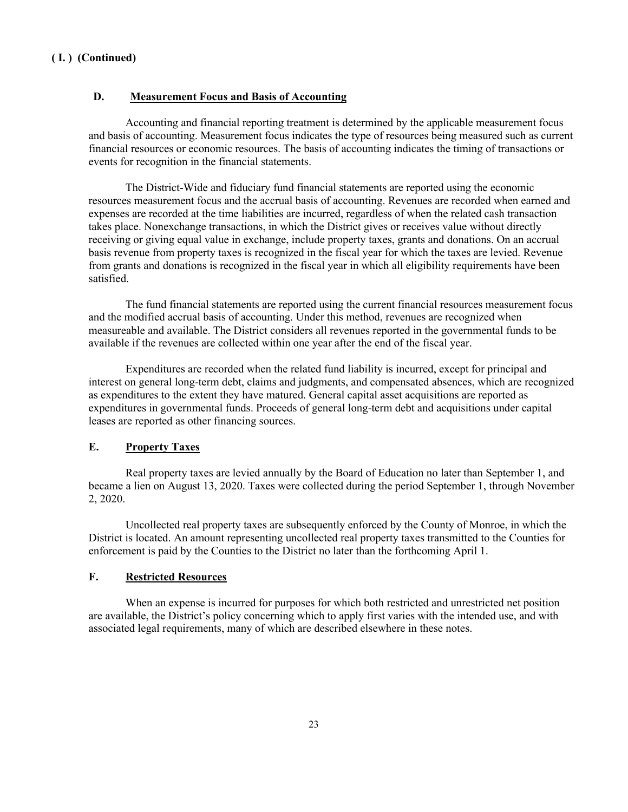#### **D. Measurement Focus and Basis of Accounting**

Accounting and financial reporting treatment is determined by the applicable measurement focus and basis of accounting. Measurement focus indicates the type of resources being measured such as current financial resources or economic resources. The basis of accounting indicates the timing of transactions or events for recognition in the financial statements.

The District-Wide and fiduciary fund financial statements are reported using the economic resources measurement focus and the accrual basis of accounting. Revenues are recorded when earned and expenses are recorded at the time liabilities are incurred, regardless of when the related cash transaction takes place. Nonexchange transactions, in which the District gives or receives value without directly receiving or giving equal value in exchange, include property taxes, grants and donations. On an accrual basis revenue from property taxes is recognized in the fiscal year for which the taxes are levied. Revenue from grants and donations is recognized in the fiscal year in which all eligibility requirements have been satisfied.

The fund financial statements are reported using the current financial resources measurement focus and the modified accrual basis of accounting. Under this method, revenues are recognized when measureable and available. The District considers all revenues reported in the governmental funds to be available if the revenues are collected within one year after the end of the fiscal year.

Expenditures are recorded when the related fund liability is incurred, except for principal and interest on general long-term debt, claims and judgments, and compensated absences, which are recognized as expenditures to the extent they have matured. General capital asset acquisitions are reported as expenditures in governmental funds. Proceeds of general long-term debt and acquisitions under capital leases are reported as other financing sources.

#### **E. Property Taxes**

Real property taxes are levied annually by the Board of Education no later than September 1, and became a lien on August 13, 2020. Taxes were collected during the period September 1, through November 2, 2020.

Uncollected real property taxes are subsequently enforced by the County of Monroe, in which the District is located. An amount representing uncollected real property taxes transmitted to the Counties for enforcement is paid by the Counties to the District no later than the forthcoming April 1.

#### **F. Restricted Resources**

When an expense is incurred for purposes for which both restricted and unrestricted net position are available, the District's policy concerning which to apply first varies with the intended use, and with associated legal requirements, many of which are described elsewhere in these notes.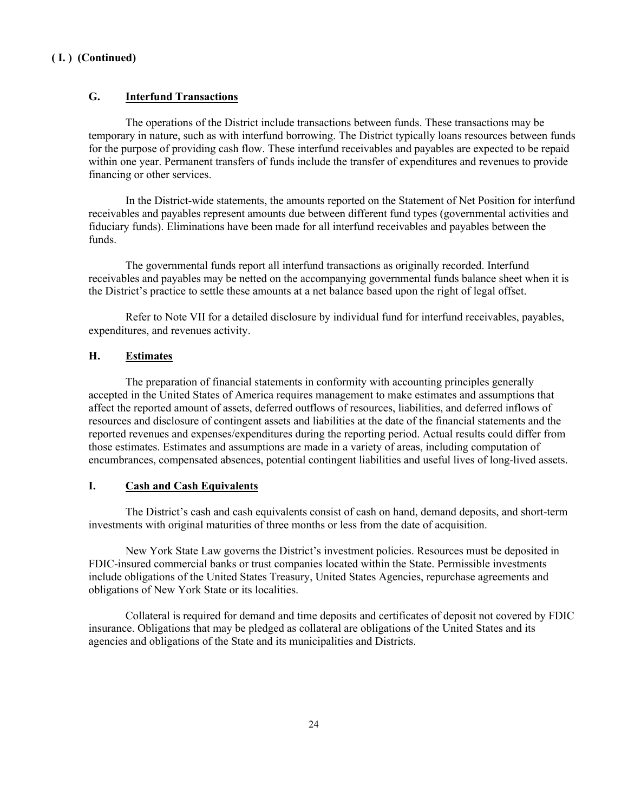### **G. Interfund Transactions**

The operations of the District include transactions between funds. These transactions may be temporary in nature, such as with interfund borrowing. The District typically loans resources between funds for the purpose of providing cash flow. These interfund receivables and payables are expected to be repaid within one year. Permanent transfers of funds include the transfer of expenditures and revenues to provide financing or other services.

In the District-wide statements, the amounts reported on the Statement of Net Position for interfund receivables and payables represent amounts due between different fund types (governmental activities and fiduciary funds). Eliminations have been made for all interfund receivables and payables between the funds.

The governmental funds report all interfund transactions as originally recorded. Interfund receivables and payables may be netted on the accompanying governmental funds balance sheet when it is the District's practice to settle these amounts at a net balance based upon the right of legal offset.

Refer to Note VII for a detailed disclosure by individual fund for interfund receivables, payables, expenditures, and revenues activity.

### **H. Estimates**

The preparation of financial statements in conformity with accounting principles generally accepted in the United States of America requires management to make estimates and assumptions that affect the reported amount of assets, deferred outflows of resources, liabilities, and deferred inflows of resources and disclosure of contingent assets and liabilities at the date of the financial statements and the reported revenues and expenses/expenditures during the reporting period. Actual results could differ from those estimates. Estimates and assumptions are made in a variety of areas, including computation of encumbrances, compensated absences, potential contingent liabilities and useful lives of long-lived assets.

#### **I. Cash and Cash Equivalents**

The District's cash and cash equivalents consist of cash on hand, demand deposits, and short-term investments with original maturities of three months or less from the date of acquisition.

New York State Law governs the District's investment policies. Resources must be deposited in FDIC-insured commercial banks or trust companies located within the State. Permissible investments include obligations of the United States Treasury, United States Agencies, repurchase agreements and obligations of New York State or its localities.

Collateral is required for demand and time deposits and certificates of deposit not covered by FDIC insurance. Obligations that may be pledged as collateral are obligations of the United States and its agencies and obligations of the State and its municipalities and Districts.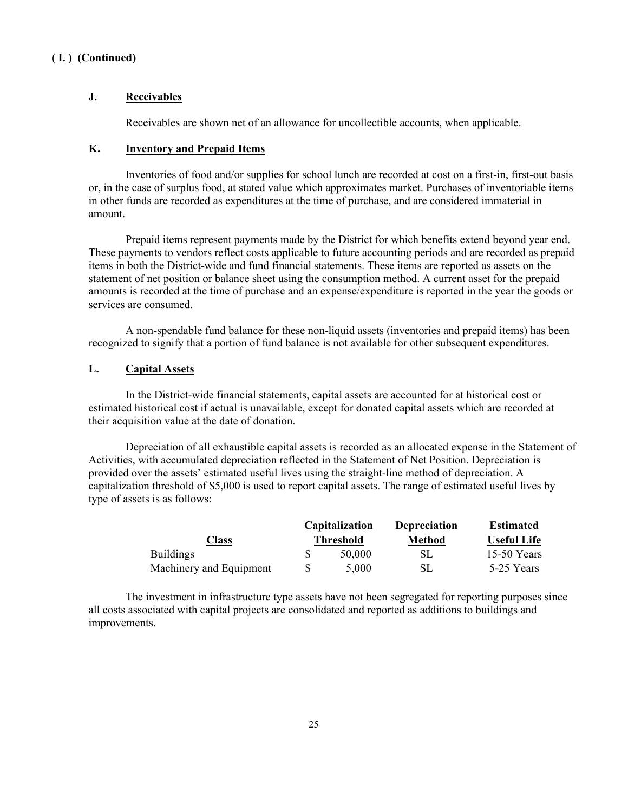#### **J. Receivables**

Receivables are shown net of an allowance for uncollectible accounts, when applicable.

#### **K. Inventory and Prepaid Items**

Inventories of food and/or supplies for school lunch are recorded at cost on a first-in, first-out basis or, in the case of surplus food, at stated value which approximates market. Purchases of inventoriable items in other funds are recorded as expenditures at the time of purchase, and are considered immaterial in amount.

Prepaid items represent payments made by the District for which benefits extend beyond year end. These payments to vendors reflect costs applicable to future accounting periods and are recorded as prepaid items in both the District-wide and fund financial statements. These items are reported as assets on the statement of net position or balance sheet using the consumption method. A current asset for the prepaid amounts is recorded at the time of purchase and an expense/expenditure is reported in the year the goods or services are consumed.

A non-spendable fund balance for these non-liquid assets (inventories and prepaid items) has been recognized to signify that a portion of fund balance is not available for other subsequent expenditures.

#### **L. Capital Assets**

In the District-wide financial statements, capital assets are accounted for at historical cost or estimated historical cost if actual is unavailable, except for donated capital assets which are recorded at their acquisition value at the date of donation.

Depreciation of all exhaustible capital assets is recorded as an allocated expense in the Statement of Activities, with accumulated depreciation reflected in the Statement of Net Position. Depreciation is provided over the assets' estimated useful lives using the straight-line method of depreciation. A capitalization threshold of \$5,000 is used to report capital assets. The range of estimated useful lives by type of assets is as follows:

|                         | <b>Capitalization</b> | <b>Depreciation</b> | <b>Estimated</b>   |
|-------------------------|-----------------------|---------------------|--------------------|
| Class                   | Threshold             | <b>Method</b>       | <b>Useful Life</b> |
| <b>Buildings</b>        | 50,000                | SL.                 | 15-50 Years        |
| Machinery and Equipment | 5.000                 | SL.                 | 5-25 Years         |

The investment in infrastructure type assets have not been segregated for reporting purposes since all costs associated with capital projects are consolidated and reported as additions to buildings and improvements.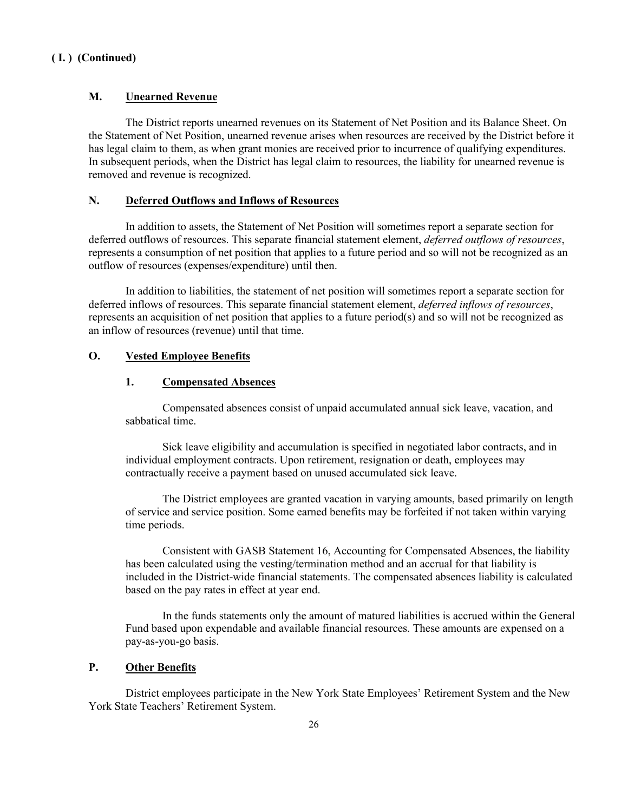#### **M. Unearned Revenue**

The District reports unearned revenues on its Statement of Net Position and its Balance Sheet. On the Statement of Net Position, unearned revenue arises when resources are received by the District before it has legal claim to them, as when grant monies are received prior to incurrence of qualifying expenditures. In subsequent periods, when the District has legal claim to resources, the liability for unearned revenue is removed and revenue is recognized.

#### **N. Deferred Outflows and Inflows of Resources**

In addition to assets, the Statement of Net Position will sometimes report a separate section for deferred outflows of resources. This separate financial statement element, *deferred outflows of resources*, represents a consumption of net position that applies to a future period and so will not be recognized as an outflow of resources (expenses/expenditure) until then.

In addition to liabilities, the statement of net position will sometimes report a separate section for deferred inflows of resources. This separate financial statement element, *deferred inflows of resources*, represents an acquisition of net position that applies to a future period(s) and so will not be recognized as an inflow of resources (revenue) until that time.

#### **O. Vested Employee Benefits**

#### **1. Compensated Absences**

Compensated absences consist of unpaid accumulated annual sick leave, vacation, and sabbatical time.

Sick leave eligibility and accumulation is specified in negotiated labor contracts, and in individual employment contracts. Upon retirement, resignation or death, employees may contractually receive a payment based on unused accumulated sick leave.

The District employees are granted vacation in varying amounts, based primarily on length of service and service position. Some earned benefits may be forfeited if not taken within varying time periods.

Consistent with GASB Statement 16, Accounting for Compensated Absences, the liability has been calculated using the vesting/termination method and an accrual for that liability is included in the District-wide financial statements. The compensated absences liability is calculated based on the pay rates in effect at year end.

In the funds statements only the amount of matured liabilities is accrued within the General Fund based upon expendable and available financial resources. These amounts are expensed on a pay-as-you-go basis.

#### **P. Other Benefits**

District employees participate in the New York State Employees' Retirement System and the New York State Teachers' Retirement System.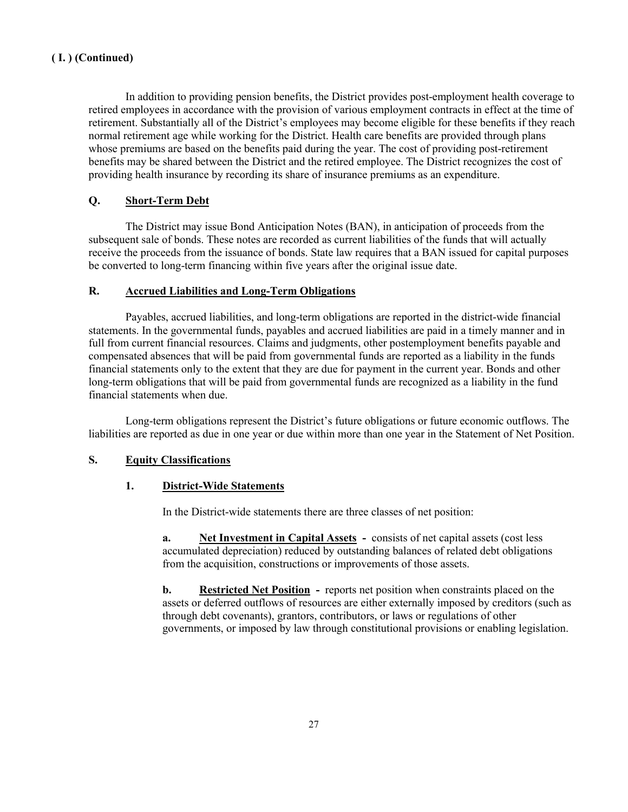In addition to providing pension benefits, the District provides post-employment health coverage to retired employees in accordance with the provision of various employment contracts in effect at the time of retirement. Substantially all of the District's employees may become eligible for these benefits if they reach normal retirement age while working for the District. Health care benefits are provided through plans whose premiums are based on the benefits paid during the year. The cost of providing post-retirement benefits may be shared between the District and the retired employee. The District recognizes the cost of providing health insurance by recording its share of insurance premiums as an expenditure.

### **Q. Short-Term Debt**

The District may issue Bond Anticipation Notes (BAN), in anticipation of proceeds from the subsequent sale of bonds. These notes are recorded as current liabilities of the funds that will actually receive the proceeds from the issuance of bonds. State law requires that a BAN issued for capital purposes be converted to long-term financing within five years after the original issue date.

#### **R. Accrued Liabilities and Long-Term Obligations**

Payables, accrued liabilities, and long-term obligations are reported in the district-wide financial statements. In the governmental funds, payables and accrued liabilities are paid in a timely manner and in full from current financial resources. Claims and judgments, other postemployment benefits payable and compensated absences that will be paid from governmental funds are reported as a liability in the funds financial statements only to the extent that they are due for payment in the current year. Bonds and other long-term obligations that will be paid from governmental funds are recognized as a liability in the fund financial statements when due.

Long-term obligations represent the District's future obligations or future economic outflows. The liabilities are reported as due in one year or due within more than one year in the Statement of Net Position.

#### **S. Equity Classifications**

#### **1. District-Wide Statements**

In the District-wide statements there are three classes of net position:

**a. Net Investment in Capital Assets -** consists of net capital assets (cost less accumulated depreciation) reduced by outstanding balances of related debt obligations from the acquisition, constructions or improvements of those assets.

**b. Restricted Net Position** - reports net position when constraints placed on the assets or deferred outflows of resources are either externally imposed by creditors (such as through debt covenants), grantors, contributors, or laws or regulations of other governments, or imposed by law through constitutional provisions or enabling legislation.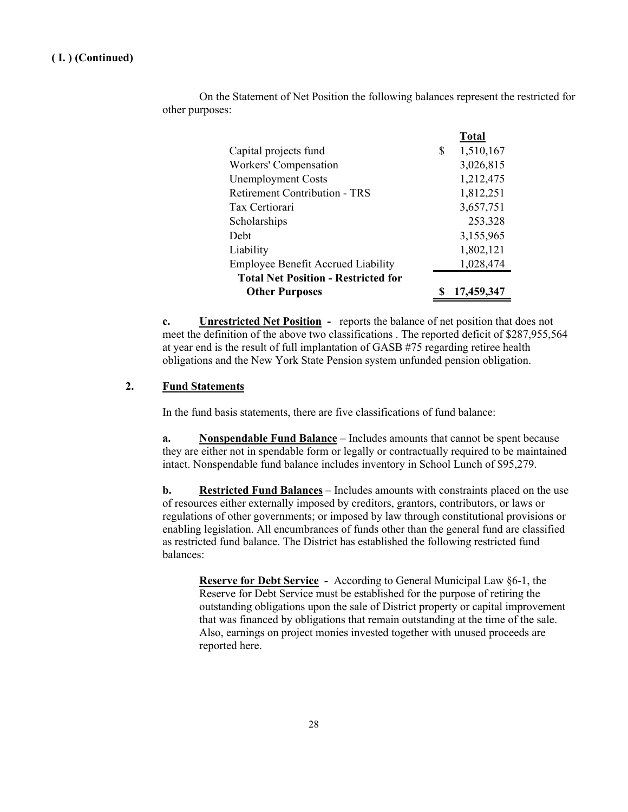|                                            |   | <b>Total</b> |
|--------------------------------------------|---|--------------|
| Capital projects fund                      | S | 1,510,167    |
| Workers' Compensation                      |   | 3,026,815    |
| <b>Unemployment Costs</b>                  |   | 1,212,475    |
| <b>Retirement Contribution - TRS</b>       |   | 1,812,251    |
| Tax Certiorari                             |   | 3,657,751    |
| Scholarships                               |   | 253,328      |
| Debt                                       |   | 3,155,965    |
| Liability                                  |   | 1,802,121    |
| <b>Employee Benefit Accrued Liability</b>  |   | 1,028,474    |
| <b>Total Net Position - Restricted for</b> |   |              |
| <b>Other Purposes</b>                      |   | 17,459,347   |

On the Statement of Net Position the following balances represent the restricted for other purposes:

**c. Unrestricted Net Position -** reports the balance of net position that does not meet the definition of the above two classifications . The reported deficit of \$287,955,564 at year end is the result of full implantation of GASB #75 regarding retiree health obligations and the New York State Pension system unfunded pension obligation.

### **2. Fund Statements**

In the fund basis statements, there are five classifications of fund balance:

**a. Nonspendable Fund Balance** – Includes amounts that cannot be spent because they are either not in spendable form or legally or contractually required to be maintained intact. Nonspendable fund balance includes inventory in School Lunch of \$95,279.

**b. Restricted Fund Balances** – Includes amounts with constraints placed on the use of resources either externally imposed by creditors, grantors, contributors, or laws or regulations of other governments; or imposed by law through constitutional provisions or enabling legislation. All encumbrances of funds other than the general fund are classified as restricted fund balance. The District has established the following restricted fund balances:

**Reserve for Debt Service -** According to General Municipal Law §6-1, the Reserve for Debt Service must be established for the purpose of retiring the outstanding obligations upon the sale of District property or capital improvement that was financed by obligations that remain outstanding at the time of the sale. Also, earnings on project monies invested together with unused proceeds are reported here.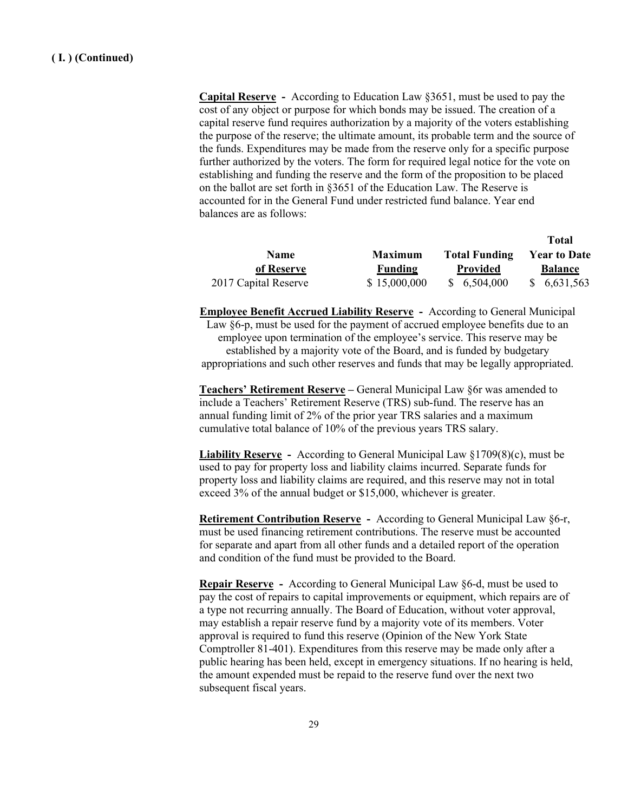**Capital Reserve -** According to Education Law §3651, must be used to pay the cost of any object or purpose for which bonds may be issued. The creation of a capital reserve fund requires authorization by a majority of the voters establishing the purpose of the reserve; the ultimate amount, its probable term and the source of the funds. Expenditures may be made from the reserve only for a specific purpose further authorized by the voters. The form for required legal notice for the vote on establishing and funding the reserve and the form of the proposition to be placed on the ballot are set forth in §3651 of the Education Law. The Reserve is accounted for in the General Fund under restricted fund balance. Year end balances are as follows:

|                      |                |                      | <b>Total</b>        |
|----------------------|----------------|----------------------|---------------------|
| <b>Name</b>          | <b>Maximum</b> | <b>Total Funding</b> | <b>Year to Date</b> |
| of Reserve           | <b>Funding</b> | <b>Provided</b>      | <b>Balance</b>      |
| 2017 Capital Reserve | \$15,000,000   | \$6,504,000          | \$6,631,563         |

**Employee Benefit Accrued Liability Reserve -** According to General Municipal Law §6-p, must be used for the payment of accrued employee benefits due to an employee upon termination of the employee's service. This reserve may be established by a majority vote of the Board, and is funded by budgetary appropriations and such other reserves and funds that may be legally appropriated.

**Teachers' Retirement Reserve –** General Municipal Law §6r was amended to include a Teachers' Retirement Reserve (TRS) sub-fund. The reserve has an annual funding limit of 2% of the prior year TRS salaries and a maximum cumulative total balance of 10% of the previous years TRS salary.

**Liability Reserve -** According to General Municipal Law §1709(8)(c), must be used to pay for property loss and liability claims incurred. Separate funds for property loss and liability claims are required, and this reserve may not in total exceed 3% of the annual budget or \$15,000, whichever is greater.

**Retirement Contribution Reserve -** According to General Municipal Law §6-r, must be used financing retirement contributions. The reserve must be accounted for separate and apart from all other funds and a detailed report of the operation and condition of the fund must be provided to the Board.

**Repair Reserve -** According to General Municipal Law §6-d, must be used to pay the cost of repairs to capital improvements or equipment, which repairs are of a type not recurring annually. The Board of Education, without voter approval, may establish a repair reserve fund by a majority vote of its members. Voter approval is required to fund this reserve (Opinion of the New York State Comptroller 81-401). Expenditures from this reserve may be made only after a public hearing has been held, except in emergency situations. If no hearing is held, the amount expended must be repaid to the reserve fund over the next two subsequent fiscal years.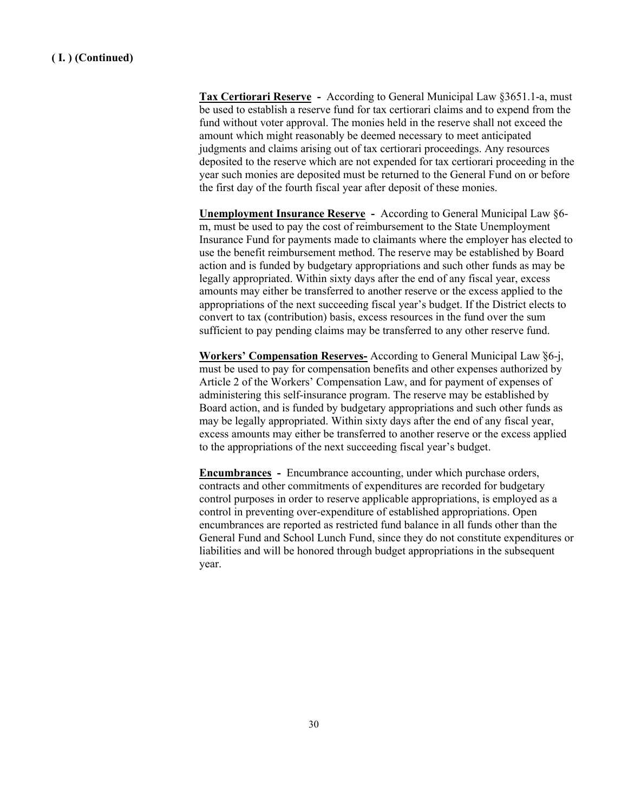**Tax Certiorari Reserve -** According to General Municipal Law §3651.1-a, must be used to establish a reserve fund for tax certiorari claims and to expend from the fund without voter approval. The monies held in the reserve shall not exceed the amount which might reasonably be deemed necessary to meet anticipated judgments and claims arising out of tax certiorari proceedings. Any resources deposited to the reserve which are not expended for tax certiorari proceeding in the year such monies are deposited must be returned to the General Fund on or before the first day of the fourth fiscal year after deposit of these monies.

**Unemployment Insurance Reserve -** According to General Municipal Law §6 m, must be used to pay the cost of reimbursement to the State Unemployment Insurance Fund for payments made to claimants where the employer has elected to use the benefit reimbursement method. The reserve may be established by Board action and is funded by budgetary appropriations and such other funds as may be legally appropriated. Within sixty days after the end of any fiscal year, excess amounts may either be transferred to another reserve or the excess applied to the appropriations of the next succeeding fiscal year's budget. If the District elects to convert to tax (contribution) basis, excess resources in the fund over the sum sufficient to pay pending claims may be transferred to any other reserve fund.

**Workers' Compensation Reserves-** According to General Municipal Law ̕§6-j, must be used to pay for compensation benefits and other expenses authorized by Article 2 of the Workers' Compensation Law, and for payment of expenses of administering this self-insurance program. The reserve may be established by Board action, and is funded by budgetary appropriations and such other funds as may be legally appropriated. Within sixty days after the end of any fiscal year, excess amounts may either be transferred to another reserve or the excess applied to the appropriations of the next succeeding fiscal year's budget.

**Encumbrances -** Encumbrance accounting, under which purchase orders, contracts and other commitments of expenditures are recorded for budgetary control purposes in order to reserve applicable appropriations, is employed as a control in preventing over-expenditure of established appropriations. Open encumbrances are reported as restricted fund balance in all funds other than the General Fund and School Lunch Fund, since they do not constitute expenditures or liabilities and will be honored through budget appropriations in the subsequent year.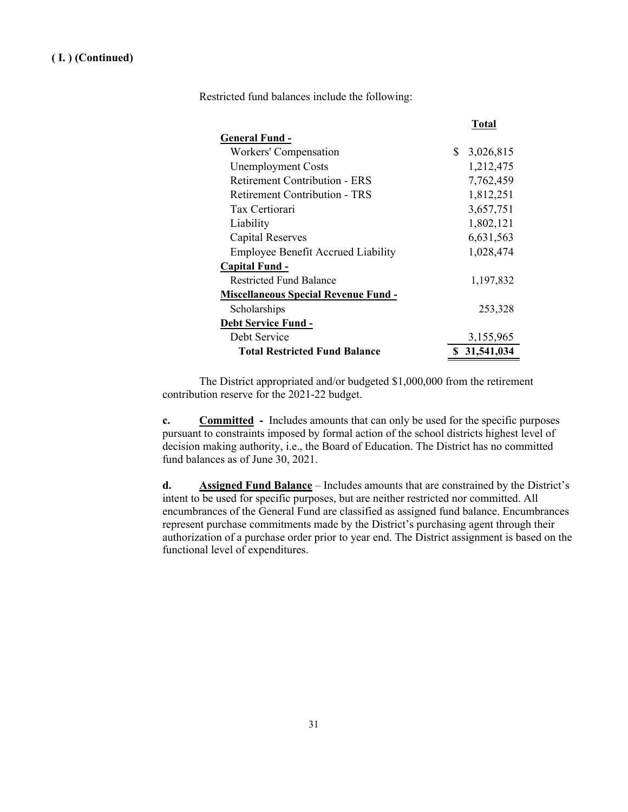Restricted fund balances include the following:

|                                             | Total           |
|---------------------------------------------|-----------------|
| General Fund -                              |                 |
| Workers' Compensation                       | \$<br>3,026,815 |
| <b>Unemployment Costs</b>                   | 1,212,475       |
| <b>Retirement Contribution - ERS</b>        | 7,762,459       |
| Retirement Contribution - TRS               | 1,812,251       |
| Tax Certiorari                              | 3,657,751       |
| Liability                                   | 1,802,121       |
| Capital Reserves                            | 6,631,563       |
| <b>Employee Benefit Accrued Liability</b>   | 1,028,474       |
| Capital Fund -                              |                 |
| <b>Restricted Fund Balance</b>              | 1,197,832       |
| <b>Miscellaneous Special Revenue Fund -</b> |                 |
| Scholarships                                | 253,328         |
| <b>Debt Service Fund -</b>                  |                 |
| Debt Service                                | 3,155,965       |
| <b>Total Restricted Fund Balance</b>        | \$31,541,034    |

The District appropriated and/or budgeted \$1,000,000 from the retirement contribution reserve for the 2021-22 budget.

**c. Committed** - Includes amounts that can only be used for the specific purposes pursuant to constraints imposed by formal action of the school districts highest level of decision making authority, i.e., the Board of Education. The District has no committed fund balances as of June 30, 2021.

**d. Assigned Fund Balance** – Includes amounts that are constrained by the District's intent to be used for specific purposes, but are neither restricted nor committed. All encumbrances of the General Fund are classified as assigned fund balance. Encumbrances represent purchase commitments made by the District's purchasing agent through their authorization of a purchase order prior to year end. The District assignment is based on the functional level of expenditures.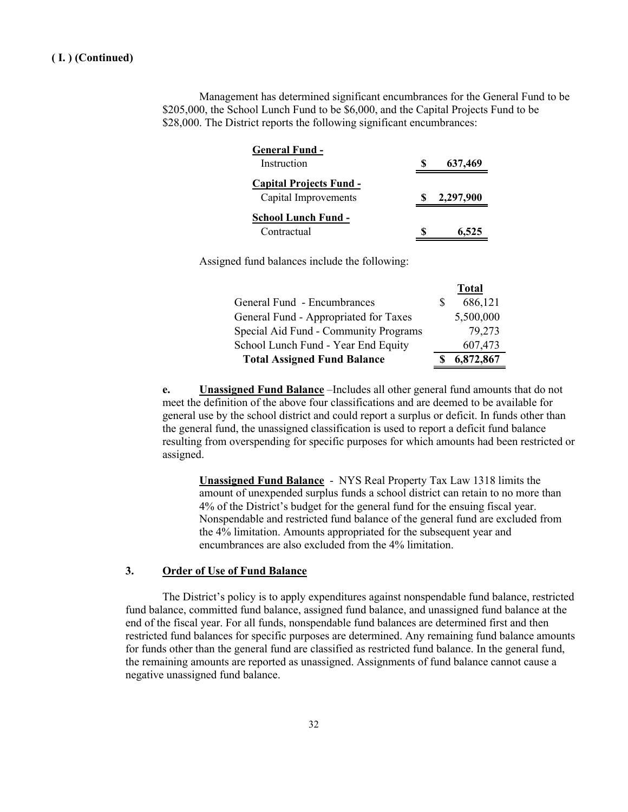Management has determined significant encumbrances for the General Fund to be \$205,000, the School Lunch Fund to be \$6,000, and the Capital Projects Fund to be \$28,000. The District reports the following significant encumbrances:

| <b>General Fund -</b>                                  |           |
|--------------------------------------------------------|-----------|
| Instruction                                            | 637,469   |
| <b>Capital Projects Fund -</b><br>Capital Improvements | 2,297,900 |
| <b>School Lunch Fund -</b>                             |           |
| Contractual                                            | 6.525     |

Assigned fund balances include the following:

|                                       |   | 1 otal    |
|---------------------------------------|---|-----------|
| General Fund - Encumbrances           | S | 686,121   |
| General Fund - Appropriated for Taxes |   | 5,500,000 |
| Special Aid Fund - Community Programs |   | 79,273    |
| School Lunch Fund - Year End Equity   |   | 607,473   |
| <b>Total Assigned Fund Balance</b>    |   | 6,872,867 |

**Total**

**e. Unassigned Fund Balance** –Includes all other general fund amounts that do not meet the definition of the above four classifications and are deemed to be available for general use by the school district and could report a surplus or deficit. In funds other than the general fund, the unassigned classification is used to report a deficit fund balance resulting from overspending for specific purposes for which amounts had been restricted or assigned.

**Unassigned Fund Balance** - NYS Real Property Tax Law 1318 limits the amount of unexpended surplus funds a school district can retain to no more than 4% of the District's budget for the general fund for the ensuing fiscal year. Nonspendable and restricted fund balance of the general fund are excluded from the 4% limitation. Amounts appropriated for the subsequent year and encumbrances are also excluded from the 4% limitation.

#### **3. Order of Use of Fund Balance**

The District's policy is to apply expenditures against nonspendable fund balance, restricted fund balance, committed fund balance, assigned fund balance, and unassigned fund balance at the end of the fiscal year. For all funds, nonspendable fund balances are determined first and then restricted fund balances for specific purposes are determined. Any remaining fund balance amounts for funds other than the general fund are classified as restricted fund balance. In the general fund, the remaining amounts are reported as unassigned. Assignments of fund balance cannot cause a negative unassigned fund balance.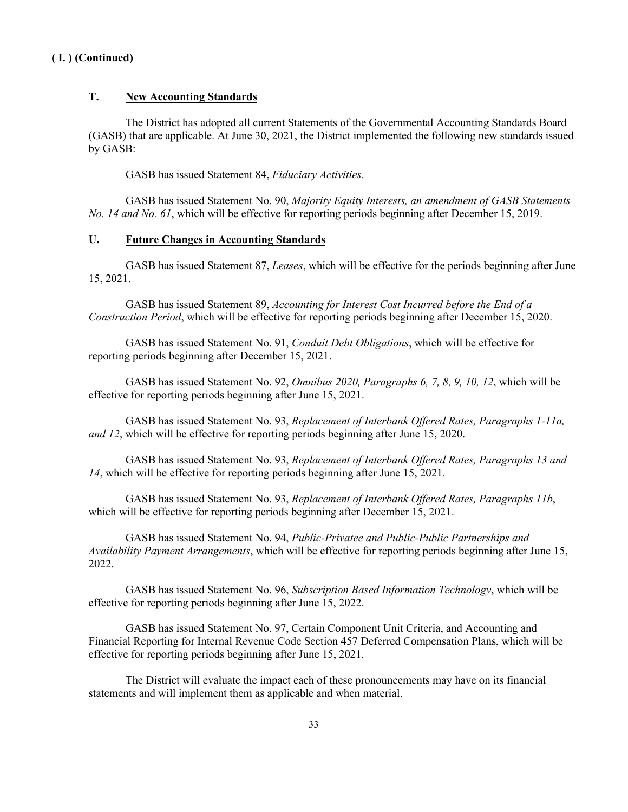### **T. New Accounting Standards**

The District has adopted all current Statements of the Governmental Accounting Standards Board (GASB) that are applicable. At June 30, 2021, the District implemented the following new standards issued by GASB:

GASB has issued Statement 84, *Fiduciary Activities*.

GASB has issued Statement No. 90, *Majority Equity Interests, an amendment of GASB Statements No. 14 and No. 61*, which will be effective for reporting periods beginning after December 15, 2019.

#### **U. Future Changes in Accounting Standards**

GASB has issued Statement 87, *Leases*, which will be effective for the periods beginning after June 15, 2021.

GASB has issued Statement 89, *Accounting for Interest Cost Incurred before the End of a Construction Period*, which will be effective for reporting periods beginning after December 15, 2020.

GASB has issued Statement No. 91, *Conduit Debt Obligations*, which will be effective for reporting periods beginning after December 15, 2021.

GASB has issued Statement No. 92, *Omnibus 2020, Paragraphs 6, 7, 8, 9, 10, 12*, which will be effective for reporting periods beginning after June 15, 2021.

GASB has issued Statement No. 93, *Replacement of Interbank Offered Rates, Paragraphs 1-11a, and 12*, which will be effective for reporting periods beginning after June 15, 2020.

GASB has issued Statement No. 93, *Replacement of Interbank Offered Rates, Paragraphs 13 and 14*, which will be effective for reporting periods beginning after June 15, 2021.

GASB has issued Statement No. 93, *Replacement of Interbank Offered Rates, Paragraphs 11b*, which will be effective for reporting periods beginning after December 15, 2021.

GASB has issued Statement No. 94, *Public-Privatee and Public-Public Partnerships and Availability Payment Arrangements*, which will be effective for reporting periods beginning after June 15, 2022.

GASB has issued Statement No. 96, *Subscription Based Information Technology*, which will be effective for reporting periods beginning after June 15, 2022.

GASB has issued Statement No. 97, Certain Component Unit Criteria, and Accounting and Financial Reporting for Internal Revenue Code Section 457 Deferred Compensation Plans, which will be effective for reporting periods beginning after June 15, 2021.

The District will evaluate the impact each of these pronouncements may have on its financial statements and will implement them as applicable and when material.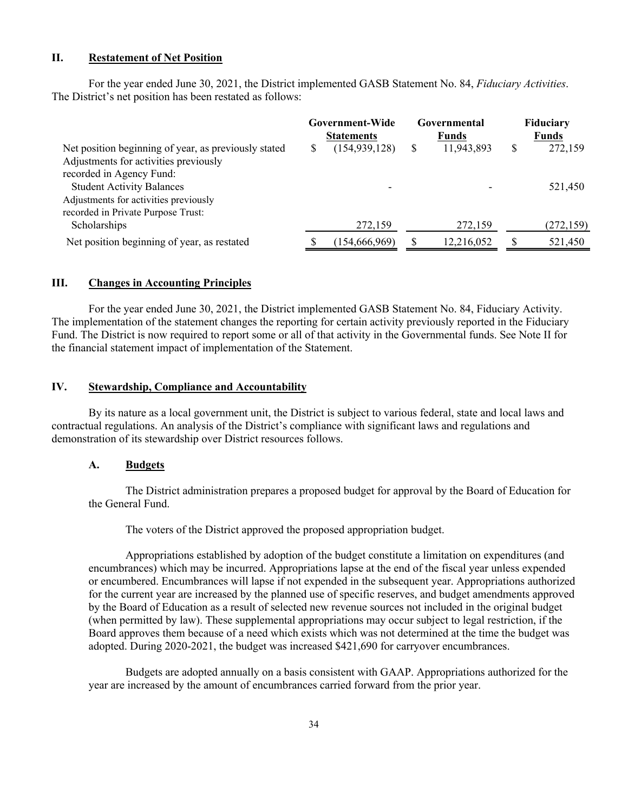#### **II. Restatement of Net Position**

For the year ended June 30, 2021, the District implemented GASB Statement No. 84, *Fiduciary Activities*. The District's net position has been restated as follows:

|                                                                                               |   | Government-Wide<br><b>Statements</b> |   | Governmental<br><b>Funds</b> | Fiduciary<br>Funds |
|-----------------------------------------------------------------------------------------------|---|--------------------------------------|---|------------------------------|--------------------|
| Net position beginning of year, as previously stated<br>Adjustments for activities previously | S | (154, 939, 128)                      | S | 11,943,893                   | \$<br>272,159      |
| recorded in Agency Fund:                                                                      |   |                                      |   |                              |                    |
| <b>Student Activity Balances</b>                                                              |   |                                      |   |                              | 521,450            |
| Adjustments for activities previously                                                         |   |                                      |   |                              |                    |
| recorded in Private Purpose Trust:                                                            |   |                                      |   |                              |                    |
| Scholarships                                                                                  |   | 272,159                              |   | 272,159                      | (272, 159)         |
| Net position beginning of year, as restated                                                   |   | (154, 666, 969)                      |   | 12,216,052                   | 521,450            |

#### **III. Changes in Accounting Principles**

For the year ended June 30, 2021, the District implemented GASB Statement No. 84, Fiduciary Activity. The implementation of the statement changes the reporting for certain activity previously reported in the Fiduciary Fund. The District is now required to report some or all of that activity in the Governmental funds. See Note II for the financial statement impact of implementation of the Statement.

#### **IV. Stewardship, Compliance and Accountability**

By its nature as a local government unit, the District is subject to various federal, state and local laws and contractual regulations. An analysis of the District's compliance with significant laws and regulations and demonstration of its stewardship over District resources follows.

#### **A. Budgets**

The District administration prepares a proposed budget for approval by the Board of Education for the General Fund.

The voters of the District approved the proposed appropriation budget.

Appropriations established by adoption of the budget constitute a limitation on expenditures (and encumbrances) which may be incurred. Appropriations lapse at the end of the fiscal year unless expended or encumbered. Encumbrances will lapse if not expended in the subsequent year. Appropriations authorized for the current year are increased by the planned use of specific reserves, and budget amendments approved by the Board of Education as a result of selected new revenue sources not included in the original budget (when permitted by law). These supplemental appropriations may occur subject to legal restriction, if the Board approves them because of a need which exists which was not determined at the time the budget was adopted. During 2020-2021, the budget was increased \$421,690 for carryover encumbrances.

Budgets are adopted annually on a basis consistent with GAAP. Appropriations authorized for the year are increased by the amount of encumbrances carried forward from the prior year.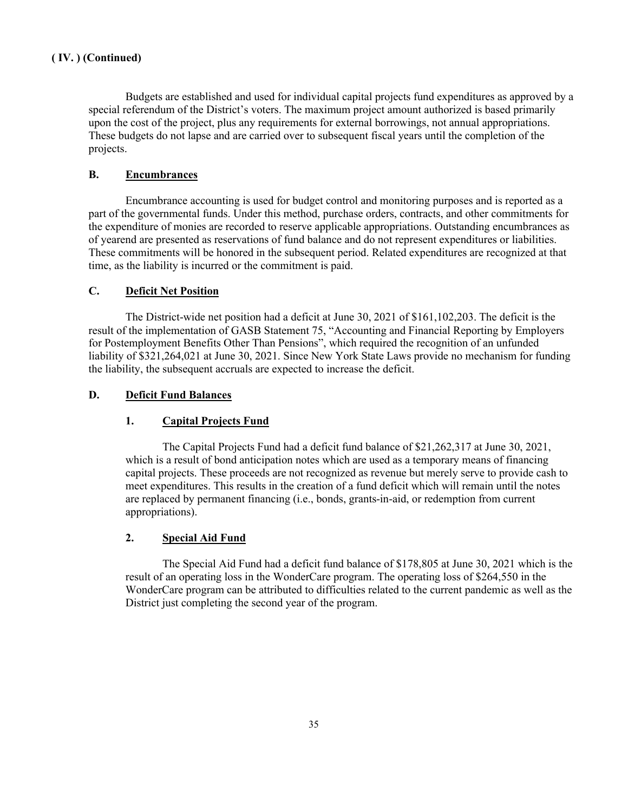Budgets are established and used for individual capital projects fund expenditures as approved by a special referendum of the District's voters. The maximum project amount authorized is based primarily upon the cost of the project, plus any requirements for external borrowings, not annual appropriations. These budgets do not lapse and are carried over to subsequent fiscal years until the completion of the projects.

### **B. Encumbrances**

Encumbrance accounting is used for budget control and monitoring purposes and is reported as a part of the governmental funds. Under this method, purchase orders, contracts, and other commitments for the expenditure of monies are recorded to reserve applicable appropriations. Outstanding encumbrances as of yearend are presented as reservations of fund balance and do not represent expenditures or liabilities. These commitments will be honored in the subsequent period. Related expenditures are recognized at that time, as the liability is incurred or the commitment is paid.

#### **C. Deficit Net Position**

The District-wide net position had a deficit at June 30, 2021 of \$161,102,203. The deficit is the result of the implementation of GASB Statement 75, "Accounting and Financial Reporting by Employers for Postemployment Benefits Other Than Pensions", which required the recognition of an unfunded liability of \$321,264,021 at June 30, 2021. Since New York State Laws provide no mechanism for funding the liability, the subsequent accruals are expected to increase the deficit.

### **D. Deficit Fund Balances**

## **1. Capital Projects Fund**

The Capital Projects Fund had a deficit fund balance of \$21,262,317 at June 30, 2021, which is a result of bond anticipation notes which are used as a temporary means of financing capital projects. These proceeds are not recognized as revenue but merely serve to provide cash to meet expenditures. This results in the creation of a fund deficit which will remain until the notes are replaced by permanent financing (i.e., bonds, grants-in-aid, or redemption from current appropriations).

#### **2. Special Aid Fund**

The Special Aid Fund had a deficit fund balance of \$178,805 at June 30, 2021 which is the result of an operating loss in the WonderCare program. The operating loss of \$264,550 in the WonderCare program can be attributed to difficulties related to the current pandemic as well as the District just completing the second year of the program.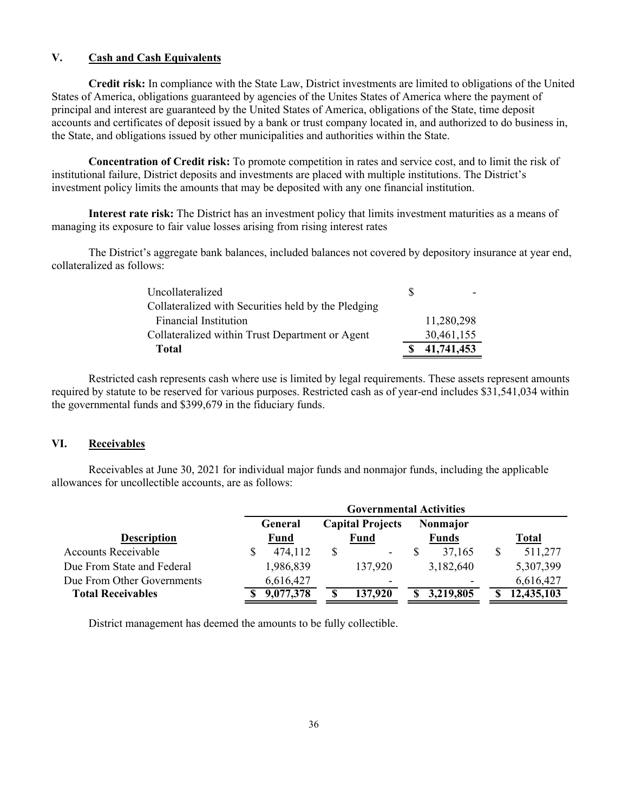### **V. Cash and Cash Equivalents**

**Credit risk:** In compliance with the State Law, District investments are limited to obligations of the United States of America, obligations guaranteed by agencies of the Unites States of America where the payment of principal and interest are guaranteed by the United States of America, obligations of the State, time deposit accounts and certificates of deposit issued by a bank or trust company located in, and authorized to do business in, the State, and obligations issued by other municipalities and authorities within the State.

**Concentration of Credit risk:** To promote competition in rates and service cost, and to limit the risk of institutional failure, District deposits and investments are placed with multiple institutions. The District's investment policy limits the amounts that may be deposited with any one financial institution.

**Interest rate risk:** The District has an investment policy that limits investment maturities as a means of managing its exposure to fair value losses arising from rising interest rates

The District's aggregate bank balances, included balances not covered by depository insurance at year end, collateralized as follows:

| <b>Total</b>                                        |    | 41,741,453 |
|-----------------------------------------------------|----|------------|
| Collateralized within Trust Department or Agent     |    | 30,461,155 |
| <b>Financial Institution</b>                        |    | 11,280,298 |
| Collateralized with Securities held by the Pledging |    |            |
| Uncollateralized                                    | -8 |            |

Restricted cash represents cash where use is limited by legal requirements. These assets represent amounts required by statute to be reserved for various purposes. Restricted cash as of year-end includes \$31,541,034 within the governmental funds and \$399,679 in the fiduciary funds.

#### **VI. Receivables**

Receivables at June 30, 2021 for individual major funds and nonmajor funds, including the applicable allowances for uncollectible accounts, are as follows:

| <b>Governmental Activities</b> |                                |                          |              |  |  |
|--------------------------------|--------------------------------|--------------------------|--------------|--|--|
| General                        | <b>Capital Projects</b>        | Nonmajor                 |              |  |  |
| Fund                           | Fund                           | <b>Funds</b>             | <b>Total</b> |  |  |
| \$<br>474,112                  | \$<br>$\overline{\phantom{a}}$ | 37,165                   | 511,277      |  |  |
| 1,986,839                      | 137,920                        | 3,182,640                | 5,307,399    |  |  |
| 6,616,427                      | $\overline{\phantom{a}}$       | $\overline{\phantom{0}}$ | 6,616,427    |  |  |
| 9,077,378                      | 137,920<br>S                   | 3,219,805<br>S           | 12,435,103   |  |  |
|                                |                                |                          |              |  |  |

District management has deemed the amounts to be fully collectible.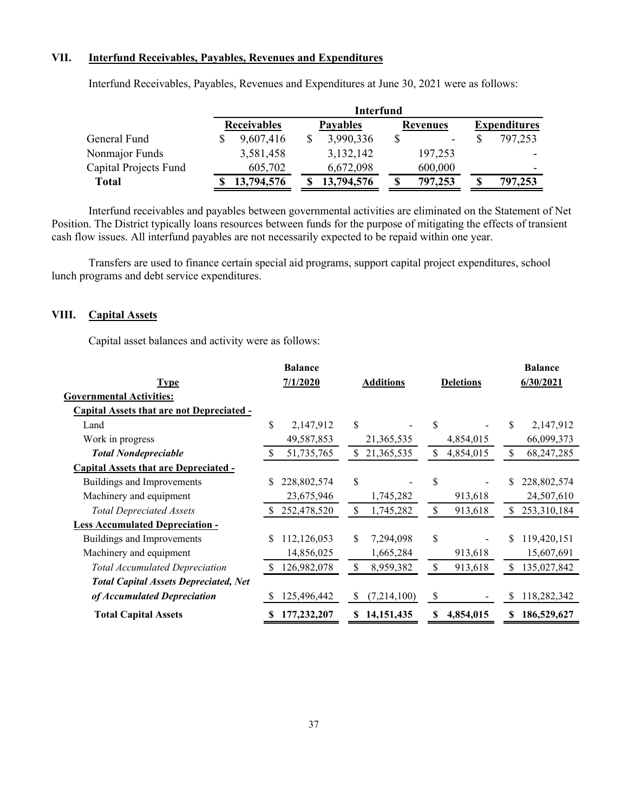## **VII. Interfund Receivables, Payables, Revenues and Expenditures**

|                       | Interfund          |  |                 |  |                 |  |                     |
|-----------------------|--------------------|--|-----------------|--|-----------------|--|---------------------|
|                       | <b>Receivables</b> |  | <b>Payables</b> |  | <b>Revenues</b> |  | <b>Expenditures</b> |
| General Fund          | 9,607,416          |  | 3,990,336       |  | ۰               |  | 797,253             |
| Nonmajor Funds        | 3,581,458          |  | 3,132,142       |  | 197,253         |  |                     |
| Capital Projects Fund | 605,702            |  | 6,672,098       |  | 600,000         |  | -                   |
| Total                 | 13,794,576         |  | 13,794,576      |  | 797,253         |  | 797,253             |

Interfund Receivables, Payables, Revenues and Expenditures at June 30, 2021 were as follows:

Interfund receivables and payables between governmental activities are eliminated on the Statement of Net Position. The District typically loans resources between funds for the purpose of mitigating the effects of transient cash flow issues. All interfund payables are not necessarily expected to be repaid within one year.

Transfers are used to finance certain special aid programs, support capital project expenditures, school lunch programs and debt service expenditures.

### **VIII. Capital Assets**

Capital asset balances and activity were as follows:

|                                                  |    | <b>Balance</b> |                    |    |                  |    | <b>Balance</b> |
|--------------------------------------------------|----|----------------|--------------------|----|------------------|----|----------------|
| <b>Type</b>                                      |    | 7/1/2020       | <b>Additions</b>   |    | <b>Deletions</b> |    | 6/30/2021      |
| <b>Governmental Activities:</b>                  |    |                |                    |    |                  |    |                |
| <b>Capital Assets that are not Depreciated -</b> |    |                |                    |    |                  |    |                |
| Land                                             | \$ | 2,147,912      | \$                 | \$ |                  | \$ | 2,147,912      |
| Work in progress                                 |    | 49,587,853     | 21,365,535         |    | 4,854,015        |    | 66,099,373     |
| <b>Total Nondepreciable</b>                      |    | 51,735,765     | \$<br>21,365,535   | \$ | 4,854,015        | \$ | 68,247,285     |
| <b>Capital Assets that are Depreciated -</b>     |    |                |                    |    |                  |    |                |
| Buildings and Improvements                       | \$ | 228,802,574    | \$                 | S  |                  |    | 228,802,574    |
| Machinery and equipment                          |    | 23,675,946     | 1,745,282          |    | 913,618          |    | 24,507,610     |
| <b>Total Depreciated Assets</b>                  |    | 252,478,520    | \$<br>1,745,282    | \$ | 913,618          |    | 253,310,184    |
| <b>Less Accumulated Depreciation -</b>           |    |                |                    |    |                  |    |                |
| Buildings and Improvements                       | S  | 112,126,053    | \$<br>7,294,098    | \$ |                  |    | 119,420,151    |
| Machinery and equipment                          |    | 14,856,025     | 1,665,284          |    | 913,618          |    | 15,607,691     |
| <b>Total Accumulated Depreciation</b>            | S  | 126,982,078    | \$<br>8,959,382    | \$ | 913,618          | \$ | 135,027,842    |
| <b>Total Capital Assets Depreciated, Net</b>     |    |                |                    |    |                  |    |                |
| of Accumulated Depreciation                      | S  | 125,496,442    | \$<br>(7,214,100)  | \$ |                  | \$ | 118,282,342    |
| <b>Total Capital Assets</b>                      |    | 177,232,207    | \$<br>14, 151, 435 | S  | 4,854,015        | S  | 186,529,627    |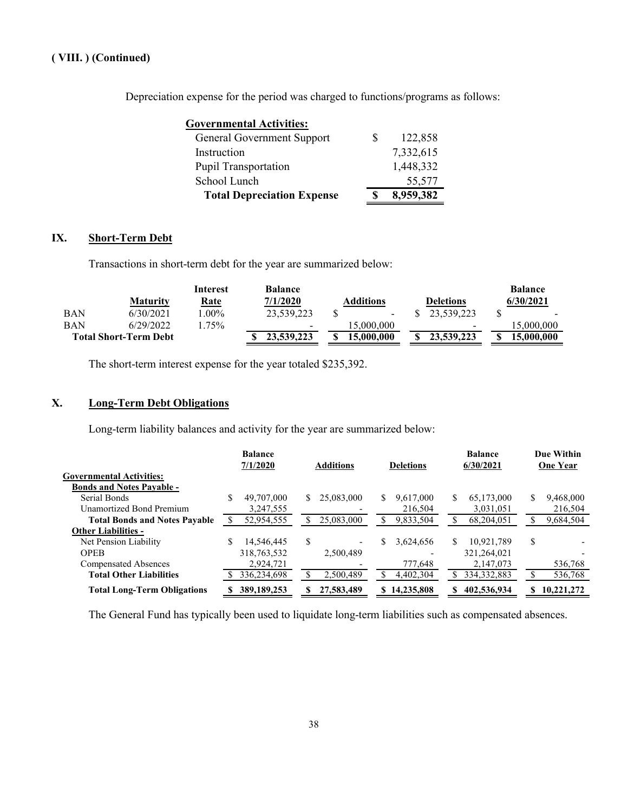Depreciation expense for the period was charged to functions/programs as follows:

| Governmental Activities:          |   |           |
|-----------------------------------|---|-----------|
| <b>General Government Support</b> | S | 122,858   |
| Instruction                       |   | 7,332,615 |
| <b>Pupil Transportation</b>       |   | 1,448,332 |
| School Lunch                      |   | 55,577    |
| <b>Total Depreciation Expense</b> |   | 8,959,382 |

## **IX. Short-Term Debt**

Transactions in short-term debt for the year are summarized below:

|            |                              | Interest    | <b>Balance</b>  |                  |                          | <b>Balance</b>           |
|------------|------------------------------|-------------|-----------------|------------------|--------------------------|--------------------------|
|            | <b>Maturity</b>              | <u>Rate</u> | 7/1/2020        | <b>Additions</b> | <b>Deletions</b>         | 6/30/2021                |
| <b>BAN</b> | 6/30/2021                    | $.00\%$     | 23,539,223      | $\sim$           | 23.539.223               | $\overline{\phantom{0}}$ |
| <b>BAN</b> | 6/29/2022                    | .75%        | $\qquad \qquad$ | 15.000.000       | $\overline{\phantom{a}}$ | 15,000,000               |
|            | <b>Total Short-Term Debt</b> |             | 23,539,223      | 15,000,000       | 23,539,223               | 15.000.000               |

The short-term interest expense for the year totaled \$235,392.

## **X. Long-Term Debt Obligations**

Long-term liability balances and activity for the year are summarized below:

|                                      | <b>Balance</b><br>7/1/2020<br><b>Additions</b> |                  | <b>Deletions</b> | <b>Balance</b><br>6/30/2021 |                |
|--------------------------------------|------------------------------------------------|------------------|------------------|-----------------------------|----------------|
| <b>Governmental Activities:</b>      |                                                |                  |                  |                             |                |
| <b>Bonds and Notes Pavable -</b>     |                                                |                  |                  |                             |                |
| Serial Bonds                         | 49,707,000<br>S                                | 25,083,000<br>S. | 9,617,000<br>S   | 65,173,000<br>S             | 9,468,000<br>S |
| <b>Unamortized Bond Premium</b>      | 3,247,555                                      |                  | 216,504          | 3,031,051                   | 216,504        |
| <b>Total Bonds and Notes Pavable</b> | 52,954,555                                     | 25,083,000       | 9,833,504        | 68,204,051                  | 9,684,504      |
| <b>Other Liabilities -</b>           |                                                |                  |                  |                             |                |
| Net Pension Liability                | 14,546,445                                     | S                | 3,624,656<br>\$. | 10.921.789                  | S              |
| <b>OPEB</b>                          | 318,763,532                                    | 2,500,489        |                  | 321,264,021                 |                |
| <b>Compensated Absences</b>          | 2,924,721                                      |                  | 777,648          | 2,147,073                   | 536,768        |
| <b>Total Other Liabilities</b>       | 336,234,698                                    | 2,500,489        | 4,402,304        | 334, 332, 883               | 536,768        |
| <b>Total Long-Term Obligations</b>   | 389, 189, 253                                  | 27,583,489       | 14,235,808<br>S. | 402,536,934<br>S            | 10,221,272     |

The General Fund has typically been used to liquidate long-term liabilities such as compensated absences.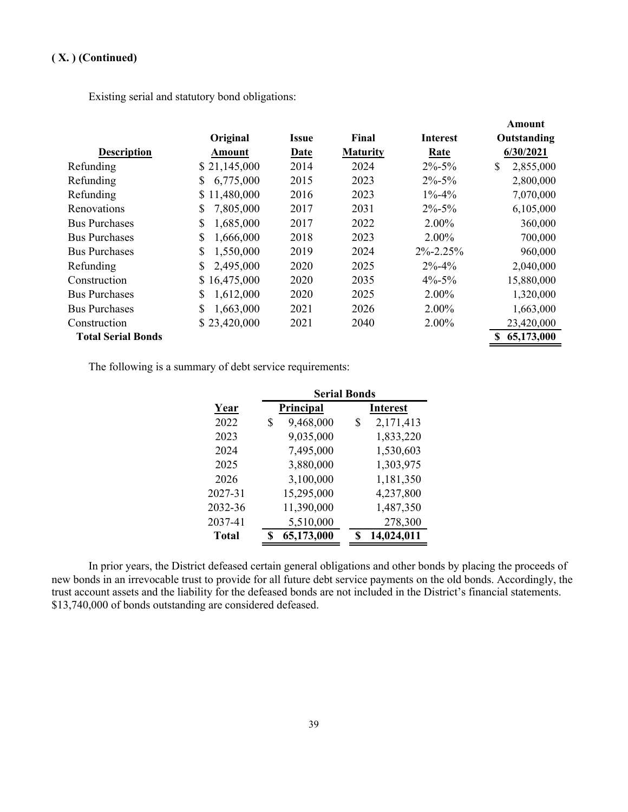Existing serial and statutory bond obligations:

|                           |                 |              |                 |                 | Amount          |
|---------------------------|-----------------|--------------|-----------------|-----------------|-----------------|
|                           | Original        | <b>Issue</b> | Final           | <b>Interest</b> | Outstanding     |
| <b>Description</b>        | Amount          | Date         | <b>Maturity</b> | Rate            | 6/30/2021       |
| Refunding                 | \$21,145,000    | 2014         | 2024            | $2\% - 5\%$     | \$<br>2,855,000 |
| Refunding                 | \$<br>6,775,000 | 2015         | 2023            | $2\% - 5\%$     | 2,800,000       |
| Refunding                 | \$11,480,000    | 2016         | 2023            | $1\% - 4\%$     | 7,070,000       |
| Renovations               | \$<br>7,805,000 | 2017         | 2031            | $2\% - 5\%$     | 6,105,000       |
| <b>Bus Purchases</b>      | \$<br>1,685,000 | 2017         | 2022            | 2.00%           | 360,000         |
| <b>Bus Purchases</b>      | \$<br>1,666,000 | 2018         | 2023            | $2.00\%$        | 700,000         |
| <b>Bus Purchases</b>      | \$<br>1,550,000 | 2019         | 2024            | $2\% - 2.25\%$  | 960,000         |
| Refunding                 | \$<br>2,495,000 | 2020         | 2025            | $2\% - 4\%$     | 2,040,000       |
| Construction              | \$16,475,000    | 2020         | 2035            | $4\% - 5\%$     | 15,880,000      |
| <b>Bus Purchases</b>      | \$<br>1,612,000 | 2020         | 2025            | $2.00\%$        | 1,320,000       |
| <b>Bus Purchases</b>      | \$<br>1,663,000 | 2021         | 2026            | 2.00%           | 1,663,000       |
| Construction              | \$23,420,000    | 2021         | 2040            | $2.00\%$        | 23,420,000      |
| <b>Total Serial Bonds</b> |                 |              |                 |                 | 65,173,000      |

The following is a summary of debt service requirements:

|              |                 | <b>Serial Bonds</b> |  |  |  |  |  |  |
|--------------|-----------------|---------------------|--|--|--|--|--|--|
| Year         | Principal       | Interest            |  |  |  |  |  |  |
| 2022         | 9,468,000<br>\$ | \$<br>2,171,413     |  |  |  |  |  |  |
| 2023         | 9,035,000       | 1,833,220           |  |  |  |  |  |  |
| 2024         | 7,495,000       | 1,530,603           |  |  |  |  |  |  |
| 2025         | 3,880,000       | 1,303,975           |  |  |  |  |  |  |
| 2026         | 3,100,000       | 1,181,350           |  |  |  |  |  |  |
| 2027-31      | 15,295,000      | 4,237,800           |  |  |  |  |  |  |
| 2032-36      | 11,390,000      | 1,487,350           |  |  |  |  |  |  |
| 2037-41      | 5,510,000       | 278,300             |  |  |  |  |  |  |
| <b>Total</b> | 65,173,000      | 14,024,011          |  |  |  |  |  |  |

In prior years, the District defeased certain general obligations and other bonds by placing the proceeds of new bonds in an irrevocable trust to provide for all future debt service payments on the old bonds. Accordingly, the trust account assets and the liability for the defeased bonds are not included in the District's financial statements. \$13,740,000 of bonds outstanding are considered defeased.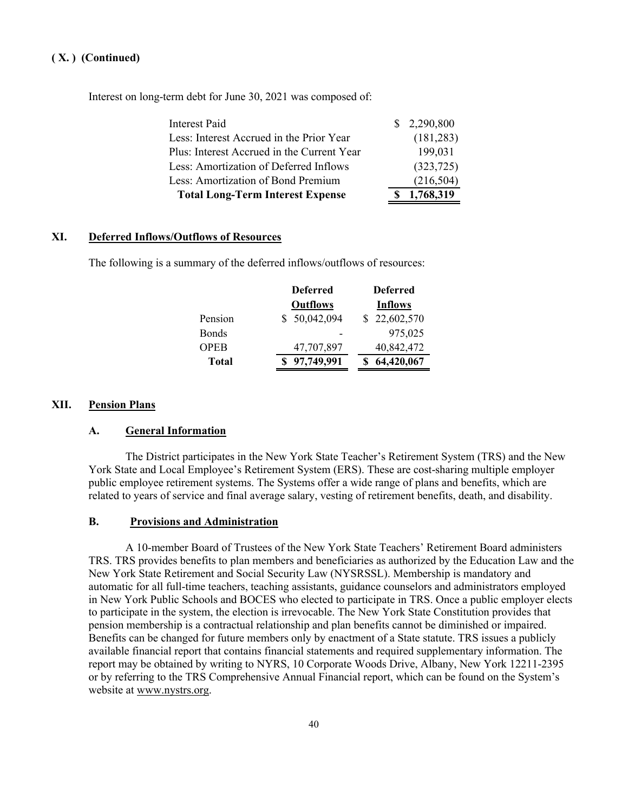Interest on long-term debt for June 30, 2021 was composed of:

| <b>Total Long-Term Interest Expense</b>    | \$1,768,319 |
|--------------------------------------------|-------------|
| Less: Amortization of Bond Premium         | (216, 504)  |
| Less: Amortization of Deferred Inflows     | (323, 725)  |
| Plus: Interest Accrued in the Current Year | 199,031     |
| Less: Interest Accrued in the Prior Year   | (181, 283)  |
| Interest Paid                              | \$2,290,800 |

#### **XI. Deferred Inflows/Outflows of Resources**

The following is a summary of the deferred inflows/outflows of resources:

|         | <b>Deferred</b> | <b>Deferred</b> |
|---------|-----------------|-----------------|
|         | <b>Outflows</b> | <b>Inflows</b>  |
| Pension | \$50,042,094    | \$22,602,570    |
| Bonds   |                 | 975,025         |
| OPEB    | 47,707,897      | 40,842,472      |
| Total   | 97,749,991      | 64,420,067      |

#### **XII. Pension Plans**

#### **A. General Information**

The District participates in the New York State Teacher's Retirement System (TRS) and the New York State and Local Employee's Retirement System (ERS). These are cost-sharing multiple employer public employee retirement systems. The Systems offer a wide range of plans and benefits, which are related to years of service and final average salary, vesting of retirement benefits, death, and disability.

#### **B. Provisions and Administration**

A 10-member Board of Trustees of the New York State Teachers' Retirement Board administers TRS. TRS provides benefits to plan members and beneficiaries as authorized by the Education Law and the New York State Retirement and Social Security Law (NYSRSSL). Membership is mandatory and automatic for all full-time teachers, teaching assistants, guidance counselors and administrators employed in New York Public Schools and BOCES who elected to participate in TRS. Once a public employer elects to participate in the system, the election is irrevocable. The New York State Constitution provides that pension membership is a contractual relationship and plan benefits cannot be diminished or impaired. Benefits can be changed for future members only by enactment of a State statute. TRS issues a publicly available financial report that contains financial statements and required supplementary information. The report may be obtained by writing to NYRS, 10 Corporate Woods Drive, Albany, New York 12211-2395 or by referring to the TRS Comprehensive Annual Financial report, which can be found on the System's website at www.nystrs.org.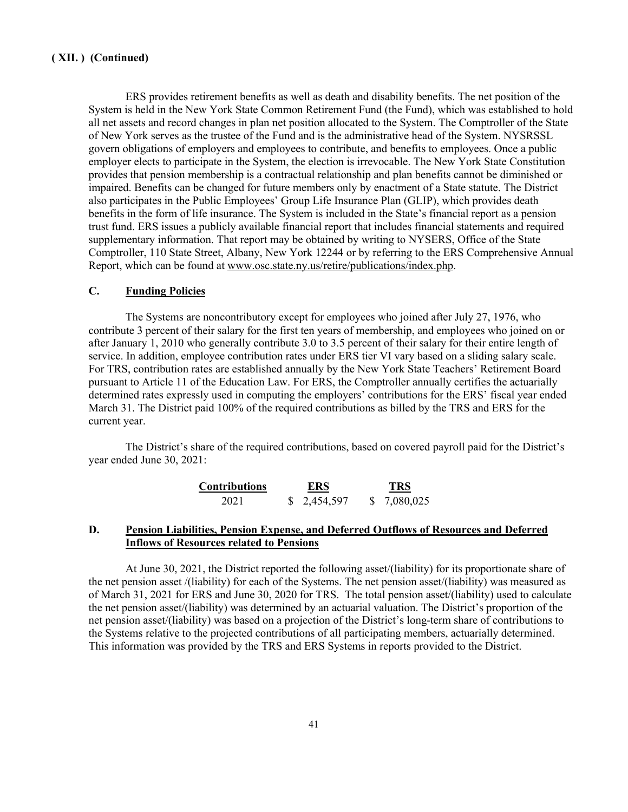ERS provides retirement benefits as well as death and disability benefits. The net position of the System is held in the New York State Common Retirement Fund (the Fund), which was established to hold all net assets and record changes in plan net position allocated to the System. The Comptroller of the State of New York serves as the trustee of the Fund and is the administrative head of the System. NYSRSSL govern obligations of employers and employees to contribute, and benefits to employees. Once a public employer elects to participate in the System, the election is irrevocable. The New York State Constitution provides that pension membership is a contractual relationship and plan benefits cannot be diminished or impaired. Benefits can be changed for future members only by enactment of a State statute. The District also participates in the Public Employees' Group Life Insurance Plan (GLIP), which provides death benefits in the form of life insurance. The System is included in the State's financial report as a pension trust fund. ERS issues a publicly available financial report that includes financial statements and required supplementary information. That report may be obtained by writing to NYSERS, Office of the State Comptroller, 110 State Street, Albany, New York 12244 or by referring to the ERS Comprehensive Annual Report, which can be found at www.osc.state.ny.us/retire/publications/index.php.

#### **C. Funding Policies**

The Systems are noncontributory except for employees who joined after July 27, 1976, who contribute 3 percent of their salary for the first ten years of membership, and employees who joined on or after January 1, 2010 who generally contribute 3.0 to 3.5 percent of their salary for their entire length of service. In addition, employee contribution rates under ERS tier VI vary based on a sliding salary scale. For TRS, contribution rates are established annually by the New York State Teachers' Retirement Board pursuant to Article 11 of the Education Law. For ERS, the Comptroller annually certifies the actuarially determined rates expressly used in computing the employers' contributions for the ERS' fiscal year ended March 31. The District paid 100% of the required contributions as billed by the TRS and ERS for the current year.

The District's share of the required contributions, based on covered payroll paid for the District's year ended June 30, 2021:

| <b>Contributions</b> | ERS         | <b>TRS</b>  |
|----------------------|-------------|-------------|
| 2021                 | \$2,454,597 | \$7,080,025 |

#### **D. Pension Liabilities, Pension Expense, and Deferred Outflows of Resources and Deferred Inflows of Resources related to Pensions**

At June 30, 2021, the District reported the following asset/(liability) for its proportionate share of the net pension asset /(liability) for each of the Systems. The net pension asset/(liability) was measured as of March 31, 2021 for ERS and June 30, 2020 for TRS. The total pension asset/(liability) used to calculate the net pension asset/(liability) was determined by an actuarial valuation. The District's proportion of the net pension asset/(liability) was based on a projection of the District's long-term share of contributions to the Systems relative to the projected contributions of all participating members, actuarially determined. This information was provided by the TRS and ERS Systems in reports provided to the District.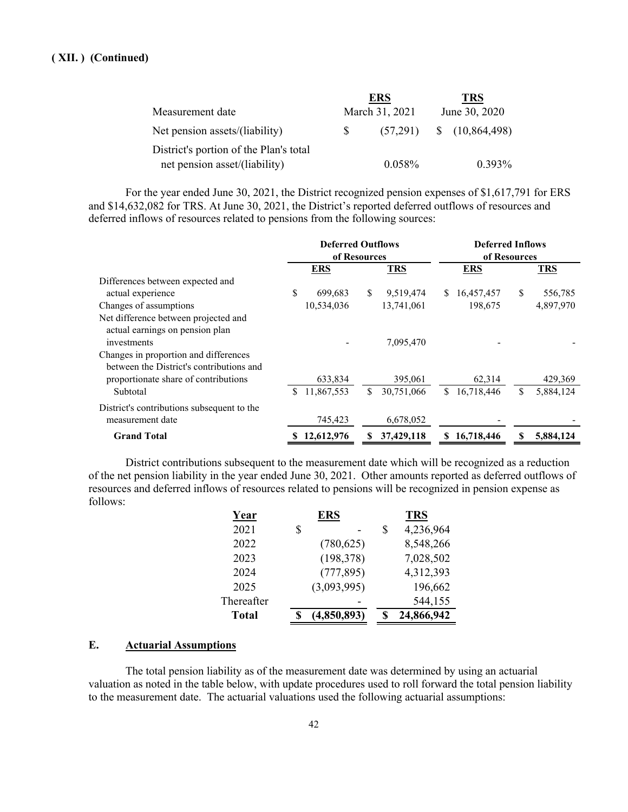|                                        |    | <b>ERS</b>     | TRS                    |
|----------------------------------------|----|----------------|------------------------|
| Measurement date                       |    | March 31, 2021 | June 30, 2020          |
| Net pension assets/(liability)         | S. | (57,291)       | $\frac{10,864,498}{2}$ |
| District's portion of the Plan's total |    |                |                        |
| net pension asset/(liability)          |    | $0.058\%$      | $0.393\%$              |

For the year ended June 30, 2021, the District recognized pension expenses of \$1,617,791 for ERS and \$14,632,082 for TRS. At June 30, 2021, the District's reported deferred outflows of resources and deferred inflows of resources related to pensions from the following sources:

|                                                                                   | <b>Deferred Outflows</b><br>of Resources |            | <b>Deferred Inflows</b><br>of Resources |            |     |            |    |            |
|-----------------------------------------------------------------------------------|------------------------------------------|------------|-----------------------------------------|------------|-----|------------|----|------------|
|                                                                                   |                                          | <b>ERS</b> |                                         | <b>TRS</b> |     | <b>ERS</b> |    | <b>TRS</b> |
| Differences between expected and                                                  |                                          |            |                                         |            |     |            |    |            |
| actual experience                                                                 | \$                                       | 699,683    | \$.                                     | 9,519,474  | S.  | 16,457,457 | \$ | 556,785    |
| Changes of assumptions                                                            |                                          | 10,534,036 |                                         | 13,741,061 |     | 198,675    |    | 4,897,970  |
| Net difference between projected and<br>actual earnings on pension plan           |                                          |            |                                         |            |     |            |    |            |
| investments                                                                       |                                          |            |                                         | 7,095,470  |     |            |    |            |
| Changes in proportion and differences<br>between the District's contributions and |                                          |            |                                         |            |     |            |    |            |
| proportionate share of contributions                                              |                                          | 633,834    |                                         | 395,061    |     | 62,314     |    | 429,369    |
| Subtotal                                                                          | S.                                       | 11,867,553 | S                                       | 30,751,066 | \$. | 16,718,446 | S  | 5,884,124  |
| District's contributions subsequent to the<br>measurement date                    |                                          | 745,423    |                                         | 6,678,052  |     |            |    |            |
| <b>Grand Total</b>                                                                | \$                                       | 12,612,976 | S                                       | 37,429,118 | SS. | 16,718,446 |    | 5,884,124  |

District contributions subsequent to the measurement date which will be recognized as a reduction of the net pension liability in the year ended June 30, 2021. Other amounts reported as deferred outflows of resources and deferred inflows of resources related to pensions will be recognized in pension expense as follows:

| Year         | ERS         |   | <b>TRS</b> |
|--------------|-------------|---|------------|
| 2021         | \$          | S | 4,236,964  |
| 2022         | (780, 625)  |   | 8,548,266  |
| 2023         | (198, 378)  |   | 7,028,502  |
| 2024         | (777, 895)  |   | 4,312,393  |
| 2025         | (3,093,995) |   | 196,662    |
| Thereafter   |             |   | 544,155    |
| <b>Total</b> | (4,850,893) |   | 24,866,942 |

#### **E. Actuarial Assumptions**

The total pension liability as of the measurement date was determined by using an actuarial valuation as noted in the table below, with update procedures used to roll forward the total pension liability to the measurement date. The actuarial valuations used the following actuarial assumptions: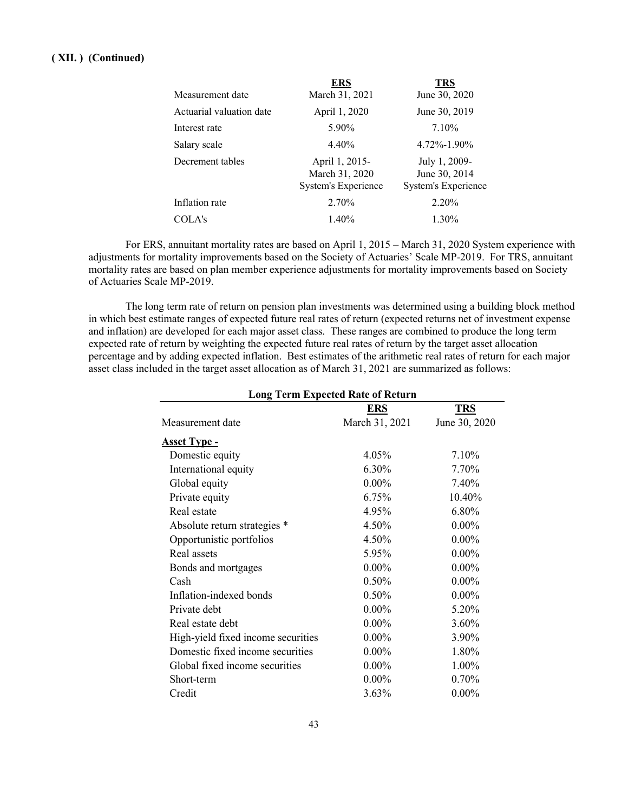|                          | ERS                                                     | TRS                                                          |
|--------------------------|---------------------------------------------------------|--------------------------------------------------------------|
| Measurement date         | March 31, 2021                                          | June 30, 2020                                                |
| Actuarial valuation date | April 1, 2020                                           | June 30, 2019                                                |
| Interest rate            | 5.90%                                                   | 7.10%                                                        |
| Salary scale             | 4.40%                                                   | $4.72\% - 1.90\%$                                            |
| Decrement tables         | April 1, 2015-<br>March 31, 2020<br>System's Experience | July 1, 2009-<br>June 30, 2014<br><b>System's Experience</b> |
| Inflation rate           | 2.70%                                                   | 2.20%                                                        |
| COLA's                   | 1.40%                                                   | 1.30%                                                        |

For ERS, annuitant mortality rates are based on April 1, 2015 – March 31, 2020 System experience with adjustments for mortality improvements based on the Society of Actuaries' Scale MP-2019. For TRS, annuitant mortality rates are based on plan member experience adjustments for mortality improvements based on Society of Actuaries Scale MP-2019.

The long term rate of return on pension plan investments was determined using a building block method in which best estimate ranges of expected future real rates of return (expected returns net of investment expense and inflation) are developed for each major asset class. These ranges are combined to produce the long term expected rate of return by weighting the expected future real rates of return by the target asset allocation percentage and by adding expected inflation. Best estimates of the arithmetic real rates of return for each major asset class included in the target asset allocation as of March 31, 2021 are summarized as follows:

| <b>Long Term Expected Rate of Return</b> |                |               |  |  |  |
|------------------------------------------|----------------|---------------|--|--|--|
| <b>TRS</b><br><b>ERS</b>                 |                |               |  |  |  |
| Measurement date                         | March 31, 2021 | June 30, 2020 |  |  |  |
| <b>Asset Type -</b>                      |                |               |  |  |  |
| Domestic equity                          | 4.05%          | 7.10%         |  |  |  |
| International equity                     | 6.30%          | 7.70%         |  |  |  |
| Global equity                            | $0.00\%$       | 7.40%         |  |  |  |
| Private equity                           | 6.75%          | 10.40%        |  |  |  |
| Real estate                              | 4.95%          | 6.80%         |  |  |  |
| Absolute return strategies *             | 4.50%          | $0.00\%$      |  |  |  |
| Opportunistic portfolios                 | 4.50%          | $0.00\%$      |  |  |  |
| Real assets                              | 5.95%          | $0.00\%$      |  |  |  |
| Bonds and mortgages                      | $0.00\%$       | $0.00\%$      |  |  |  |
| Cash                                     | 0.50%          | $0.00\%$      |  |  |  |
| Inflation-indexed bonds                  | 0.50%          | $0.00\%$      |  |  |  |
| Private debt                             | $0.00\%$       | 5.20%         |  |  |  |
| Real estate debt                         | $0.00\%$       | 3.60%         |  |  |  |
| High-yield fixed income securities       | $0.00\%$       | 3.90%         |  |  |  |
| Domestic fixed income securities         | $0.00\%$       | 1.80%         |  |  |  |
| Global fixed income securities           | $0.00\%$       | 1.00%         |  |  |  |
| Short-term                               | $0.00\%$       | 0.70%         |  |  |  |
| Credit                                   | 3.63%          | $0.00\%$      |  |  |  |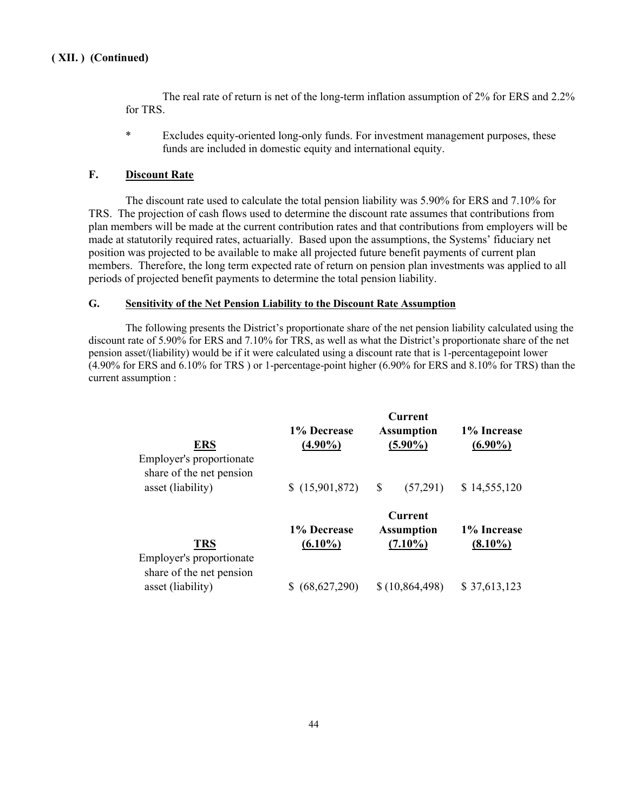The real rate of return is net of the long-term inflation assumption of 2% for ERS and 2.2% for TRS.

\* Excludes equity-oriented long-only funds. For investment management purposes, these funds are included in domestic equity and international equity.

#### **F. Discount Rate**

The discount rate used to calculate the total pension liability was 5.90% for ERS and 7.10% for TRS. The projection of cash flows used to determine the discount rate assumes that contributions from plan members will be made at the current contribution rates and that contributions from employers will be made at statutorily required rates, actuarially. Based upon the assumptions, the Systems' fiduciary net position was projected to be available to make all projected future benefit payments of current plan members. Therefore, the long term expected rate of return on pension plan investments was applied to all periods of projected benefit payments to determine the total pension liability.

#### **G. Sensitivity of the Net Pension Liability to the Discount Rate Assumption**

The following presents the District's proportionate share of the net pension liability calculated using the discount rate of 5.90% for ERS and 7.10% for TRS, as well as what the District's proportionate share of the net pension asset/(liability) would be if it were calculated using a discount rate that is 1-percentagepoint lower (4.90% for ERS and 6.10% for TRS ) or 1-percentage-point higher (6.90% for ERS and 8.10% for TRS) than the current assumption :

| <b>ERS</b><br>Employer's proportionate<br>share of the net pension | 1% Decrease<br>$(4.90\%)$ | <b>Current</b><br><b>Assumption</b><br>$(5.90\%)$ | 1% Increase<br>$(6.90\%)$ |
|--------------------------------------------------------------------|---------------------------|---------------------------------------------------|---------------------------|
| asset (liability)                                                  | \$(15,901,872)            | S<br>(57,291)                                     | \$14,555,120              |
| <b>TRS</b><br>Employer's proportionate                             | 1% Decrease<br>$(6.10\%)$ | <b>Current</b><br><b>Assumption</b><br>$(7.10\%)$ | 1% Increase<br>$(8.10\%)$ |
| share of the net pension<br>asset (liability)                      | (68, 627, 290)            | \$(10, 864, 498)                                  | \$37,613,123              |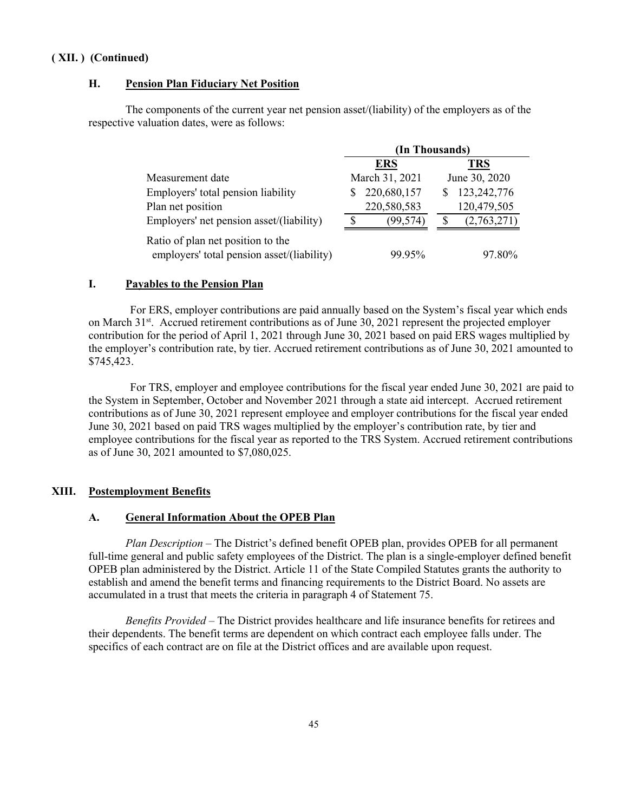#### **H. Pension Plan Fiduciary Net Position**

The components of the current year net pension asset/(liability) of the employers as of the respective valuation dates, were as follows:

|                                                                                 | (In Thousands) |               |  |
|---------------------------------------------------------------------------------|----------------|---------------|--|
|                                                                                 | <b>ERS</b>     | <b>TRS</b>    |  |
| Measurement date                                                                | March 31, 2021 | June 30, 2020 |  |
| Employers' total pension liability                                              | 220,680,157    | 123,242,776   |  |
| Plan net position                                                               | 220,580,583    | 120,479,505   |  |
| Employers' net pension asset/(liability)                                        | (99,574)       | (2,763,271)   |  |
| Ratio of plan net position to the<br>employers' total pension asset/(liability) | 99 95%         | 97 80%        |  |

#### **I. Payables to the Pension Plan**

For ERS, employer contributions are paid annually based on the System's fiscal year which ends on March 31<sup>st</sup>. Accrued retirement contributions as of June 30, 2021 represent the projected employer contribution for the period of April 1, 2021 through June 30, 2021 based on paid ERS wages multiplied by the employer's contribution rate, by tier. Accrued retirement contributions as of June 30, 2021 amounted to \$745,423.

For TRS, employer and employee contributions for the fiscal year ended June 30, 2021 are paid to the System in September, October and November 2021 through a state aid intercept. Accrued retirement contributions as of June 30, 2021 represent employee and employer contributions for the fiscal year ended June 30, 2021 based on paid TRS wages multiplied by the employer's contribution rate, by tier and employee contributions for the fiscal year as reported to the TRS System. Accrued retirement contributions as of June 30, 2021 amounted to \$7,080,025.

## **XIII. Postemployment Benefits**

#### **A. General Information About the OPEB Plan**

*Plan Description* – The District's defined benefit OPEB plan, provides OPEB for all permanent full-time general and public safety employees of the District. The plan is a single-employer defined benefit OPEB plan administered by the District. Article 11 of the State Compiled Statutes grants the authority to establish and amend the benefit terms and financing requirements to the District Board. No assets are accumulated in a trust that meets the criteria in paragraph 4 of Statement 75.

*Benefits Provided* – The District provides healthcare and life insurance benefits for retirees and their dependents. The benefit terms are dependent on which contract each employee falls under. The specifics of each contract are on file at the District offices and are available upon request.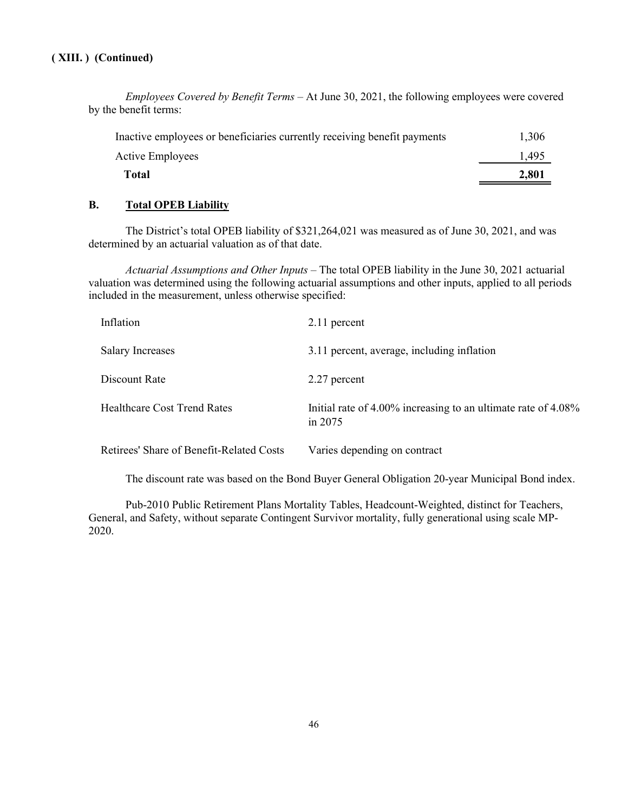*Employees Covered by Benefit Terms* – At June 30, 2021, the following employees were covered by the benefit terms:

| Total                                                                    | 2,801 |
|--------------------------------------------------------------------------|-------|
| Active Employees                                                         | 1.495 |
| Inactive employees or beneficiaries currently receiving benefit payments | 1,306 |

#### **B. Total OPEB Liability**

The District's total OPEB liability of \$321,264,021 was measured as of June 30, 2021, and was determined by an actuarial valuation as of that date.

*Actuarial Assumptions and Other Inputs* – The total OPEB liability in the June 30, 2021 actuarial valuation was determined using the following actuarial assumptions and other inputs, applied to all periods included in the measurement, unless otherwise specified:

| Inflation                                | 2.11 percent                                                               |
|------------------------------------------|----------------------------------------------------------------------------|
| <b>Salary Increases</b>                  | 3.11 percent, average, including inflation                                 |
| Discount Rate                            | 2.27 percent                                                               |
| <b>Healthcare Cost Trend Rates</b>       | Initial rate of 4.00% increasing to an ultimate rate of 4.08%<br>in $2075$ |
| Retirees' Share of Benefit-Related Costs | Varies depending on contract                                               |

The discount rate was based on the Bond Buyer General Obligation 20-year Municipal Bond index.

Pub-2010 Public Retirement Plans Mortality Tables, Headcount-Weighted, distinct for Teachers, General, and Safety, without separate Contingent Survivor mortality, fully generational using scale MP-2020.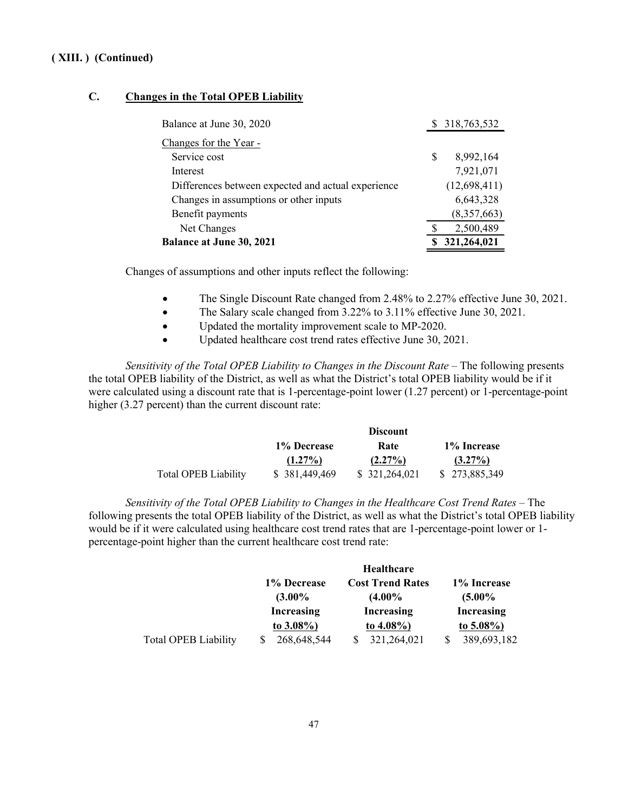### **C. Changes in the Total OPEB Liability**

| Balance at June 30, 2020                           | \$ 318,763,532  |
|----------------------------------------------------|-----------------|
| Changes for the Year -                             |                 |
| Service cost                                       | \$<br>8,992,164 |
| Interest                                           | 7,921,071       |
| Differences between expected and actual experience | (12,698,411)    |
| Changes in assumptions or other inputs             | 6,643,328       |
| Benefit payments                                   | (8,357,663)     |
| Net Changes                                        | 2,500,489       |
| <b>Balance at June 30, 2021</b>                    | 321,264,021     |

Changes of assumptions and other inputs reflect the following:

- The Single Discount Rate changed from 2.48% to 2.27% effective June 30, 2021.
- The Salary scale changed from 3.22% to 3.11% effective June 30, 2021.
- Updated the mortality improvement scale to MP-2020.
- Updated healthcare cost trend rates effective June 30, 2021.

*Sensitivity of the Total OPEB Liability to Changes in the Discount Rate* – The following presents the total OPEB liability of the District, as well as what the District's total OPEB liability would be if it were calculated using a discount rate that is 1-percentage-point lower (1.27 percent) or 1-percentage-point higher (3.27 percent) than the current discount rate:

|                             | <b>Discount</b> |                |               |  |
|-----------------------------|-----------------|----------------|---------------|--|
|                             | 1% Decrease     | Rate           | 1% Increase   |  |
|                             | $(1.27\%)$      | $(2.27\%)$     | $(3.27\%)$    |  |
| <b>Total OPEB Liability</b> | \$ 381,449,469  | \$ 321,264,021 | \$273,885,349 |  |

*Sensitivity of the Total OPEB Liability to Changes in the Healthcare Cost Trend Rates* – The following presents the total OPEB liability of the District, as well as what the District's total OPEB liability would be if it were calculated using healthcare cost trend rates that are 1-percentage-point lower or 1 percentage-point higher than the current healthcare cost trend rate:

|                             |                   | <b>Healthcare</b>       |                   |
|-----------------------------|-------------------|-------------------------|-------------------|
|                             | 1% Decrease       | <b>Cost Trend Rates</b> | 1% Increase       |
|                             | $(3.00\%$         | $(4.00\%$               | $(5.00\%$         |
|                             | <b>Increasing</b> | <b>Increasing</b>       | <b>Increasing</b> |
|                             | to $3.08\%$ )     | to $4.08\%$ )           | to $5.08\%$ )     |
| <b>Total OPEB Liability</b> | 268,648,544       | 321,264,021             | 389,693,182       |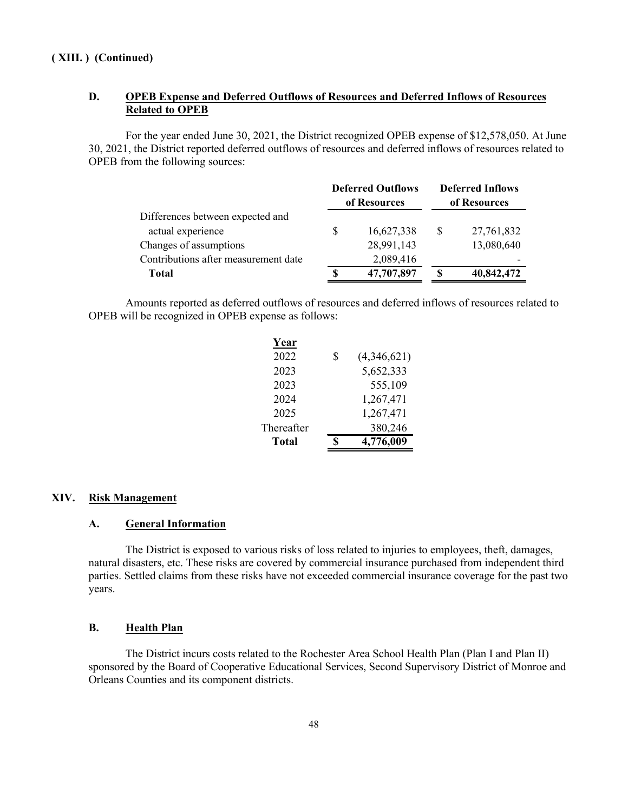## **D. OPEB Expense and Deferred Outflows of Resources and Deferred Inflows of Resources Related to OPEB**

For the year ended June 30, 2021, the District recognized OPEB expense of \$12,578,050. At June 30, 2021, the District reported deferred outflows of resources and deferred inflows of resources related to OPEB from the following sources:

|                                      |   | <b>Deferred Outflows</b><br>of Resources | <b>Deferred Inflows</b><br>of Resources |            |  |  |
|--------------------------------------|---|------------------------------------------|-----------------------------------------|------------|--|--|
| Differences between expected and     |   |                                          |                                         |            |  |  |
| actual experience                    | S | 16,627,338                               | S                                       | 27,761,832 |  |  |
| Changes of assumptions               |   | 28,991,143                               |                                         | 13,080,640 |  |  |
| Contributions after measurement date |   | 2,089,416                                |                                         |            |  |  |
| <b>Total</b>                         |   | 47,707,897                               |                                         | 40,842,472 |  |  |

Amounts reported as deferred outflows of resources and deferred inflows of resources related to OPEB will be recognized in OPEB expense as follows:

| Year         |    |             |
|--------------|----|-------------|
| 2022         | \$ | (4,346,621) |
| 2023         |    | 5,652,333   |
| 2023         |    | 555,109     |
| 2024         |    | 1,267,471   |
| 2025         |    | 1,267,471   |
| Thereafter   |    | 380,246     |
| <b>Total</b> | ፍ  | 4,776,009   |

#### **XIV. Risk Management**

#### **A. General Information**

The District is exposed to various risks of loss related to injuries to employees, theft, damages, natural disasters, etc. These risks are covered by commercial insurance purchased from independent third parties. Settled claims from these risks have not exceeded commercial insurance coverage for the past two years.

#### **B. Health Plan**

The District incurs costs related to the Rochester Area School Health Plan (Plan I and Plan II) sponsored by the Board of Cooperative Educational Services, Second Supervisory District of Monroe and Orleans Counties and its component districts.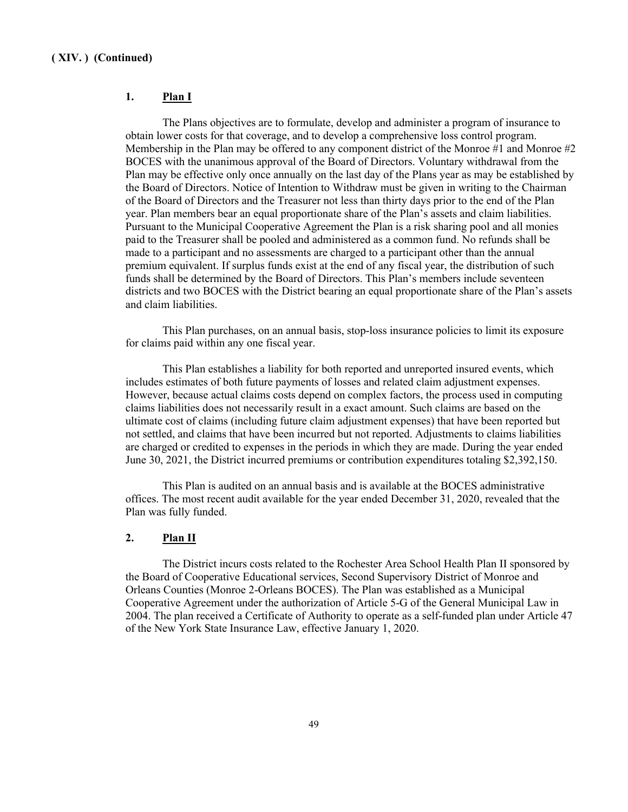#### **1. Plan I**

The Plans objectives are to formulate, develop and administer a program of insurance to obtain lower costs for that coverage, and to develop a comprehensive loss control program. Membership in the Plan may be offered to any component district of the Monroe #1 and Monroe  $#2$ BOCES with the unanimous approval of the Board of Directors. Voluntary withdrawal from the Plan may be effective only once annually on the last day of the Plans year as may be established by the Board of Directors. Notice of Intention to Withdraw must be given in writing to the Chairman of the Board of Directors and the Treasurer not less than thirty days prior to the end of the Plan year. Plan members bear an equal proportionate share of the Plan's assets and claim liabilities. Pursuant to the Municipal Cooperative Agreement the Plan is a risk sharing pool and all monies paid to the Treasurer shall be pooled and administered as a common fund. No refunds shall be made to a participant and no assessments are charged to a participant other than the annual premium equivalent. If surplus funds exist at the end of any fiscal year, the distribution of such funds shall be determined by the Board of Directors. This Plan's members include seventeen districts and two BOCES with the District bearing an equal proportionate share of the Plan's assets and claim liabilities.

This Plan purchases, on an annual basis, stop-loss insurance policies to limit its exposure for claims paid within any one fiscal year.

This Plan establishes a liability for both reported and unreported insured events, which includes estimates of both future payments of losses and related claim adjustment expenses. However, because actual claims costs depend on complex factors, the process used in computing claims liabilities does not necessarily result in a exact amount. Such claims are based on the ultimate cost of claims (including future claim adjustment expenses) that have been reported but not settled, and claims that have been incurred but not reported. Adjustments to claims liabilities are charged or credited to expenses in the periods in which they are made. During the year ended June 30, 2021, the District incurred premiums or contribution expenditures totaling \$2,392,150.

This Plan is audited on an annual basis and is available at the BOCES administrative offices. The most recent audit available for the year ended December 31, 2020, revealed that the Plan was fully funded.

#### **2. Plan II**

The District incurs costs related to the Rochester Area School Health Plan II sponsored by the Board of Cooperative Educational services, Second Supervisory District of Monroe and Orleans Counties (Monroe 2-Orleans BOCES). The Plan was established as a Municipal Cooperative Agreement under the authorization of Article 5-G of the General Municipal Law in 2004. The plan received a Certificate of Authority to operate as a self-funded plan under Article 47 of the New York State Insurance Law, effective January 1, 2020.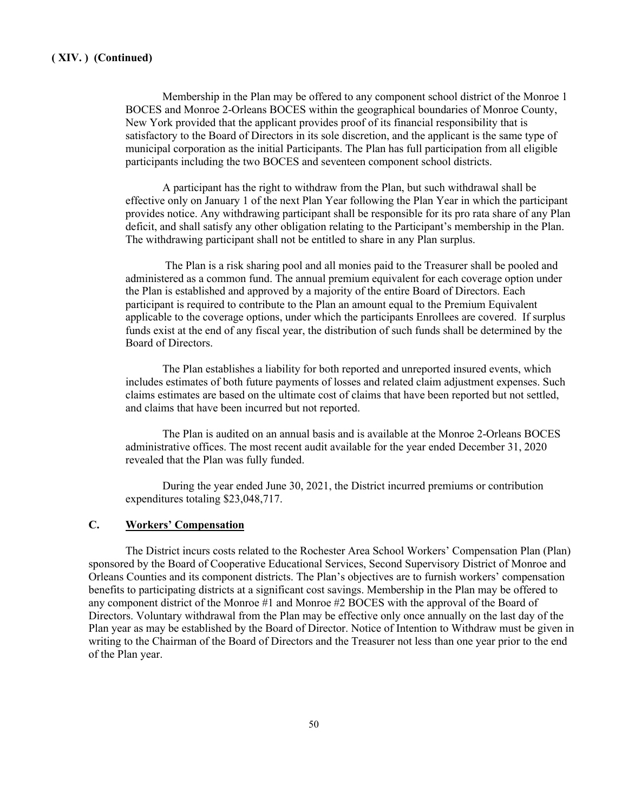Membership in the Plan may be offered to any component school district of the Monroe 1 BOCES and Monroe 2-Orleans BOCES within the geographical boundaries of Monroe County, New York provided that the applicant provides proof of its financial responsibility that is satisfactory to the Board of Directors in its sole discretion, and the applicant is the same type of municipal corporation as the initial Participants. The Plan has full participation from all eligible participants including the two BOCES and seventeen component school districts.

A participant has the right to withdraw from the Plan, but such withdrawal shall be effective only on January 1 of the next Plan Year following the Plan Year in which the participant provides notice. Any withdrawing participant shall be responsible for its pro rata share of any Plan deficit, and shall satisfy any other obligation relating to the Participant's membership in the Plan. The withdrawing participant shall not be entitled to share in any Plan surplus.

The Plan is a risk sharing pool and all monies paid to the Treasurer shall be pooled and administered as a common fund. The annual premium equivalent for each coverage option under the Plan is established and approved by a majority of the entire Board of Directors. Each participant is required to contribute to the Plan an amount equal to the Premium Equivalent applicable to the coverage options, under which the participants Enrollees are covered. If surplus funds exist at the end of any fiscal year, the distribution of such funds shall be determined by the Board of Directors.

The Plan establishes a liability for both reported and unreported insured events, which includes estimates of both future payments of losses and related claim adjustment expenses. Such claims estimates are based on the ultimate cost of claims that have been reported but not settled, and claims that have been incurred but not reported.

The Plan is audited on an annual basis and is available at the Monroe 2-Orleans BOCES administrative offices. The most recent audit available for the year ended December 31, 2020 revealed that the Plan was fully funded.

During the year ended June 30, 2021, the District incurred premiums or contribution expenditures totaling \$23,048,717.

## **C. Workers' Compensation**

The District incurs costs related to the Rochester Area School Workers' Compensation Plan (Plan) sponsored by the Board of Cooperative Educational Services, Second Supervisory District of Monroe and Orleans Counties and its component districts. The Plan's objectives are to furnish workers' compensation benefits to participating districts at a significant cost savings. Membership in the Plan may be offered to any component district of the Monroe #1 and Monroe #2 BOCES with the approval of the Board of Directors. Voluntary withdrawal from the Plan may be effective only once annually on the last day of the Plan year as may be established by the Board of Director. Notice of Intention to Withdraw must be given in writing to the Chairman of the Board of Directors and the Treasurer not less than one year prior to the end of the Plan year.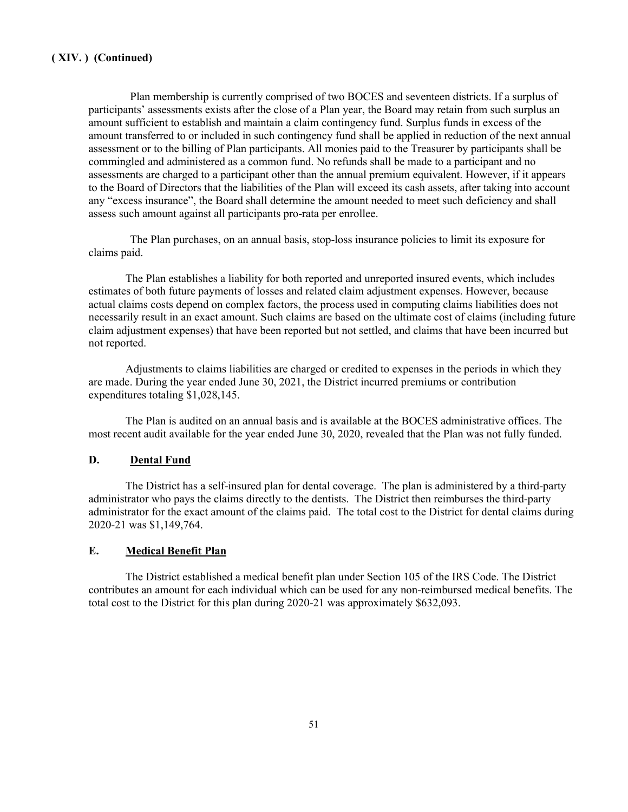Plan membership is currently comprised of two BOCES and seventeen districts. If a surplus of participants' assessments exists after the close of a Plan year, the Board may retain from such surplus an amount sufficient to establish and maintain a claim contingency fund. Surplus funds in excess of the amount transferred to or included in such contingency fund shall be applied in reduction of the next annual assessment or to the billing of Plan participants. All monies paid to the Treasurer by participants shall be commingled and administered as a common fund. No refunds shall be made to a participant and no assessments are charged to a participant other than the annual premium equivalent. However, if it appears to the Board of Directors that the liabilities of the Plan will exceed its cash assets, after taking into account any "excess insurance", the Board shall determine the amount needed to meet such deficiency and shall assess such amount against all participants pro-rata per enrollee.

The Plan purchases, on an annual basis, stop-loss insurance policies to limit its exposure for claims paid.

The Plan establishes a liability for both reported and unreported insured events, which includes estimates of both future payments of losses and related claim adjustment expenses. However, because actual claims costs depend on complex factors, the process used in computing claims liabilities does not necessarily result in an exact amount. Such claims are based on the ultimate cost of claims (including future claim adjustment expenses) that have been reported but not settled, and claims that have been incurred but not reported.

Adjustments to claims liabilities are charged or credited to expenses in the periods in which they are made. During the year ended June 30, 2021, the District incurred premiums or contribution expenditures totaling \$1,028,145.

The Plan is audited on an annual basis and is available at the BOCES administrative offices. The most recent audit available for the year ended June 30, 2020, revealed that the Plan was not fully funded.

#### **D. Dental Fund**

The District has a self-insured plan for dental coverage. The plan is administered by a third-party administrator who pays the claims directly to the dentists. The District then reimburses the third-party administrator for the exact amount of the claims paid. The total cost to the District for dental claims during 2020-21 was \$1,149,764.

#### **E. Medical Benefit Plan**

The District established a medical benefit plan under Section 105 of the IRS Code. The District contributes an amount for each individual which can be used for any non-reimbursed medical benefits. The total cost to the District for this plan during 2020-21 was approximately \$632,093.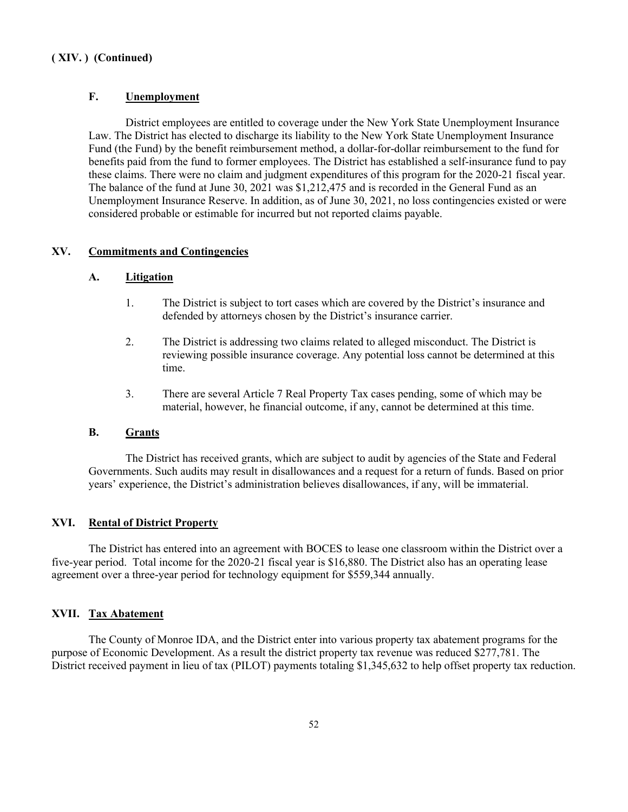### **F. Unemployment**

District employees are entitled to coverage under the New York State Unemployment Insurance Law. The District has elected to discharge its liability to the New York State Unemployment Insurance Fund (the Fund) by the benefit reimbursement method, a dollar-for-dollar reimbursement to the fund for benefits paid from the fund to former employees. The District has established a self-insurance fund to pay these claims. There were no claim and judgment expenditures of this program for the 2020-21 fiscal year. The balance of the fund at June 30, 2021 was \$1,212,475 and is recorded in the General Fund as an Unemployment Insurance Reserve. In addition, as of June 30, 2021, no loss contingencies existed or were considered probable or estimable for incurred but not reported claims payable.

#### **XV. Commitments and Contingencies**

#### **A. Litigation**

- 1. The District is subject to tort cases which are covered by the District's insurance and defended by attorneys chosen by the District's insurance carrier.
- 2. The District is addressing two claims related to alleged misconduct. The District is reviewing possible insurance coverage. Any potential loss cannot be determined at this time.
- 3. There are several Article 7 Real Property Tax cases pending, some of which may be material, however, he financial outcome, if any, cannot be determined at this time.

#### **B. Grants**

The District has received grants, which are subject to audit by agencies of the State and Federal Governments. Such audits may result in disallowances and a request for a return of funds. Based on prior years' experience, the District's administration believes disallowances, if any, will be immaterial.

#### **XVI. Rental of District Property**

The District has entered into an agreement with BOCES to lease one classroom within the District over a five-year period. Total income for the 2020-21 fiscal year is \$16,880. The District also has an operating lease agreement over a three-year period for technology equipment for \$559,344 annually.

#### **XVII. Tax Abatement**

The County of Monroe IDA, and the District enter into various property tax abatement programs for the purpose of Economic Development. As a result the district property tax revenue was reduced \$277,781. The District received payment in lieu of tax (PILOT) payments totaling \$1,345,632 to help offset property tax reduction.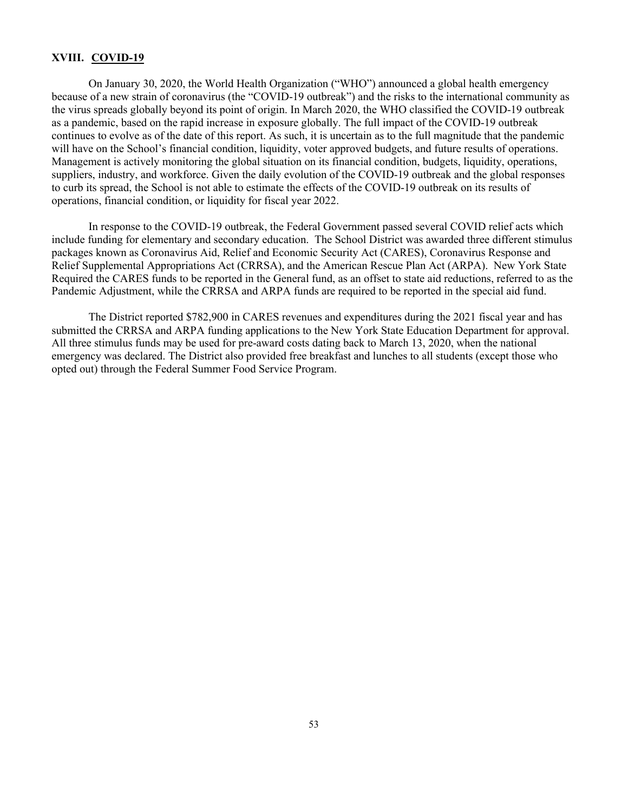#### **XVIII. COVID-19**

On January 30, 2020, the World Health Organization ("WHO") announced a global health emergency because of a new strain of coronavirus (the "COVID-19 outbreak") and the risks to the international community as the virus spreads globally beyond its point of origin. In March 2020, the WHO classified the COVID-19 outbreak as a pandemic, based on the rapid increase in exposure globally. The full impact of the COVID-19 outbreak continues to evolve as of the date of this report. As such, it is uncertain as to the full magnitude that the pandemic will have on the School's financial condition, liquidity, voter approved budgets, and future results of operations. Management is actively monitoring the global situation on its financial condition, budgets, liquidity, operations, suppliers, industry, and workforce. Given the daily evolution of the COVID-19 outbreak and the global responses to curb its spread, the School is not able to estimate the effects of the COVID-19 outbreak on its results of operations, financial condition, or liquidity for fiscal year 2022.

In response to the COVID-19 outbreak, the Federal Government passed several COVID relief acts which include funding for elementary and secondary education. The School District was awarded three different stimulus packages known as Coronavirus Aid, Relief and Economic Security Act (CARES), Coronavirus Response and Relief Supplemental Appropriations Act (CRRSA), and the American Rescue Plan Act (ARPA). New York State Required the CARES funds to be reported in the General fund, as an offset to state aid reductions, referred to as the Pandemic Adjustment, while the CRRSA and ARPA funds are required to be reported in the special aid fund.

The District reported \$782,900 in CARES revenues and expenditures during the 2021 fiscal year and has submitted the CRRSA and ARPA funding applications to the New York State Education Department for approval. All three stimulus funds may be used for pre-award costs dating back to March 13, 2020, when the national emergency was declared. The District also provided free breakfast and lunches to all students (except those who opted out) through the Federal Summer Food Service Program.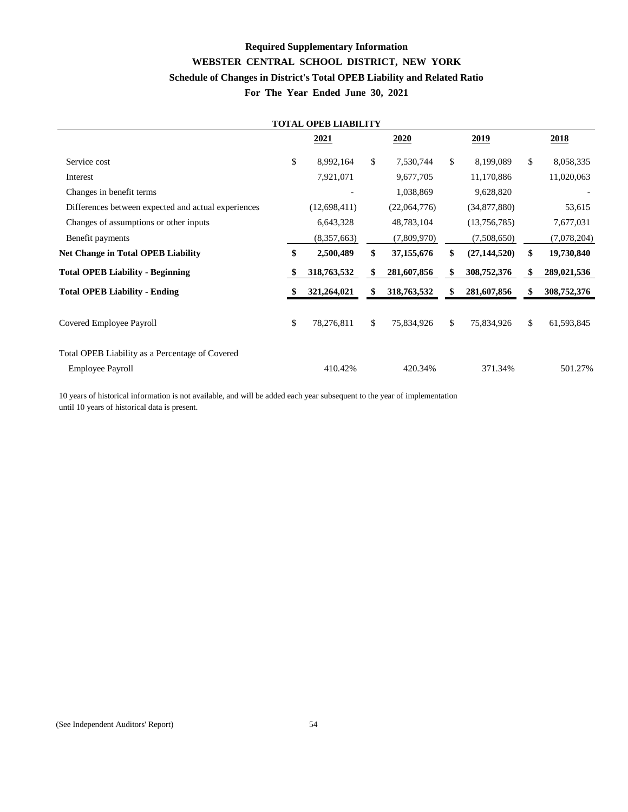# **Required Supplementary Information WEBSTER CENTRAL SCHOOL DISTRICT, NEW YORK Schedule of Changes in District's Total OPEB Liability and Related Ratio For The Year Ended June 30, 2021**

| <b>TOTAL OPEB LIABILITY</b>                         |    |                |              |              |              |                |               |             |  |  |  |  |
|-----------------------------------------------------|----|----------------|--------------|--------------|--------------|----------------|---------------|-------------|--|--|--|--|
|                                                     |    | 2021           |              | 2020         |              | 2019           |               | 2018        |  |  |  |  |
| Service cost                                        | \$ | 8,992,164      | \$           | 7,530,744    | $\mathbb{S}$ | 8,199,089      | $\mathbb{S}$  | 8,058,335   |  |  |  |  |
| Interest                                            |    | 7,921,071      |              | 9,677,705    |              | 11,170,886     |               | 11,020,063  |  |  |  |  |
| Changes in benefit terms                            |    |                |              | 1,038,869    |              | 9,628,820      |               |             |  |  |  |  |
| Differences between expected and actual experiences |    | (12, 698, 411) |              | (22,064,776) |              | (34,877,880)   |               | 53,615      |  |  |  |  |
| Changes of assumptions or other inputs              |    | 6,643,328      |              | 48,783,104   |              | (13,756,785)   |               | 7,677,031   |  |  |  |  |
| Benefit payments                                    |    | (8,357,663)    |              | (7,809,970)  |              | (7,508,650)    |               | (7,078,204) |  |  |  |  |
| <b>Net Change in Total OPEB Liability</b>           | \$ | 2,500,489      | \$           | 37,155,676   | \$           | (27, 144, 520) | \$            | 19,730,840  |  |  |  |  |
| <b>Total OPEB Liability - Beginning</b>             |    | 318,763,532    |              | 281,607,856  |              | 308,752,376    | \$            | 289,021,536 |  |  |  |  |
| <b>Total OPEB Liability - Ending</b>                |    | 321,264,021    | S.           | 318,763,532  | S            | 281,607,856    | S             | 308,752,376 |  |  |  |  |
| Covered Employee Payroll                            | \$ | 78,276,811     | $\mathbb{S}$ | 75,834,926   | $\mathbb{S}$ | 75,834,926     | $\mathcal{S}$ | 61,593,845  |  |  |  |  |
| Total OPEB Liability as a Percentage of Covered     |    |                |              |              |              |                |               |             |  |  |  |  |
| <b>Employee Payroll</b>                             |    | 410.42%        |              | 420.34%      |              | 371.34%        |               | 501.27%     |  |  |  |  |

10 years of historical information is not available, and will be added each year subsequent to the year of implementation until 10 years of historical data is present.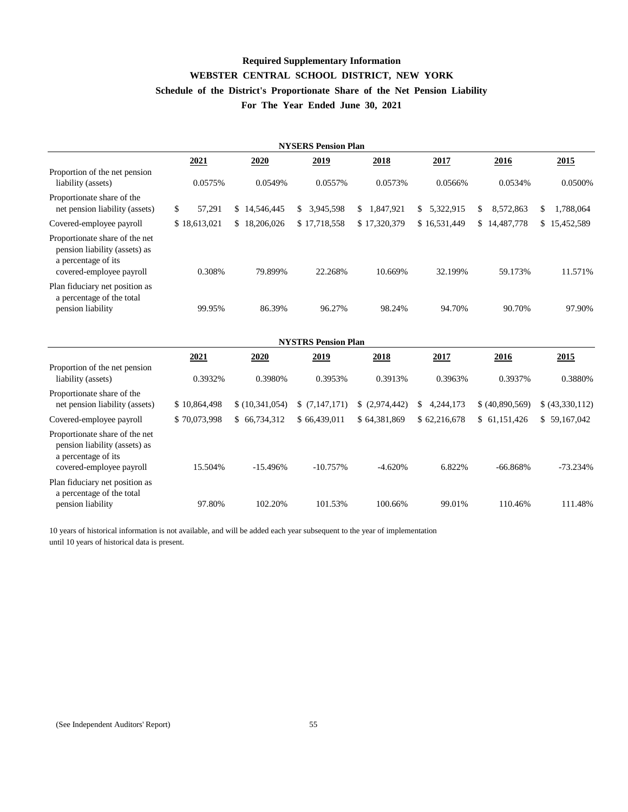# **Required Supplementary Information WEBSTER CENTRAL SCHOOL DISTRICT, NEW YORK Schedule of the District's Proportionate Share of the Net Pension Liability For The Year Ended June 30, 2021**

|                                                                                                                    | <b>NYSERS Pension Plan</b> |                |                            |                 |                 |                 |                  |  |  |  |  |  |  |
|--------------------------------------------------------------------------------------------------------------------|----------------------------|----------------|----------------------------|-----------------|-----------------|-----------------|------------------|--|--|--|--|--|--|
|                                                                                                                    | 2021                       | 2020           | 2019                       | 2018            | 2017            | 2016            | 2015             |  |  |  |  |  |  |
| Proportion of the net pension<br>liability (assets)                                                                | 0.0575%                    | 0.0549%        | 0.0557%                    | 0.0573%         | 0.0566%         | 0.0534%         | 0.0500%          |  |  |  |  |  |  |
| Proportionate share of the<br>net pension liability (assets)                                                       | \$<br>57,291               | \$14,546,445   | 3,945,598<br>\$            | 1,847,921<br>\$ | \$5,322,915     | 8,572,863<br>\$ | 1,788,064<br>\$  |  |  |  |  |  |  |
| Covered-employee payroll                                                                                           | \$18,613,021               | \$18,206,026   | \$17,718,558               | \$17,320,379    | \$16,531,449    | \$14,487,778    | 15,452,589<br>\$ |  |  |  |  |  |  |
| Proportionate share of the net<br>pension liability (assets) as<br>a percentage of its<br>covered-employee payroll | 0.308%                     | 79.899%        | 22.268%                    | 10.669%         | 32.199%         | 59.173%         | 11.571%          |  |  |  |  |  |  |
| Plan fiduciary net position as<br>a percentage of the total<br>pension liability                                   | 99.95%                     | 86.39%         | 96.27%                     | 98.24%          | 94.70%          | 90.70%          | 97.90%           |  |  |  |  |  |  |
|                                                                                                                    |                            |                | <b>NYSTRS Pension Plan</b> |                 |                 |                 |                  |  |  |  |  |  |  |
|                                                                                                                    | 2021                       | 2020           | 2019                       | 2018            | 2017            | 2016            | 2015             |  |  |  |  |  |  |
| Proportion of the net pension<br>liability (assets)                                                                | 0.3932%                    | 0.3980%        | 0.3953%                    | 0.3913%         | 0.3963%         | 0.3937%         | 0.3880%          |  |  |  |  |  |  |
| Proportionate share of the<br>net pension liability (assets)                                                       | \$10,864,498               | \$(10,341,054) | \$(7,147,171)              | (2,974,442)     | 4,244,173<br>\$ | \$ (40,890,569) | \$ (43,330,112)  |  |  |  |  |  |  |
| Covered-employee payroll                                                                                           | \$70,073,998               | \$66,734,312   | \$66,439,011               | \$64,381,869    | \$62,216,678    | \$61,151,426    | \$59,167,042     |  |  |  |  |  |  |
| Proportionate share of the net<br>pension liability (assets) as<br>a percentage of its<br>covered-employee payroll | 15.504%                    | $-15.496%$     | $-10.757%$                 | $-4.620%$       | 6.822%          | $-66.868%$      | $-73.234%$       |  |  |  |  |  |  |
| Plan fiduciary net position as<br>a percentage of the total<br>pension liability                                   | 97.80%                     | 102.20%        | 101.53%                    | 100.66%         | 99.01%          | 110.46%         | 111.48%          |  |  |  |  |  |  |

10 years of historical information is not available, and will be added each year subsequent to the year of implementation until 10 years of historical data is present.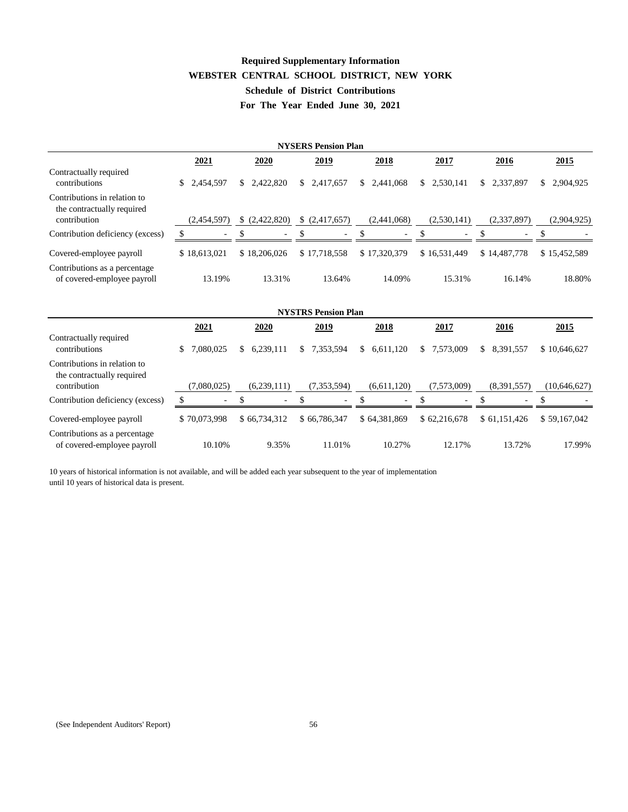# **Required Supplementary Information WEBSTER CENTRAL SCHOOL DISTRICT, NEW YORK Schedule of District Contributions For The Year Ended June 30, 2021**

| <b>NYSERS Pension Plan</b>                                                 |                 |                 |                            |                 |                 |                             |                             |  |  |  |  |  |
|----------------------------------------------------------------------------|-----------------|-----------------|----------------------------|-----------------|-----------------|-----------------------------|-----------------------------|--|--|--|--|--|
|                                                                            | 2021            | 2020            | 2019                       | 2018            | 2017            | 2016                        | 2015                        |  |  |  |  |  |
| Contractually required<br>contributions                                    | \$<br>2,454,597 | 2,422,820<br>S. | 2,417,657<br>\$            | 2,441,068<br>\$ | 2,530,141<br>\$ | 2,337,897<br>$\mathbb{S}^-$ | 2,904,925<br>$\mathbb{S}^-$ |  |  |  |  |  |
| Contributions in relation to<br>the contractually required<br>contribution | (2,454,597)     | (2,422,820)     | \$ (2,417,657)             | (2,441,068)     | (2,530,141)     | (2,337,897)                 | (2,904,925)                 |  |  |  |  |  |
| Contribution deficiency (excess)                                           | \$              |                 |                            |                 | \$              | \$                          | \$                          |  |  |  |  |  |
| Covered-employee payroll                                                   | \$18,613,021    | \$18,206,026    | \$17,718,558               | \$17,320,379    | \$16,531,449    | \$14,487,778                | \$15,452,589                |  |  |  |  |  |
| Contributions as a percentage<br>of covered-employee payroll               | 13.19%          | 13.31%          | 13.64%                     | 14.09%          | 15.31%          | 16.14%                      | 18.80%                      |  |  |  |  |  |
|                                                                            |                 |                 | <b>NYSTRS Pension Plan</b> |                 |                 |                             |                             |  |  |  |  |  |
|                                                                            | 2021            | 2020            | 2019                       | 2018            | 2017            | 2016                        | 2015                        |  |  |  |  |  |
| Contractually required<br>contributions                                    | 7,080,025<br>\$ | 6,239,111<br>\$ | 7,353,594<br>\$            | 6,611,120<br>\$ | \$<br>7,573,009 | \$<br>8,391,557             | \$10,646,627                |  |  |  |  |  |
| Contributions in relation to<br>the contractually required<br>contribution | (7,080,025)     | (6,239,111)     | (7, 353, 594)              | (6,611,120)     | (7,573,009)     | (8,391,557)                 | (10, 646, 627)              |  |  |  |  |  |
| Contribution deficiency (excess)                                           | £.              | \$              |                            |                 |                 |                             |                             |  |  |  |  |  |
|                                                                            |                 |                 |                            |                 |                 |                             |                             |  |  |  |  |  |
| Covered-employee payroll                                                   | \$70,073,998    | \$66,734,312    | \$66,786,347               | \$64,381,869    | \$62,216,678    | \$61,151,426                | \$59,167,042                |  |  |  |  |  |
| Contributions as a percentage<br>of covered-employee payroll               | 10.10%          | 9.35%           | 11.01%                     | 10.27%          | 12.17%          | 13.72%                      | 17.99%                      |  |  |  |  |  |

10 years of historical information is not available, and will be added each year subsequent to the year of implementation until 10 years of historical data is present.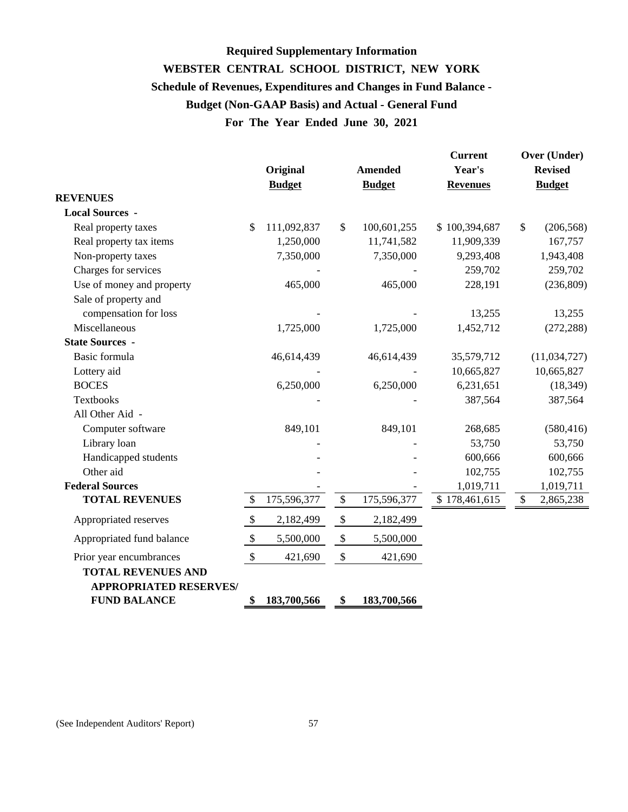# **For The Year Ended June 30, 2021 Required Supplementary Information WEBSTER CENTRAL SCHOOL DISTRICT, NEW YORK Schedule of Revenues, Expenditures and Changes in Fund Balance - Budget (Non-GAAP Basis) and Actual - General Fund**

|                                                            |                           | Original<br><b>Budget</b> |                   | <b>Amended</b><br><b>Budget</b> | <b>Current</b><br>Year's<br><b>Revenues</b> |       | Over (Under)<br><b>Revised</b><br><b>Budget</b> |
|------------------------------------------------------------|---------------------------|---------------------------|-------------------|---------------------------------|---------------------------------------------|-------|-------------------------------------------------|
| <b>REVENUES</b>                                            |                           |                           |                   |                                 |                                             |       |                                                 |
| <b>Local Sources -</b>                                     |                           |                           |                   |                                 |                                             |       |                                                 |
| Real property taxes                                        | \$.                       | 111,092,837               | $\mathbb{S}$      | 100,601,255                     | \$100,394,687                               | $\$\$ | (206, 568)                                      |
| Real property tax items                                    |                           | 1,250,000                 |                   | 11,741,582                      | 11,909,339                                  |       | 167,757                                         |
| Non-property taxes                                         |                           | 7,350,000                 |                   | 7,350,000                       | 9,293,408                                   |       | 1,943,408                                       |
| Charges for services                                       |                           |                           |                   |                                 | 259,702                                     |       | 259,702                                         |
| Use of money and property                                  |                           | 465,000                   |                   | 465,000                         | 228,191                                     |       | (236, 809)                                      |
| Sale of property and                                       |                           |                           |                   |                                 |                                             |       |                                                 |
| compensation for loss                                      |                           |                           |                   |                                 | 13,255                                      |       | 13,255                                          |
| Miscellaneous                                              |                           | 1,725,000                 |                   | 1,725,000                       | 1,452,712                                   |       | (272, 288)                                      |
| <b>State Sources -</b>                                     |                           |                           |                   |                                 |                                             |       |                                                 |
| Basic formula                                              |                           | 46,614,439                |                   | 46,614,439                      | 35,579,712                                  |       | (11,034,727)                                    |
| Lottery aid                                                |                           |                           |                   |                                 | 10,665,827                                  |       | 10,665,827                                      |
| <b>BOCES</b>                                               |                           | 6,250,000                 |                   | 6,250,000                       | 6,231,651                                   |       | (18, 349)                                       |
| <b>Textbooks</b>                                           |                           |                           |                   |                                 | 387,564                                     |       | 387,564                                         |
| All Other Aid -                                            |                           |                           |                   |                                 |                                             |       |                                                 |
| Computer software                                          |                           | 849,101                   |                   | 849,101                         | 268,685                                     |       | (580, 416)                                      |
| Library loan                                               |                           |                           |                   |                                 | 53,750                                      |       | 53,750                                          |
| Handicapped students                                       |                           |                           |                   |                                 | 600,666                                     |       | 600,666                                         |
| Other aid                                                  |                           |                           |                   |                                 | 102,755                                     |       | 102,755                                         |
| <b>Federal Sources</b>                                     |                           |                           |                   |                                 | 1,019,711                                   |       | 1,019,711                                       |
| <b>TOTAL REVENUES</b>                                      | \$                        | 175,596,377               | $\$\,$            | 175,596,377                     | \$178,461,615                               | \$    | 2,865,238                                       |
| Appropriated reserves                                      | $\boldsymbol{\mathsf{S}}$ | 2,182,499                 | $\boldsymbol{\$}$ | 2,182,499                       |                                             |       |                                                 |
| Appropriated fund balance                                  | $\boldsymbol{\mathsf{S}}$ | 5,500,000                 | $\$\,$            | 5,500,000                       |                                             |       |                                                 |
| Prior year encumbrances                                    | $\boldsymbol{\mathsf{S}}$ | 421,690                   | $\$$              | 421,690                         |                                             |       |                                                 |
| <b>TOTAL REVENUES AND</b><br><b>APPROPRIATED RESERVES/</b> |                           |                           |                   |                                 |                                             |       |                                                 |
| <b>FUND BALANCE</b>                                        | \$                        | 183,700,566               | \$                | 183,700,566                     |                                             |       |                                                 |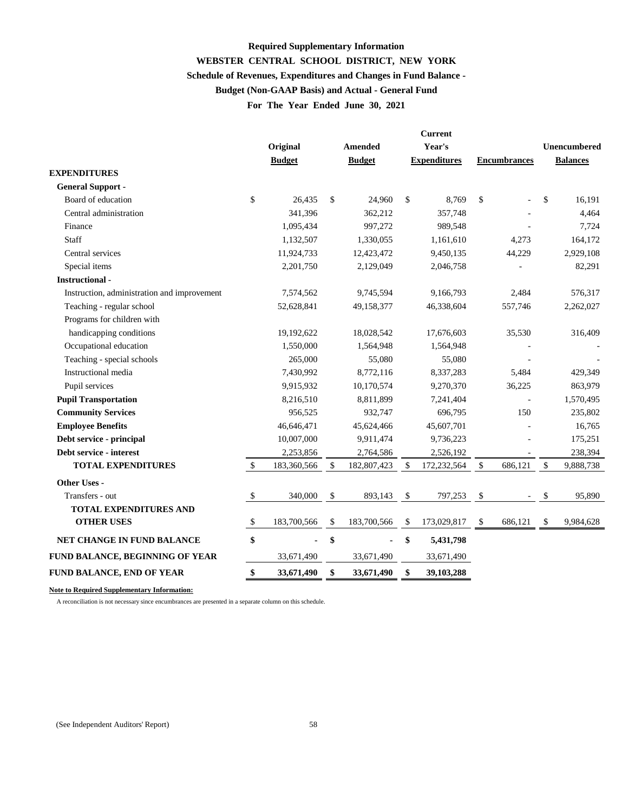# **WEBSTER CENTRAL SCHOOL DISTRICT, NEW YORK For The Year Ended June 30, 2021 Required Supplementary Information Schedule of Revenues, Expenditures and Changes in Fund Balance - Budget (Non-GAAP Basis) and Actual - General Fund**

|                                             |              | <b>Current</b> |                           |                |               |                     |                     |                          |                 |
|---------------------------------------------|--------------|----------------|---------------------------|----------------|---------------|---------------------|---------------------|--------------------------|-----------------|
|                                             |              | Original       |                           | <b>Amended</b> |               | Year's              |                     |                          | Unencumbered    |
|                                             |              | <b>Budget</b>  |                           | <b>Budget</b>  |               | <b>Expenditures</b> | <b>Encumbrances</b> |                          | <b>Balances</b> |
| <b>EXPENDITURES</b>                         |              |                |                           |                |               |                     |                     |                          |                 |
| <b>General Support -</b>                    |              |                |                           |                |               |                     |                     |                          |                 |
| Board of education                          | \$           | 26,435         | \$                        | 24,960         | \$            | 8,769               | \$                  | $\overline{\phantom{a}}$ | \$<br>16,191    |
| Central administration                      |              | 341,396        |                           | 362,212        |               | 357,748             |                     |                          | 4,464           |
| Finance                                     |              | 1,095,434      |                           | 997,272        |               | 989,548             |                     |                          | 7,724           |
| Staff                                       |              | 1,132,507      |                           | 1,330,055      |               | 1,161,610           |                     | 4,273                    | 164,172         |
| Central services                            |              | 11,924,733     |                           | 12,423,472     |               | 9,450,135           |                     | 44,229                   | 2,929,108       |
| Special items                               |              | 2,201,750      |                           | 2,129,049      |               | 2,046,758           |                     |                          | 82,291          |
| <b>Instructional-</b>                       |              |                |                           |                |               |                     |                     |                          |                 |
| Instruction, administration and improvement |              | 7,574,562      |                           | 9,745,594      |               | 9,166,793           |                     | 2,484                    | 576,317         |
| Teaching - regular school                   |              | 52,628,841     |                           | 49,158,377     |               | 46,338,604          |                     | 557,746                  | 2,262,027       |
| Programs for children with                  |              |                |                           |                |               |                     |                     |                          |                 |
| handicapping conditions                     |              | 19,192,622     |                           | 18,028,542     |               | 17,676,603          |                     | 35,530                   | 316,409         |
| Occupational education                      |              | 1,550,000      |                           | 1,564,948      |               | 1,564,948           |                     |                          |                 |
| Teaching - special schools                  |              | 265,000        |                           | 55,080         |               | 55,080              |                     |                          |                 |
| Instructional media                         |              | 7,430,992      |                           | 8,772,116      |               | 8,337,283           |                     | 5,484                    | 429,349         |
| Pupil services                              |              | 9,915,932      |                           | 10,170,574     |               | 9,270,370           |                     | 36,225                   | 863,979         |
| <b>Pupil Transportation</b>                 |              | 8,216,510      |                           | 8,811,899      |               | 7,241,404           |                     |                          | 1,570,495       |
| <b>Community Services</b>                   |              | 956,525        |                           | 932,747        |               | 696,795             |                     | 150                      | 235,802         |
| <b>Employee Benefits</b>                    |              | 46,646,471     |                           | 45,624,466     |               | 45,607,701          |                     |                          | 16,765          |
| Debt service - principal                    |              | 10,007,000     |                           | 9,911,474      |               | 9,736,223           |                     |                          | 175,251         |
| Debt service - interest                     |              | 2,253,856      |                           | 2,764,586      |               | 2,526,192           |                     |                          | 238,394         |
| <b>TOTAL EXPENDITURES</b>                   | $\mathbb{S}$ | 183,360,566    | $\mathcal{S}$             | 182,807,423    | $\mathcal{S}$ | 172,232,564         | \$                  | 686,121                  | \$<br>9,888,738 |
| Other Uses -                                |              |                |                           |                |               |                     |                     |                          |                 |
| Transfers - out                             | \$           | 340,000        | $\boldsymbol{\mathsf{S}}$ | 893,143        | $\mathcal{S}$ | 797,253             | $\mathcal{S}$       |                          | \$<br>95,890    |
| <b>TOTAL EXPENDITURES AND</b>               |              |                |                           |                |               |                     |                     |                          |                 |
| <b>OTHER USES</b>                           | \$           | 183,700,566    | \$                        | 183,700,566    | \$            | 173,029,817         | $\mathcal{S}$       | 686,121                  | \$<br>9,984,628 |
| NET CHANGE IN FUND BALANCE                  | \$           |                | \$                        |                | \$            | 5,431,798           |                     |                          |                 |
| FUND BALANCE, BEGINNING OF YEAR             |              | 33,671,490     |                           | 33,671,490     |               | 33,671,490          |                     |                          |                 |
| <b>FUND BALANCE, END OF YEAR</b>            |              | 33,671,490     | \$                        | 33,671,490     | \$            | 39,103,288          |                     |                          |                 |
|                                             |              |                |                           |                |               |                     |                     |                          |                 |

**Note to Required Supplementary Information:**

A reconciliation is not necessary since encumbrances are presented in a separate column on this schedule.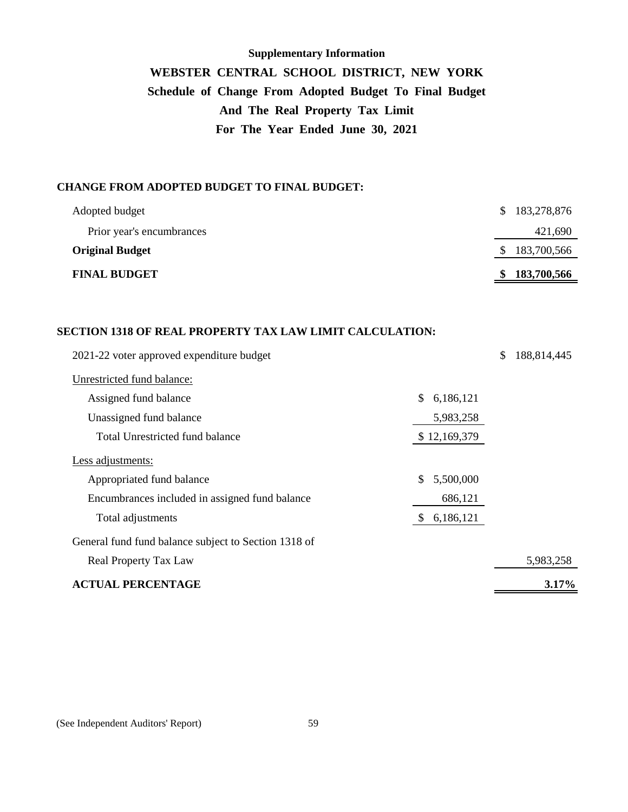# **Supplementary Information WEBSTER CENTRAL SCHOOL DISTRICT, NEW YORK Schedule of Change From Adopted Budget To Final Budget And The Real Property Tax Limit For The Year Ended June 30, 2021**

## **CHANGE FROM ADOPTED BUDGET TO FINAL BUDGET:**

| Adopted budget            | 183,278,876<br>S. |
|---------------------------|-------------------|
| Prior year's encumbrances | 421,690           |
| <b>Original Budget</b>    | 183,700,566<br>S. |
| <b>FINAL BUDGET</b>       | 183,700,566<br>S. |

#### **SECTION 1318 OF REAL PROPERTY TAX LAW LIMIT CALCULATION:**

| 2021-22 voter approved expenditure budget            |                  | \$<br>188,814,445 |
|------------------------------------------------------|------------------|-------------------|
| Unrestricted fund balance:                           |                  |                   |
| Assigned fund balance                                | \$<br>6,186,121  |                   |
| Unassigned fund balance                              | 5,983,258        |                   |
| Total Unrestricted fund balance                      | \$12,169,379     |                   |
| Less adjustments:                                    |                  |                   |
| Appropriated fund balance                            | \$.<br>5,500,000 |                   |
| Encumbrances included in assigned fund balance       | 686,121          |                   |
| Total adjustments                                    | 6,186,121<br>\$  |                   |
| General fund fund balance subject to Section 1318 of |                  |                   |
| Real Property Tax Law                                |                  | 5,983,258         |
| <b>ACTUAL PERCENTAGE</b>                             |                  | 3.17%             |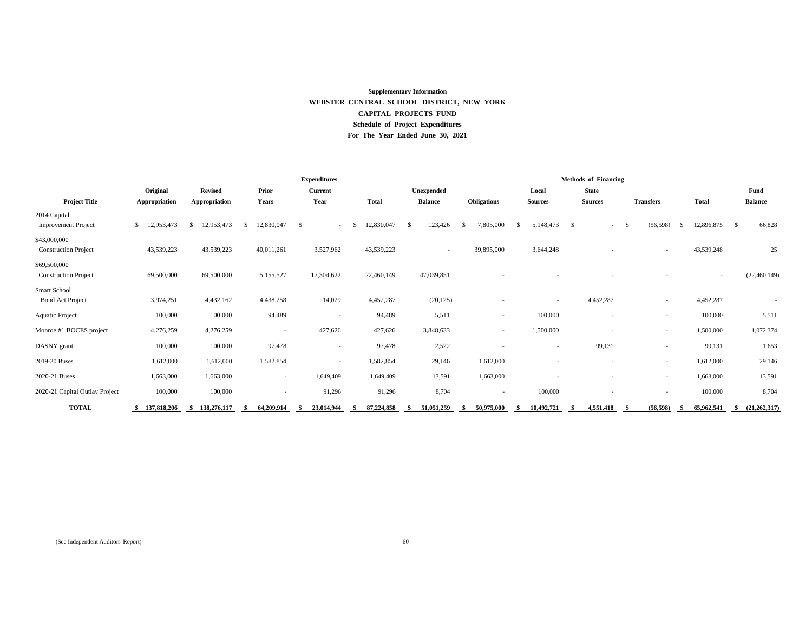# **WEBSTER CENTRAL SCHOOL DISTRICT, NEW YORK CAPITAL PROJECTS FUND Schedule of Project Expenditures For The Year Ended June 30, 2021 Supplementary Information**

|                                |                      |                      |                   | <b>Expenditures</b>      |                    |                          | <b>Methods of Financing</b> |                          |                   |                          |                    |                                  |  |
|--------------------------------|----------------------|----------------------|-------------------|--------------------------|--------------------|--------------------------|-----------------------------|--------------------------|-------------------|--------------------------|--------------------|----------------------------------|--|
|                                | Original             | <b>Revised</b>       | <b>Prior</b>      | <b>Current</b>           |                    | Unexpended               |                             | Local                    | <b>State</b>      |                          |                    | <b>Fund</b>                      |  |
| <b>Project Title</b>           | <b>Appropriation</b> | <b>Appropriation</b> | <b>Years</b>      | Year                     | <b>Total</b>       | <b>Balance</b>           | <b>Obligations</b>          | <b>Sources</b>           | <b>Sources</b>    | <b>Transfers</b>         | <b>Total</b>       | <b>Balance</b>                   |  |
| 2014 Capital                   |                      |                      |                   |                          |                    |                          |                             |                          |                   |                          |                    |                                  |  |
| <b>Improvement Project</b>     | 12,953,473<br>\$     | 12,953,473<br>-86    | 12,830,047<br>-S  | - \$<br>$\sim$           | 12,830,047         | 123,426                  | 7,805,000<br><sup>S</sup>   | 5,148,473                | $\mathcal{S}$     | (56, 598)                | 12,896,875<br>-S   | 66,828<br>$\mathcal{S}$          |  |
| \$43,000,000                   |                      |                      |                   |                          |                    |                          |                             |                          |                   |                          |                    |                                  |  |
| <b>Construction Project</b>    | 43,539,223           | 43,539,223           | 40,011,261        | 3,527,962                | 43,539,223         | $\overline{\phantom{a}}$ | 39,895,000                  | 3,644,248                |                   |                          | 43,539,248         | 25                               |  |
| \$69,500,000                   |                      |                      |                   |                          |                    |                          |                             |                          |                   |                          |                    |                                  |  |
| <b>Construction Project</b>    | 69,500,000           | 69,500,000           | 5,155,527         | 17,304,622               | 22,460,149         | 47,039,851               |                             |                          |                   |                          |                    | (22, 460, 149)                   |  |
| Smart School                   |                      |                      |                   |                          |                    |                          |                             |                          |                   |                          |                    |                                  |  |
| <b>Bond Act Project</b>        | 3,974,251            | 4,432,162            | 4,438,258         | 14,029                   | 4,452,287          | (20, 125)                |                             | $\overline{\phantom{a}}$ | 4,452,287         | $\overline{\phantom{a}}$ | 4,452,287          |                                  |  |
| <b>Aquatic Project</b>         | 100,000              | 100,000              | 94,489            | $\overline{\phantom{0}}$ | 94,489             | 5,511                    |                             | 100,000                  |                   | $\overline{\phantom{a}}$ | 100,000            | 5,511                            |  |
| Monroe #1 BOCES project        | 4,276,259            | 4,276,259            |                   | 427,626                  | 427,626            | 3,848,633                | $\sim$                      | 1,500,000                |                   | $\overline{\phantom{a}}$ | 1,500,000          | 1,072,374                        |  |
| DASNY grant                    | 100,000              | 100,000              | 97,478            | $\overline{\phantom{0}}$ | 97,478             | 2,522                    |                             | $\overline{\phantom{a}}$ | 99,131            | $\overline{\phantom{a}}$ | 99,131             | 1,653                            |  |
| 2019-20 Buses                  | 1,612,000            | 1,612,000            | 1,582,854         | $\overline{\phantom{0}}$ | 1,582,854          | 29,146                   | 1,612,000                   |                          |                   | $\overline{\phantom{a}}$ | 1,612,000          | 29,146                           |  |
| 2020-21 Buses                  | 1,663,000            | 1,663,000            | $\sim$            | 1,649,409                | 1,649,409          | 13,591                   | 1,663,000                   |                          |                   | $\overline{\phantom{a}}$ | 1,663,000          | 13,591                           |  |
| 2020-21 Capital Outlay Project | 100,000              | 100,000              |                   | 91,296                   | 91,296             | 8,704                    |                             | 100,000                  |                   |                          | 100,000            | 8,704                            |  |
| <b>TOTAL</b>                   | 137,818,206          | 138,276,117<br>-SS – | 64,209,914<br>-SS | 23,014,944               | 87,224,858<br>- 85 | 51,051,259<br>- SS       | 50,975,000<br>-SS           | 10,492,721<br>- \$       | 4,551,418<br>- SS | (56, 598)<br>- \$        | 65,962,541<br>- 56 | $\quad \quad \  \  (21,262,317)$ |  |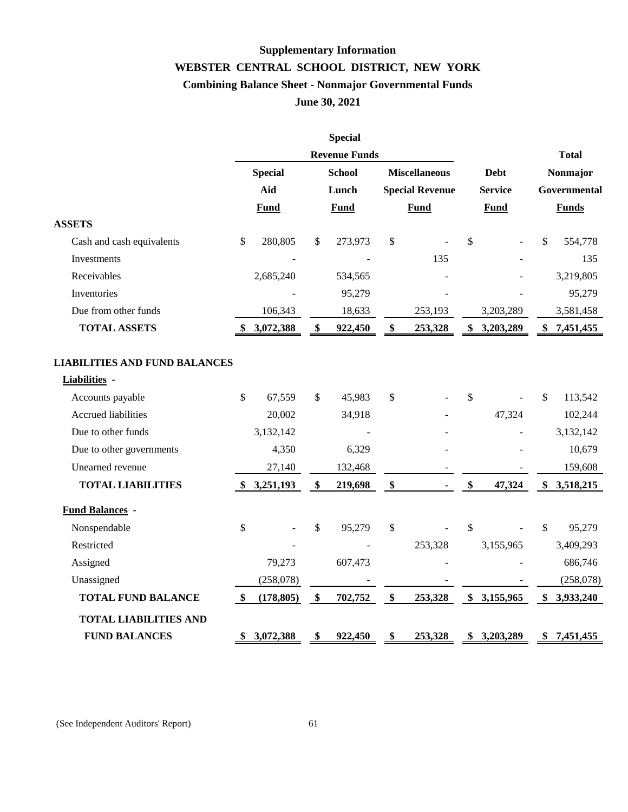# **Supplementary Information WEBSTER CENTRAL SCHOOL DISTRICT, NEW YORK Combining Balance Sheet - Nonmajor Governmental Funds June 30, 2021**

|                                      |      |                | <b>Special</b>       |               |                        |                          |                           |              |  |
|--------------------------------------|------|----------------|----------------------|---------------|------------------------|--------------------------|---------------------------|--------------|--|
|                                      |      |                | <b>Revenue Funds</b> |               |                        |                          |                           | <b>Total</b> |  |
|                                      |      | <b>Special</b> | <b>School</b>        |               | <b>Miscellaneous</b>   | <b>Debt</b>              | Nonmajor                  |              |  |
|                                      |      | Aid            | Lunch                |               | <b>Special Revenue</b> | <b>Service</b>           | Governmental              |              |  |
|                                      |      | <b>Fund</b>    | <b>Fund</b>          |               | <b>Fund</b>            | <b>Fund</b>              |                           | <b>Funds</b> |  |
| <b>ASSETS</b>                        |      |                |                      |               |                        |                          |                           |              |  |
| Cash and cash equivalents            | \$   | 280,805        | \$<br>273,973        | \$            |                        | \$                       | \$                        | 554,778      |  |
| Investments                          |      |                |                      |               | 135                    | $\overline{\phantom{a}}$ |                           | 135          |  |
| Receivables                          |      | 2,685,240      | 534,565              |               |                        |                          |                           | 3,219,805    |  |
| Inventories                          |      |                | 95,279               |               |                        |                          |                           | 95,279       |  |
| Due from other funds                 |      | 106,343        | 18,633               |               | 253,193                | 3,203,289                |                           | 3,581,458    |  |
| <b>TOTAL ASSETS</b>                  |      | 3,072,388      | \$<br>922,450        | \$            | 253,328                | \$<br>3,203,289          | \$                        | 7,451,455    |  |
|                                      |      |                |                      |               |                        |                          |                           |              |  |
| <b>LIABILITIES AND FUND BALANCES</b> |      |                |                      |               |                        |                          |                           |              |  |
| Liabilities -                        |      |                |                      |               |                        |                          |                           |              |  |
| Accounts payable                     | \$   | 67,559         | \$<br>45,983         | \$            |                        | \$                       | \$                        | 113,542      |  |
| <b>Accrued liabilities</b>           |      | 20,002         | 34,918               |               |                        | 47,324                   |                           | 102,244      |  |
| Due to other funds                   |      | 3,132,142      |                      |               |                        |                          |                           | 3,132,142    |  |
| Due to other governments             |      | 4,350          | 6,329                |               |                        |                          |                           | 10,679       |  |
| Unearned revenue                     |      | 27,140         | 132,468              |               |                        |                          |                           | 159,608      |  |
| <b>TOTAL LIABILITIES</b>             | -SS  | 3,251,193      | \$<br>219,698        | \$            |                        | \$<br>47,324             |                           | \$3,518,215  |  |
| <b>Fund Balances -</b>               |      |                |                      |               |                        |                          |                           |              |  |
| Nonspendable                         | \$   |                | \$<br>95,279         | \$            |                        | \$                       | $\boldsymbol{\mathsf{S}}$ | 95,279       |  |
| Restricted                           |      |                |                      |               | 253,328                | 3,155,965                |                           | 3,409,293    |  |
| Assigned                             |      | 79,273         | 607,473              |               |                        |                          |                           | 686,746      |  |
| Unassigned                           |      | (258,078)      |                      |               |                        |                          |                           | (258, 078)   |  |
| <b>TOTAL FUND BALANCE</b>            | - \$ | (178, 805)     | \$<br>702,752        | $\frac{1}{2}$ | 253,328                | \$3,155,965              |                           | \$3,933,240  |  |
| <b>TOTAL LIABILITIES AND</b>         |      |                |                      |               |                        |                          |                           |              |  |
| <b>FUND BALANCES</b>                 | \$   | 3,072,388      | \$<br>922,450        | \$            | 253,328                | \$3,203,289              |                           | \$7,451,455  |  |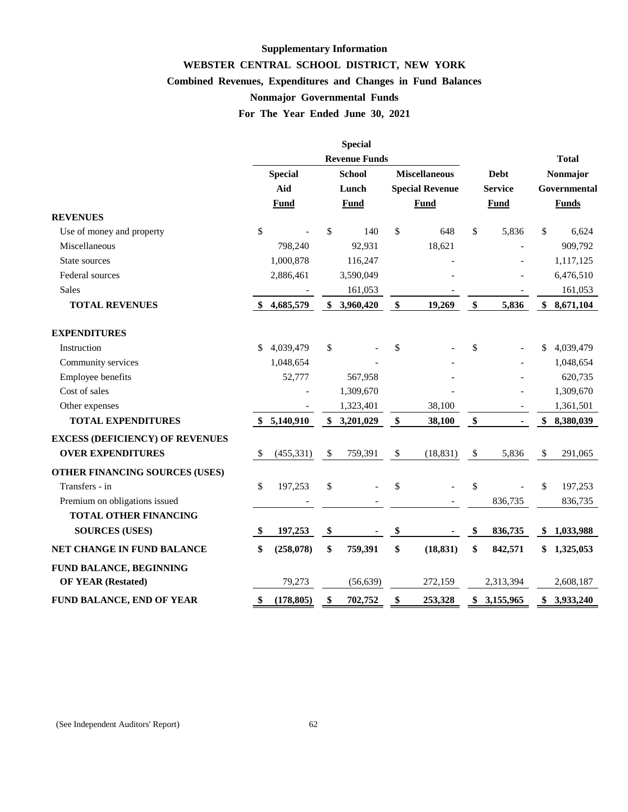# **Supplementary Information WEBSTER CENTRAL SCHOOL DISTRICT, NEW YORK Combined Revenues, Expenditures and Changes in Fund Balances For The Year Ended June 30, 2021 Nonmajor Governmental Funds**

|                                        |                       |             |                           | <b>Special</b> |                                                |             |                               |                |                           |              |
|----------------------------------------|-----------------------|-------------|---------------------------|----------------|------------------------------------------------|-------------|-------------------------------|----------------|---------------------------|--------------|
|                                        | <b>Revenue Funds</b>  |             |                           |                |                                                |             |                               | <b>Total</b>   |                           |              |
|                                        | <b>Special</b><br>Aid |             | <b>School</b><br>Lunch    |                | <b>Miscellaneous</b><br><b>Special Revenue</b> |             | <b>Debt</b><br><b>Service</b> |                | Nonmajor<br>Governmental  |              |
|                                        |                       |             |                           |                |                                                |             |                               |                |                           |              |
|                                        |                       | <b>Fund</b> |                           | <b>Fund</b>    |                                                | <b>Fund</b> |                               | <b>Fund</b>    |                           | <b>Funds</b> |
| <b>REVENUES</b>                        |                       |             |                           |                |                                                |             |                               |                |                           |              |
| Use of money and property              | \$                    |             | \$                        | 140            | \$                                             | 648         | \$                            | 5,836          | \$                        | 6,624        |
| Miscellaneous                          |                       | 798,240     |                           | 92,931         |                                                | 18,621      |                               |                |                           | 909,792      |
| State sources                          |                       | 1,000,878   |                           | 116,247        |                                                |             |                               |                |                           | 1,117,125    |
| Federal sources                        |                       | 2,886,461   |                           | 3,590,049      |                                                |             |                               |                |                           | 6,476,510    |
| Sales                                  |                       |             |                           | 161,053        |                                                |             |                               |                |                           | 161,053      |
| <b>TOTAL REVENUES</b>                  |                       | 4,685,579   |                           | \$3,960,420    | \$                                             | 19,269      | \$                            | 5,836          | \$                        | 8,671,104    |
| <b>EXPENDITURES</b>                    |                       |             |                           |                |                                                |             |                               |                |                           |              |
| Instruction                            | \$                    | 4,039,479   | \$                        |                | \$                                             |             | \$                            |                | \$                        | 4,039,479    |
| Community services                     |                       | 1,048,654   |                           |                |                                                |             |                               |                |                           | 1,048,654    |
| Employee benefits                      |                       | 52,777      |                           | 567,958        |                                                |             |                               |                |                           | 620,735      |
| Cost of sales                          |                       |             |                           | 1,309,670      |                                                |             |                               |                |                           | 1,309,670    |
| Other expenses                         |                       |             |                           | 1,323,401      |                                                | 38,100      |                               |                |                           | 1,361,501    |
| <b>TOTAL EXPENDITURES</b>              |                       | \$5,140,910 |                           | \$3,201,029    | \$                                             | 38,100      | $\boldsymbol{\$}$             | $\blacksquare$ | \$                        | 8,380,039    |
| <b>EXCESS (DEFICIENCY) OF REVENUES</b> |                       |             |                           |                |                                                |             |                               |                |                           |              |
| <b>OVER EXPENDITURES</b>               | \$                    | (455, 331)  | $\boldsymbol{\mathsf{S}}$ | 759,391        | $\boldsymbol{\mathsf{S}}$                      | (18, 831)   | $\frac{1}{2}$                 | 5,836          | $\boldsymbol{\mathsf{S}}$ | 291,065      |
| OTHER FINANCING SOURCES (USES)         |                       |             |                           |                |                                                |             |                               |                |                           |              |
| Transfers - in                         | \$                    | 197,253     | \$                        |                | \$                                             |             | \$                            |                | \$                        | 197,253      |
| Premium on obligations issued          |                       |             |                           |                |                                                |             |                               | 836,735        |                           | 836,735      |
| <b>TOTAL OTHER FINANCING</b>           |                       |             |                           |                |                                                |             |                               |                |                           |              |
| <b>SOURCES (USES)</b>                  | Φ                     | 197,253     | \$                        |                | \$                                             |             | \$                            | 836,735        |                           | \$1,033,988  |
| NET CHANGE IN FUND BALANCE             | \$                    | (258, 078)  | \$                        | 759,391        | \$                                             | (18, 831)   | \$                            | 842,571        |                           | \$1,325,053  |
| FUND BALANCE, BEGINNING                |                       |             |                           |                |                                                |             |                               |                |                           |              |
| <b>OF YEAR (Restated)</b>              |                       | 79,273      |                           | (56, 639)      |                                                | 272,159     |                               | 2,313,394      |                           | 2,608,187    |
| <b>FUND BALANCE, END OF YEAR</b>       | D                     | (178, 805)  | \$                        | 702,752        | \$                                             | 253,328     | \$                            | 3,155,965      | \$                        | 3,933,240    |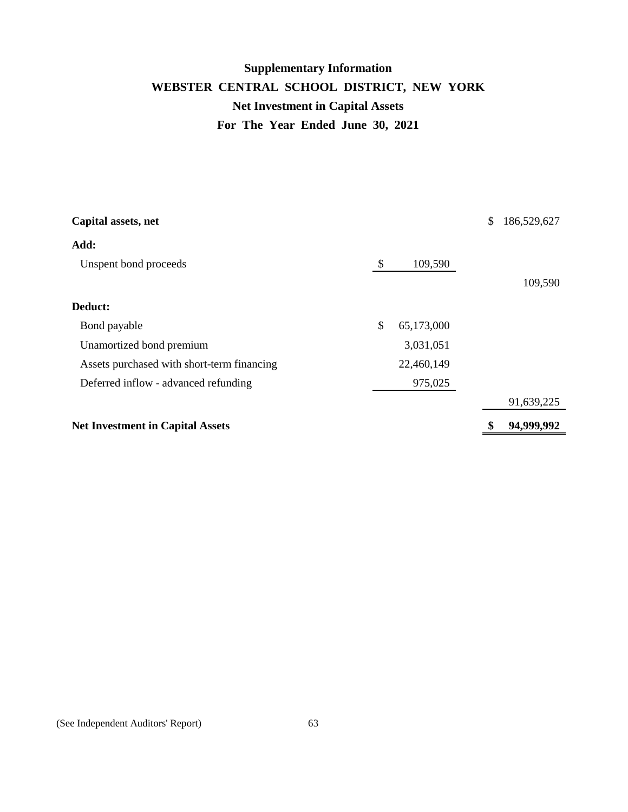# **WEBSTER CENTRAL SCHOOL DISTRICT, NEW YORK Net Investment in Capital Assets For The Year Ended June 30, 2021 Supplementary Information**

| Capital assets, net                        |                           |            | \$<br>186,529,627 |
|--------------------------------------------|---------------------------|------------|-------------------|
| Add:                                       |                           |            |                   |
| Unspent bond proceeds                      | $\boldsymbol{\mathsf{S}}$ | 109,590    |                   |
|                                            |                           |            | 109,590           |
| Deduct:                                    |                           |            |                   |
| Bond payable                               | \$                        | 65,173,000 |                   |
| Unamortized bond premium                   |                           | 3,031,051  |                   |
| Assets purchased with short-term financing |                           | 22,460,149 |                   |
| Deferred inflow - advanced refunding       |                           | 975,025    |                   |
|                                            |                           |            | 91,639,225        |
| <b>Net Investment in Capital Assets</b>    |                           |            | 94,999,992        |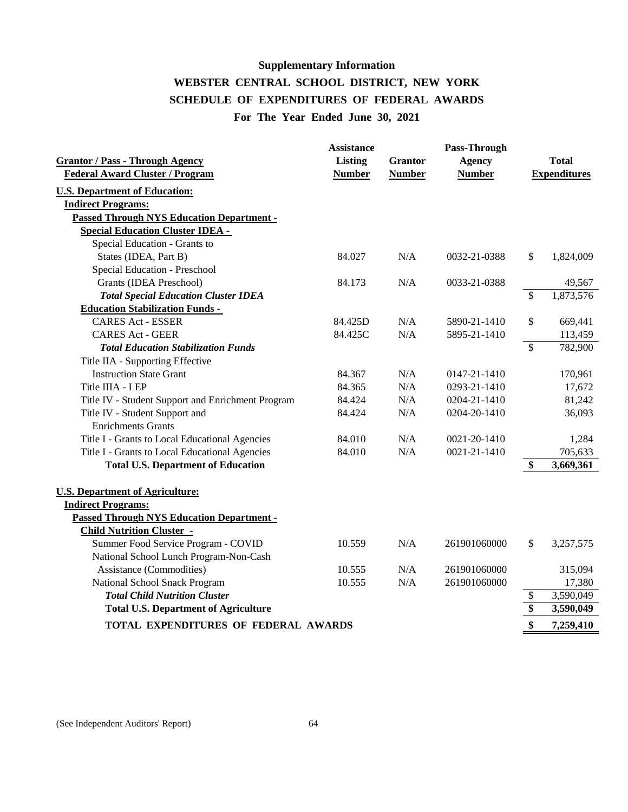# **Supplementary Information WEBSTER CENTRAL SCHOOL DISTRICT, NEW YORK SCHEDULE OF EXPENDITURES OF FEDERAL AWARDS For The Year Ended June 30, 2021**

|                                                   | <b>Assistance</b> |                | Pass-Through  |                          |              |
|---------------------------------------------------|-------------------|----------------|---------------|--------------------------|--------------|
| <b>Grantor / Pass - Through Agency</b>            | Listing           | <b>Grantor</b> | <b>Agency</b> |                          | <b>Total</b> |
| <b>Federal Award Cluster / Program</b>            | <b>Number</b>     | <b>Number</b>  | <b>Number</b> | <b>Expenditures</b>      |              |
| <b>U.S. Department of Education:</b>              |                   |                |               |                          |              |
| <b>Indirect Programs:</b>                         |                   |                |               |                          |              |
| <b>Passed Through NYS Education Department -</b>  |                   |                |               |                          |              |
| <b>Special Education Cluster IDEA -</b>           |                   |                |               |                          |              |
| Special Education - Grants to                     |                   |                |               |                          |              |
| States (IDEA, Part B)                             | 84.027            | N/A            | 0032-21-0388  | \$                       | 1,824,009    |
| Special Education - Preschool                     |                   |                |               |                          |              |
| Grants (IDEA Preschool)                           | 84.173            | N/A            | 0033-21-0388  |                          | 49,567       |
| <b>Total Special Education Cluster IDEA</b>       |                   |                |               | $\mathcal{S}$            | 1,873,576    |
| <b>Education Stabilization Funds -</b>            |                   |                |               |                          |              |
| <b>CARES Act - ESSER</b>                          | 84.425D           | N/A            | 5890-21-1410  | \$                       | 669,441      |
| <b>CARES Act - GEER</b>                           | 84.425C           | N/A            | 5895-21-1410  |                          | 113,459      |
| <b>Total Education Stabilization Funds</b>        |                   |                |               | $\overline{\mathcal{S}}$ | 782,900      |
| Title IIA - Supporting Effective                  |                   |                |               |                          |              |
| <b>Instruction State Grant</b>                    | 84.367            | N/A            | 0147-21-1410  |                          | 170,961      |
| Title IIIA - LEP                                  | 84.365            | N/A            | 0293-21-1410  |                          | 17,672       |
| Title IV - Student Support and Enrichment Program | 84.424            | N/A            | 0204-21-1410  |                          | 81,242       |
| Title IV - Student Support and                    | 84.424            | N/A            | 0204-20-1410  |                          | 36,093       |
| <b>Enrichments Grants</b>                         |                   |                |               |                          |              |
| Title I - Grants to Local Educational Agencies    | 84.010            | N/A            | 0021-20-1410  |                          | 1,284        |
| Title I - Grants to Local Educational Agencies    | 84.010            | N/A            | 0021-21-1410  |                          | 705,633      |
| <b>Total U.S. Department of Education</b>         |                   |                |               | \$                       | 3,669,361    |
|                                                   |                   |                |               |                          |              |
| <b>U.S. Department of Agriculture:</b>            |                   |                |               |                          |              |
| <b>Indirect Programs:</b>                         |                   |                |               |                          |              |
| <b>Passed Through NYS Education Department -</b>  |                   |                |               |                          |              |
| <b>Child Nutrition Cluster -</b>                  |                   |                |               |                          |              |
| Summer Food Service Program - COVID               | 10.559            | N/A            | 261901060000  | \$                       | 3,257,575    |
| National School Lunch Program-Non-Cash            |                   |                |               |                          |              |
| <b>Assistance (Commodities)</b>                   | 10.555            | N/A            | 261901060000  |                          | 315,094      |
| National School Snack Program                     | 10.555            | N/A            | 261901060000  |                          | 17,380       |
| <b>Total Child Nutrition Cluster</b>              |                   |                |               | \$                       | 3,590,049    |
| <b>Total U.S. Department of Agriculture</b>       | \$                | 3,590,049      |               |                          |              |
| TOTAL EXPENDITURES OF FEDERAL AWARDS              |                   |                |               | \$                       | 7,259,410    |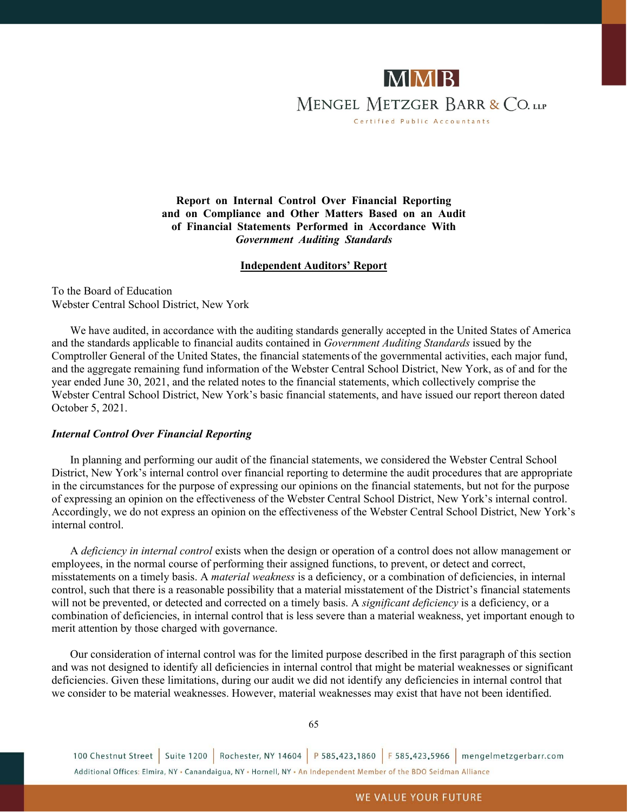

**Report on Internal Control Over Financial Reporting and on Compliance and Other Matters Based on an Audit of Financial Statements Performed in Accordance With** *Government Auditing Standards*

#### **Independent Auditors' Report**

To the Board of Education Webster Central School District, New York

We have audited, in accordance with the auditing standards generally accepted in the United States of America and the standards applicable to financial audits contained in *Government Auditing Standards* issued by the Comptroller General of the United States, the financial statements of the governmental activities, each major fund, and the aggregate remaining fund information of the Webster Central School District, New York, as of and for the year ended June 30, 2021, and the related notes to the financial statements, which collectively comprise the Webster Central School District, New York's basic financial statements, and have issued our report thereon dated October 5, 2021.

#### *Internal Control Over Financial Reporting*

In planning and performing our audit of the financial statements, we considered the Webster Central School District, New York's internal control over financial reporting to determine the audit procedures that are appropriate in the circumstances for the purpose of expressing our opinions on the financial statements, but not for the purpose of expressing an opinion on the effectiveness of the Webster Central School District, New York's internal control. Accordingly, we do not express an opinion on the effectiveness of the Webster Central School District, New York's internal control.

A *deficiency in internal control* exists when the design or operation of a control does not allow management or employees, in the normal course of performing their assigned functions, to prevent, or detect and correct, misstatements on a timely basis. A *material weakness* is a deficiency, or a combination of deficiencies, in internal control, such that there is a reasonable possibility that a material misstatement of the District's financial statements will not be prevented, or detected and corrected on a timely basis. A *significant deficiency* is a deficiency, or a combination of deficiencies, in internal control that is less severe than a material weakness, yet important enough to merit attention by those charged with governance.

Our consideration of internal control was for the limited purpose described in the first paragraph of this section and was not designed to identify all deficiencies in internal control that might be material weaknesses or significant deficiencies. Given these limitations, during our audit we did not identify any deficiencies in internal control that we consider to be material weaknesses. However, material weaknesses may exist that have not been identified.

65

100 Chestnut Street Suite 1200 Rochester, NY 14604 P 585.423.1860 F 585.423.5966 mengelmetzgerbarr.com Additional Offices: Elmira, NY . Canandaigua, NY . Hornell, NY . An Independent Member of the BDO Seidman Alliance